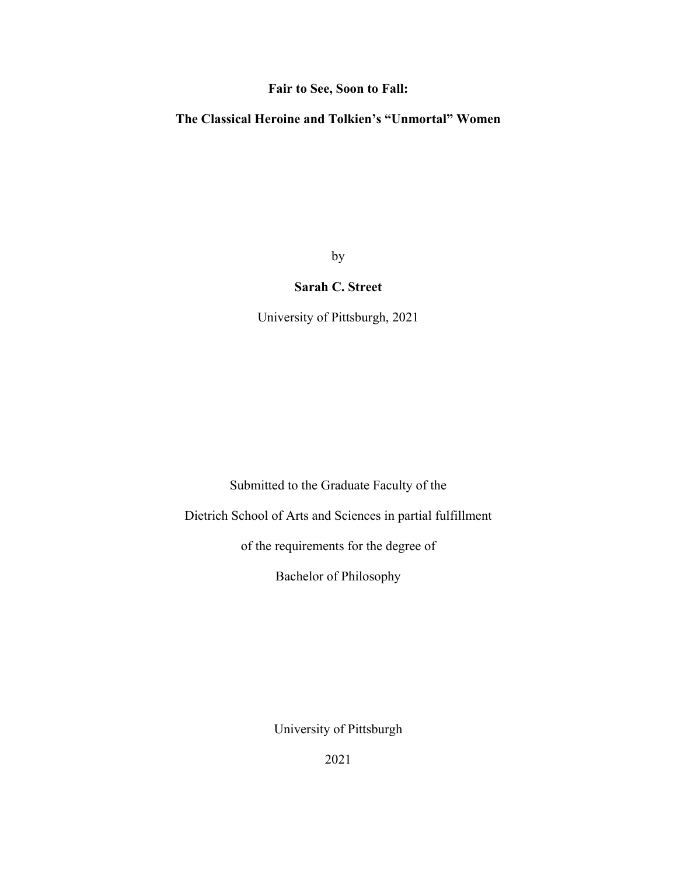## **Fair to See, Soon to Fall:**

## **The Classical Heroine and Tolkien's "Unmortal" Women**

by

## **Sarah C. Street**

University of Pittsburgh, 2021

Submitted to the Graduate Faculty of the

Dietrich School of Arts and Sciences in partial fulfillment

of the requirements for the degree of

Bachelor of Philosophy

University of Pittsburgh

2021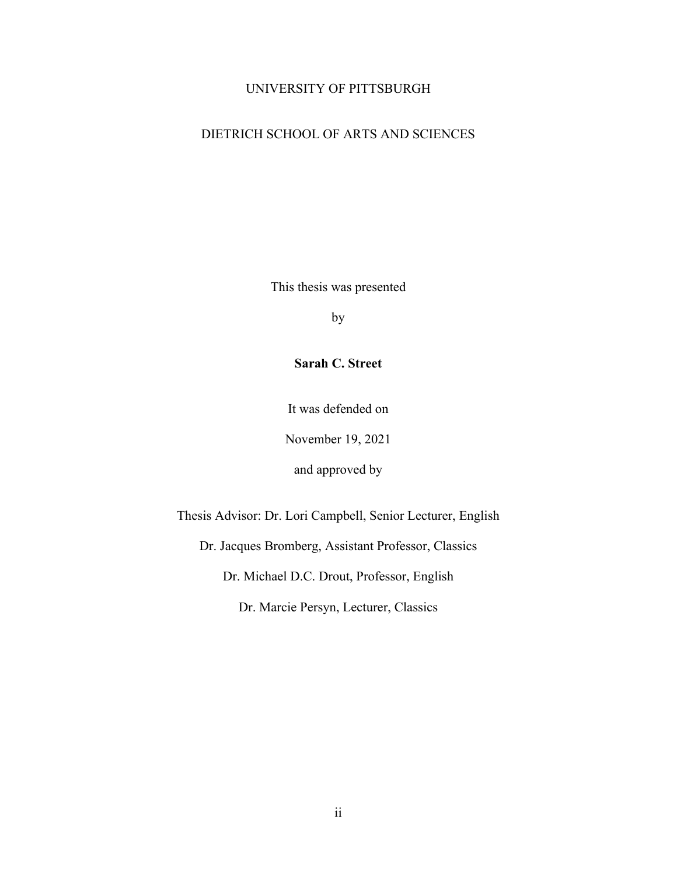### UNIVERSITY OF PITTSBURGH

## DIETRICH SCHOOL OF ARTS AND SCIENCES

This thesis was presented

by

**Sarah C. Street**

It was defended on

November 19, 2021

and approved by

Thesis Advisor: Dr. Lori Campbell, Senior Lecturer, English

Dr. Jacques Bromberg, Assistant Professor, Classics

Dr. Michael D.C. Drout, Professor, English

Dr. Marcie Persyn, Lecturer, Classics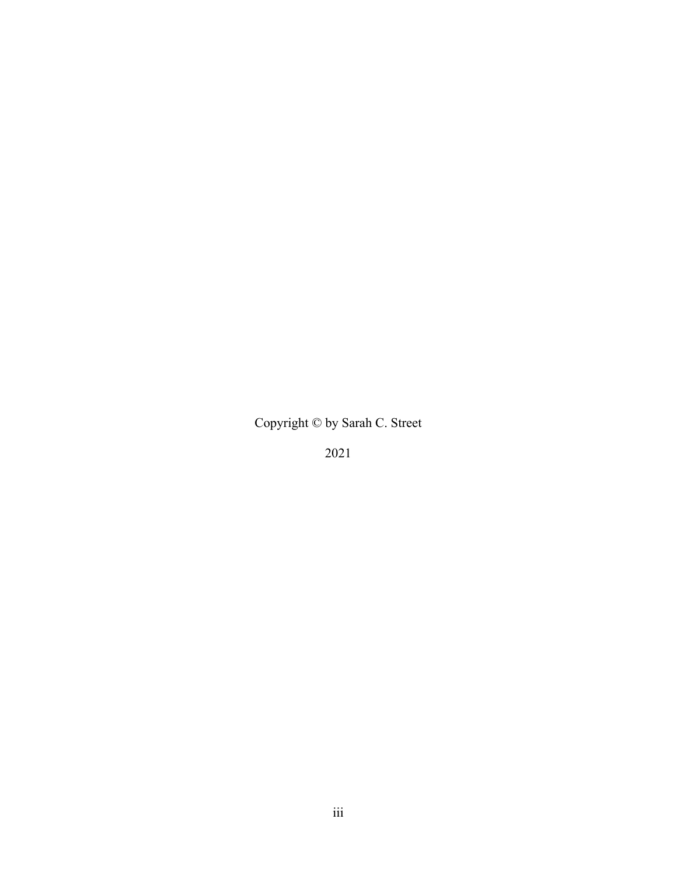Copyright © by Sarah C. Street

2021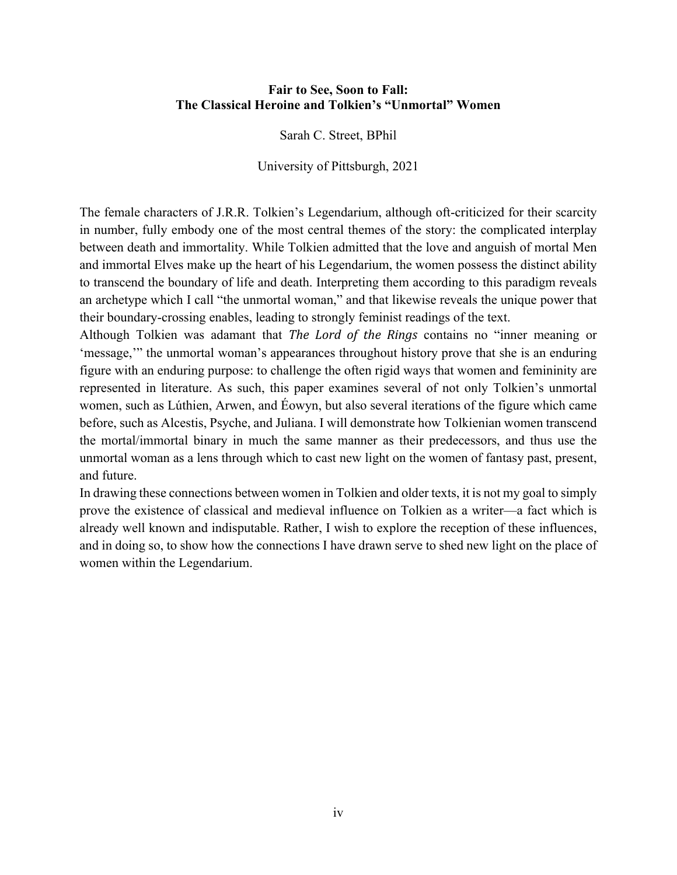## **Fair to See, Soon to Fall: The Classical Heroine and Tolkien's "Unmortal" Women**

Sarah C. Street, BPhil

University of Pittsburgh, 2021

The female characters of J.R.R. Tolkien's Legendarium, although oft-criticized for their scarcity in number, fully embody one of the most central themes of the story: the complicated interplay between death and immortality. While Tolkien admitted that the love and anguish of mortal Men and immortal Elves make up the heart of his Legendarium, the women possess the distinct ability to transcend the boundary of life and death. Interpreting them according to this paradigm reveals an archetype which I call "the unmortal woman," and that likewise reveals the unique power that their boundary-crossing enables, leading to strongly feminist readings of the text.

Although Tolkien was adamant that *The Lord of the Rings* contains no "inner meaning or 'message,'" the unmortal woman's appearances throughout history prove that she is an enduring figure with an enduring purpose: to challenge the often rigid ways that women and femininity are represented in literature. As such, this paper examines several of not only Tolkien's unmortal women, such as Lúthien, Arwen, and Éowyn, but also several iterations of the figure which came before, such as Alcestis, Psyche, and Juliana. I will demonstrate how Tolkienian women transcend the mortal/immortal binary in much the same manner as their predecessors, and thus use the unmortal woman as a lens through which to cast new light on the women of fantasy past, present, and future.

In drawing these connections between women in Tolkien and older texts, it is not my goal to simply prove the existence of classical and medieval influence on Tolkien as a writer—a fact which is already well known and indisputable. Rather, I wish to explore the reception of these influences, and in doing so, to show how the connections I have drawn serve to shed new light on the place of women within the Legendarium.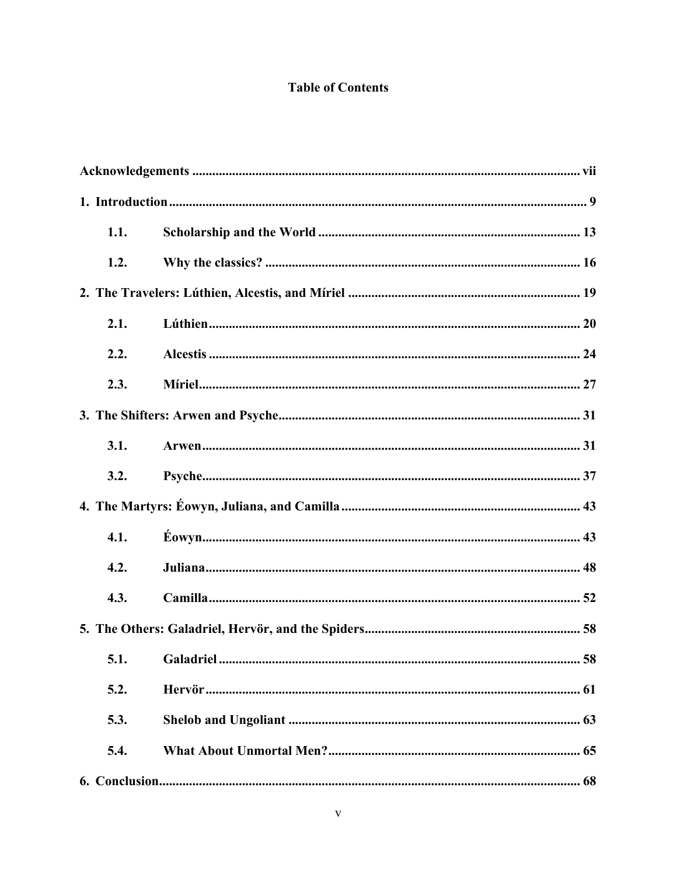# **Table of Contents**

| 1.1. |    |  |
|------|----|--|
| 1.2. |    |  |
|      |    |  |
| 2.1. |    |  |
| 2.2. |    |  |
| 2.3. |    |  |
|      |    |  |
| 3.1. |    |  |
| 3.2. |    |  |
|      |    |  |
| 4.1. |    |  |
| 4.2. |    |  |
| 4.3. |    |  |
|      |    |  |
|      | 58 |  |
| 5.2. |    |  |
| 5.3. |    |  |
| 5.4. |    |  |
|      |    |  |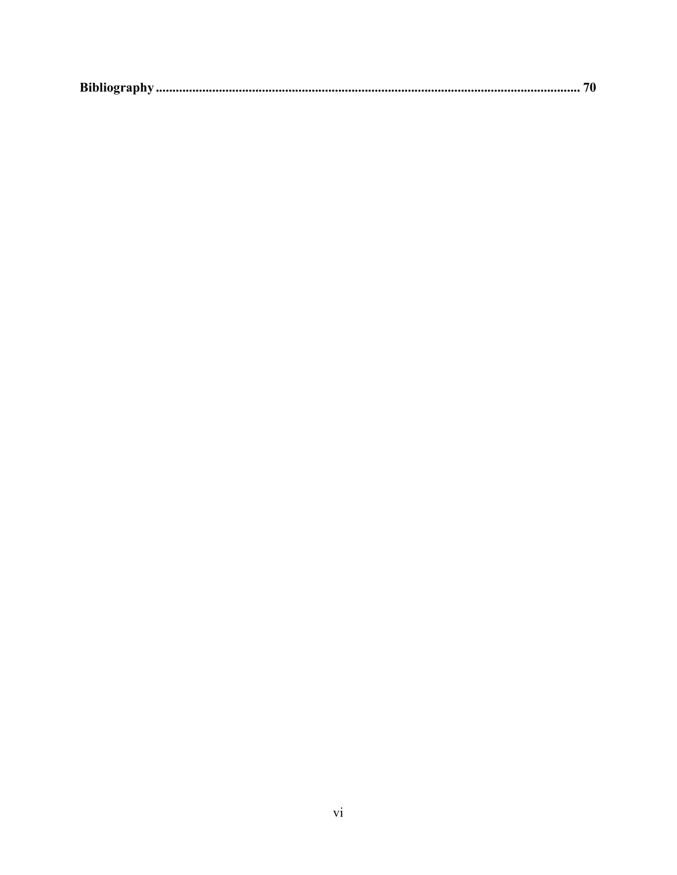|--|--|--|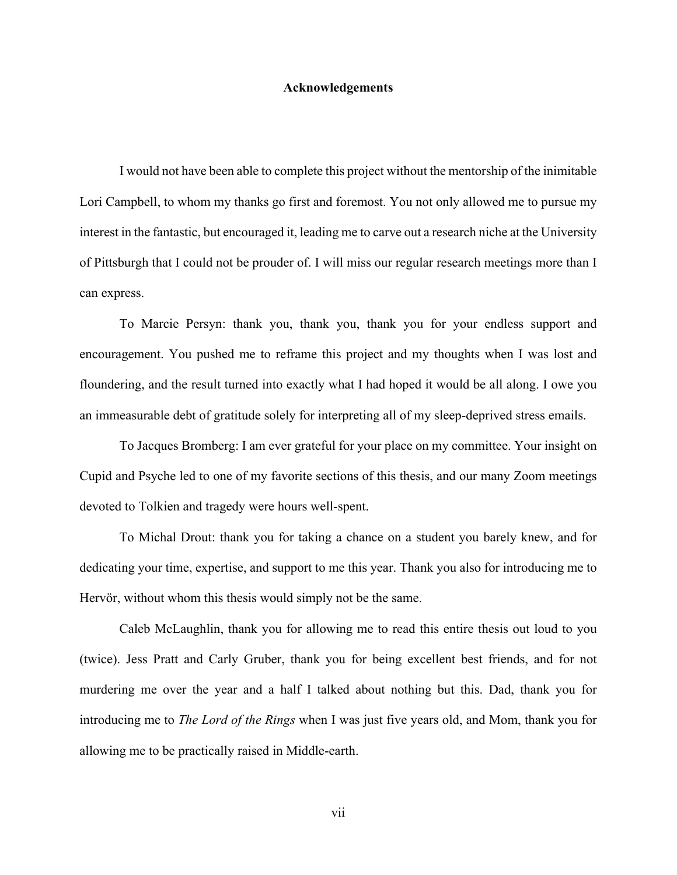#### **Acknowledgements**

<span id="page-6-0"></span>I would not have been able to complete this project without the mentorship of the inimitable Lori Campbell, to whom my thanks go first and foremost. You not only allowed me to pursue my interest in the fantastic, but encouraged it, leading me to carve out a research niche at the University of Pittsburgh that I could not be prouder of. I will miss our regular research meetings more than I can express.

To Marcie Persyn: thank you, thank you, thank you for your endless support and encouragement. You pushed me to reframe this project and my thoughts when I was lost and floundering, and the result turned into exactly what I had hoped it would be all along. I owe you an immeasurable debt of gratitude solely for interpreting all of my sleep-deprived stress emails.

To Jacques Bromberg: I am ever grateful for your place on my committee. Your insight on Cupid and Psyche led to one of my favorite sections of this thesis, and our many Zoom meetings devoted to Tolkien and tragedy were hours well-spent.

To Michal Drout: thank you for taking a chance on a student you barely knew, and for dedicating your time, expertise, and support to me this year. Thank you also for introducing me to Hervör, without whom this thesis would simply not be the same.

Caleb McLaughlin, thank you for allowing me to read this entire thesis out loud to you (twice). Jess Pratt and Carly Gruber, thank you for being excellent best friends, and for not murdering me over the year and a half I talked about nothing but this. Dad, thank you for introducing me to *The Lord of the Rings* when I was just five years old, and Mom, thank you for allowing me to be practically raised in Middle-earth.

vii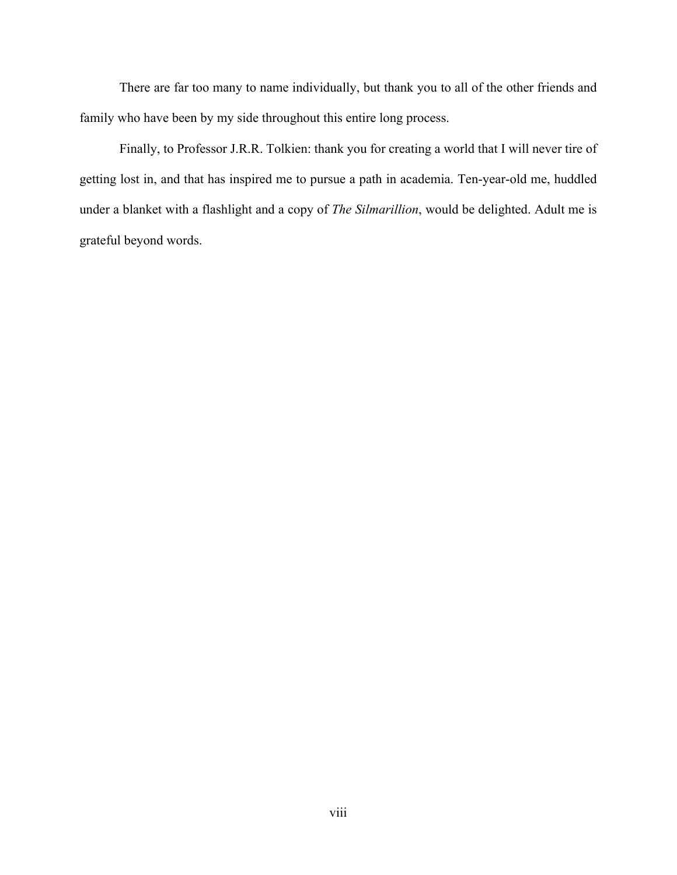There are far too many to name individually, but thank you to all of the other friends and family who have been by my side throughout this entire long process.

Finally, to Professor J.R.R. Tolkien: thank you for creating a world that I will never tire of getting lost in, and that has inspired me to pursue a path in academia. Ten-year-old me, huddled under a blanket with a flashlight and a copy of *The Silmarillion*, would be delighted. Adult me is grateful beyond words.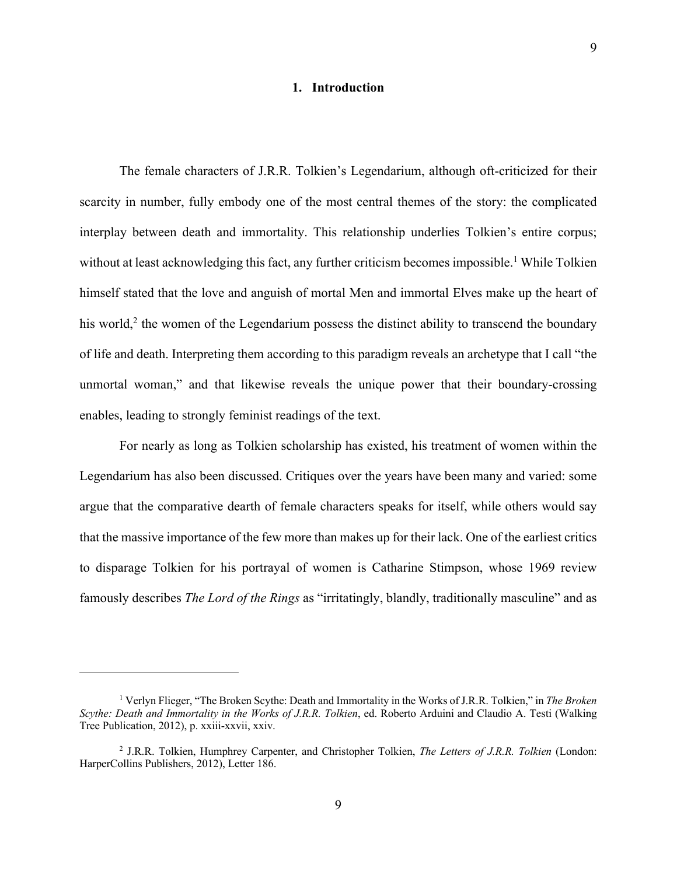#### **1. Introduction**

<span id="page-8-0"></span>The female characters of J.R.R. Tolkien's Legendarium, although oft-criticized for their scarcity in number, fully embody one of the most central themes of the story: the complicated interplay between death and immortality. This relationship underlies Tolkien's entire corpus; without at least acknowledging this fact, any further criticism becomes impossible. <sup>1</sup> While Tolkien himself stated that the love and anguish of mortal Men and immortal Elves make up the heart of his world,<sup>2</sup> the women of the Legendarium possess the distinct ability to transcend the boundary of life and death. Interpreting them according to this paradigm reveals an archetype that I call "the unmortal woman," and that likewise reveals the unique power that their boundary-crossing enables, leading to strongly feminist readings of the text.

For nearly as long as Tolkien scholarship has existed, his treatment of women within the Legendarium has also been discussed. Critiques over the years have been many and varied: some argue that the comparative dearth of female characters speaks for itself, while others would say that the massive importance of the few more than makes up for their lack. One of the earliest critics to disparage Tolkien for his portrayal of women is Catharine Stimpson, whose 1969 review famously describes *The Lord of the Rings* as "irritatingly, blandly, traditionally masculine" and as

<sup>1</sup> Verlyn Flieger, "The Broken Scythe: Death and Immortality in the Works of J.R.R. Tolkien," in *The Broken Scythe: Death and Immortality in the Works of J.R.R. Tolkien*, ed. Roberto Arduini and Claudio A. Testi (Walking Tree Publication, 2012), p. xxiii-xxvii, xxiv.

<sup>2</sup> J.R.R. Tolkien, Humphrey Carpenter, and Christopher Tolkien, *The Letters of J.R.R. Tolkien* (London: HarperCollins Publishers, 2012), Letter 186.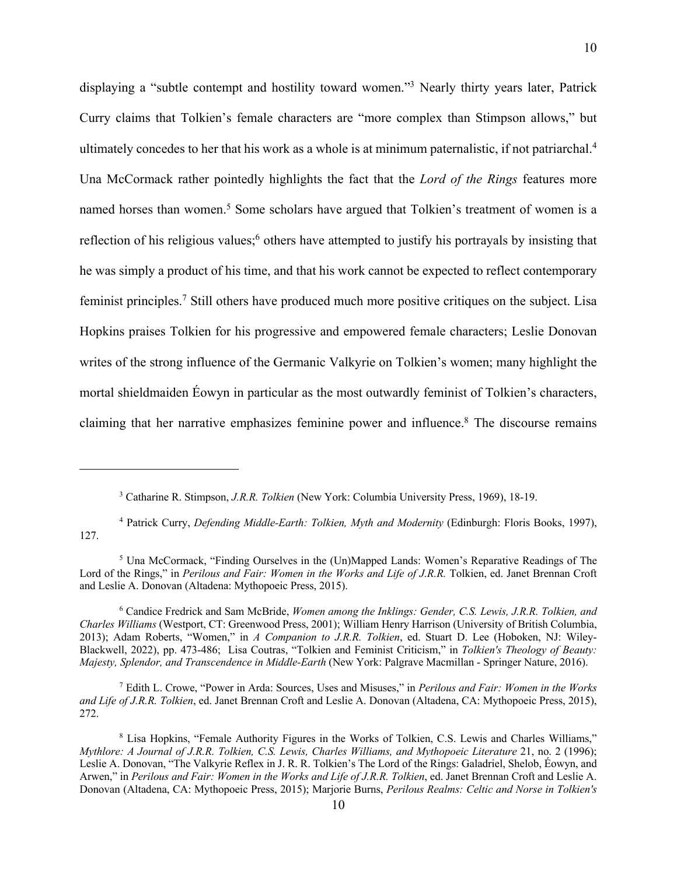displaying a "subtle contempt and hostility toward women."3 Nearly thirty years later, Patrick Curry claims that Tolkien's female characters are "more complex than Stimpson allows," but ultimately concedes to her that his work as a whole is at minimum paternalistic, if not patriarchal.4 Una McCormack rather pointedly highlights the fact that the *Lord of the Rings* features more named horses than women.<sup>5</sup> Some scholars have argued that Tolkien's treatment of women is a reflection of his religious values;<sup>6</sup> others have attempted to justify his portrayals by insisting that he was simply a product of his time, and that his work cannot be expected to reflect contemporary feminist principles.7 Still others have produced much more positive critiques on the subject. Lisa Hopkins praises Tolkien for his progressive and empowered female characters; Leslie Donovan writes of the strong influence of the Germanic Valkyrie on Tolkien's women; many highlight the mortal shieldmaiden Éowyn in particular as the most outwardly feminist of Tolkien's characters, claiming that her narrative emphasizes feminine power and influence.8 The discourse remains

<sup>6</sup> Candice Fredrick and Sam McBride, *Women among the Inklings: Gender, C.S. Lewis, J.R.R. Tolkien, and Charles Williams* (Westport, CT: Greenwood Press, 2001); William Henry Harrison (University of British Columbia, 2013); Adam Roberts, "Women," in *A Companion to J.R.R. Tolkien*, ed. Stuart D. Lee (Hoboken, NJ: Wiley-Blackwell, 2022), pp. 473-486; Lisa Coutras, "Tolkien and Feminist Criticism," in *Tolkien's Theology of Beauty: Majesty, Splendor, and Transcendence in Middle-Earth* (New York: Palgrave Macmillan - Springer Nature, 2016).

<sup>7</sup> Edith L. Crowe, "Power in Arda: Sources, Uses and Misuses," in *Perilous and Fair: Women in the Works and Life of J.R.R. Tolkien*, ed. Janet Brennan Croft and Leslie A. Donovan (Altadena, CA: Mythopoeic Press, 2015), 272.

<sup>3</sup> Catharine R. Stimpson, *J.R.R. Tolkien* (New York: Columbia University Press, 1969), 18-19.

<sup>4</sup> Patrick Curry, *Defending Middle-Earth: Tolkien, Myth and Modernity* (Edinburgh: Floris Books, 1997), 127.

<sup>5</sup> Una McCormack, "Finding Ourselves in the (Un)Mapped Lands: Women's Reparative Readings of The Lord of the Rings," in *Perilous and Fair: Women in the Works and Life of J.R.R.* Tolkien, ed. Janet Brennan Croft and Leslie A. Donovan (Altadena: Mythopoeic Press, 2015).

<sup>8</sup> Lisa Hopkins, "Female Authority Figures in the Works of Tolkien, C.S. Lewis and Charles Williams," *Mythlore: A Journal of J.R.R. Tolkien, C.S. Lewis, Charles Williams, and Mythopoeic Literature* 21, no. 2 (1996); Leslie A. Donovan, "The Valkyrie Reflex in J. R. R. Tolkien's The Lord of the Rings: Galadriel, Shelob, Éowyn, and Arwen," in *Perilous and Fair: Women in the Works and Life of J.R.R. Tolkien*, ed. Janet Brennan Croft and Leslie A. Donovan (Altadena, CA: Mythopoeic Press, 2015); Marjorie Burns, *Perilous Realms: Celtic and Norse in Tolkien's*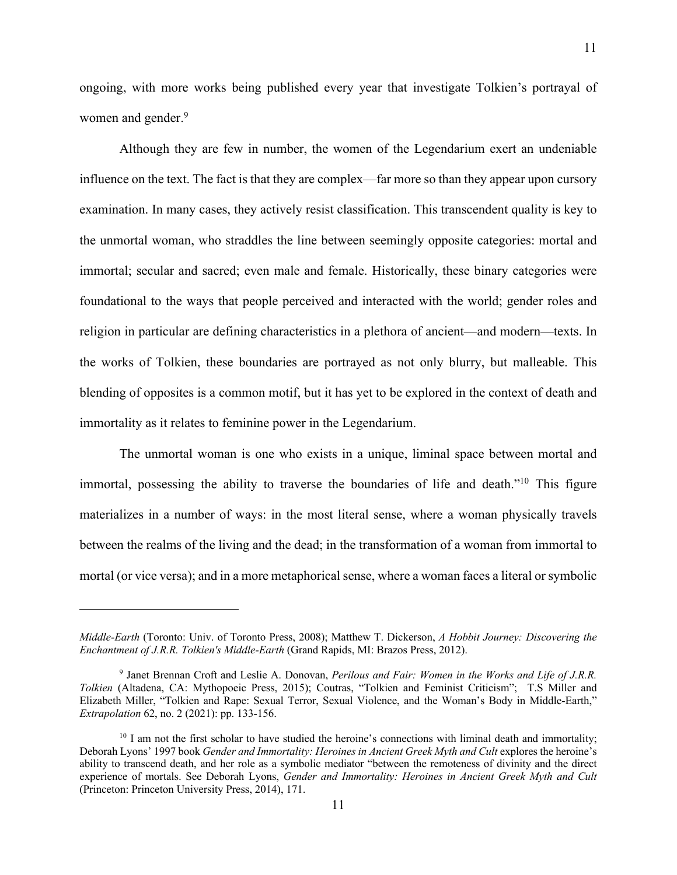ongoing, with more works being published every year that investigate Tolkien's portrayal of women and gender.<sup>9</sup>

Although they are few in number, the women of the Legendarium exert an undeniable influence on the text. The fact is that they are complex—far more so than they appear upon cursory examination. In many cases, they actively resist classification. This transcendent quality is key to the unmortal woman, who straddles the line between seemingly opposite categories: mortal and immortal; secular and sacred; even male and female. Historically, these binary categories were foundational to the ways that people perceived and interacted with the world; gender roles and religion in particular are defining characteristics in a plethora of ancient—and modern—texts. In the works of Tolkien, these boundaries are portrayed as not only blurry, but malleable. This blending of opposites is a common motif, but it has yet to be explored in the context of death and immortality as it relates to feminine power in the Legendarium.

The unmortal woman is one who exists in a unique, liminal space between mortal and immortal, possessing the ability to traverse the boundaries of life and death."<sup>10</sup> This figure materializes in a number of ways: in the most literal sense, where a woman physically travels between the realms of the living and the dead; in the transformation of a woman from immortal to mortal (or vice versa); and in a more metaphorical sense, where a woman faces a literal or symbolic

*Middle-Earth* (Toronto: Univ. of Toronto Press, 2008); Matthew T. Dickerson, *A Hobbit Journey: Discovering the Enchantment of J.R.R. Tolkien's Middle-Earth* (Grand Rapids, MI: Brazos Press, 2012).

<sup>9</sup> Janet Brennan Croft and Leslie A. Donovan, *Perilous and Fair: Women in the Works and Life of J.R.R. Tolkien* (Altadena, CA: Mythopoeic Press, 2015); Coutras, "Tolkien and Feminist Criticism"; T.S Miller and Elizabeth Miller, "Tolkien and Rape: Sexual Terror, Sexual Violence, and the Woman's Body in Middle-Earth," *Extrapolation* 62, no. 2 (2021): pp. 133-156.

 $10$  I am not the first scholar to have studied the heroine's connections with liminal death and immortality; Deborah Lyons' 1997 book *Gender and Immortality: Heroines in Ancient Greek Myth and Cult* explores the heroine's ability to transcend death, and her role as a symbolic mediator "between the remoteness of divinity and the direct experience of mortals. See Deborah Lyons, *Gender and Immortality: Heroines in Ancient Greek Myth and Cult* (Princeton: Princeton University Press, 2014), 171.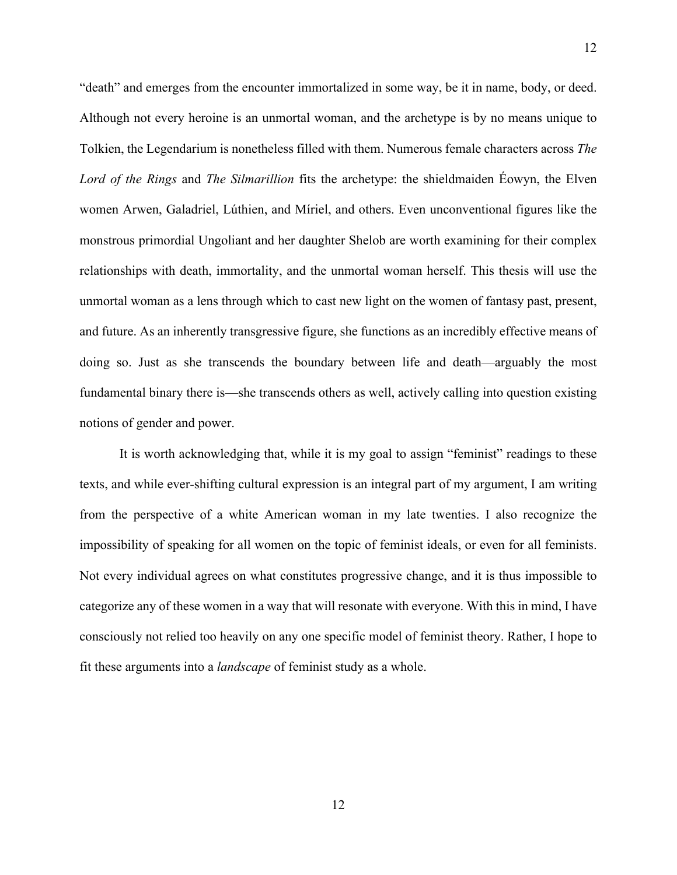"death" and emerges from the encounter immortalized in some way, be it in name, body, or deed. Although not every heroine is an unmortal woman, and the archetype is by no means unique to Tolkien, the Legendarium is nonetheless filled with them. Numerous female characters across *The Lord of the Rings* and *The Silmarillion* fits the archetype: the shieldmaiden Éowyn, the Elven women Arwen, Galadriel, Lúthien, and Míriel, and others. Even unconventional figures like the monstrous primordial Ungoliant and her daughter Shelob are worth examining for their complex relationships with death, immortality, and the unmortal woman herself. This thesis will use the unmortal woman as a lens through which to cast new light on the women of fantasy past, present, and future. As an inherently transgressive figure, she functions as an incredibly effective means of doing so. Just as she transcends the boundary between life and death—arguably the most fundamental binary there is—she transcends others as well, actively calling into question existing notions of gender and power.

It is worth acknowledging that, while it is my goal to assign "feminist" readings to these texts, and while ever-shifting cultural expression is an integral part of my argument, I am writing from the perspective of a white American woman in my late twenties. I also recognize the impossibility of speaking for all women on the topic of feminist ideals, or even for all feminists. Not every individual agrees on what constitutes progressive change, and it is thus impossible to categorize any of these women in a way that will resonate with everyone. With this in mind, I have consciously not relied too heavily on any one specific model of feminist theory. Rather, I hope to fit these arguments into a *landscape* of feminist study as a whole.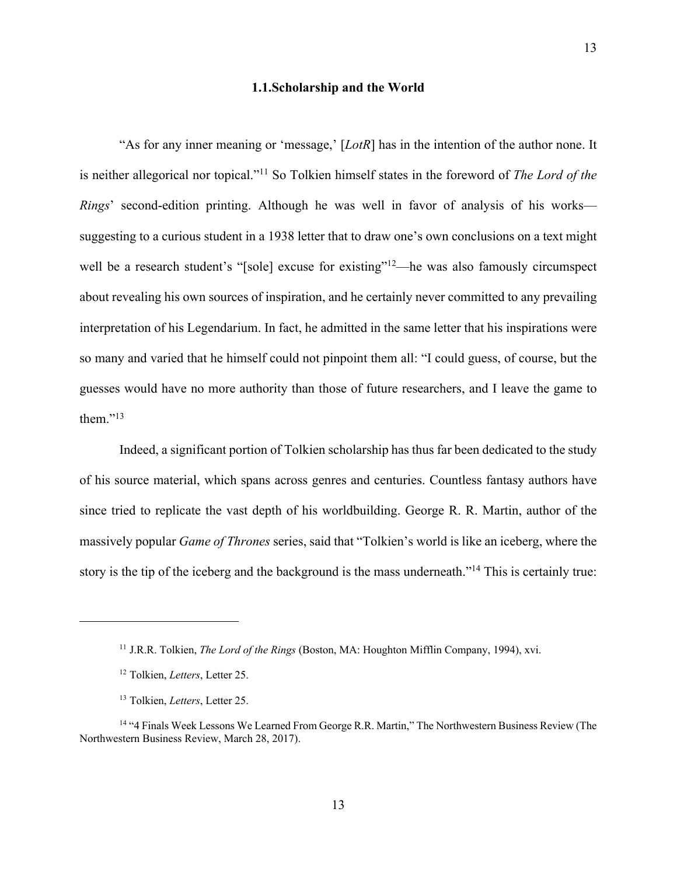#### **1.1.Scholarship and the World**

<span id="page-12-0"></span>"As for any inner meaning or 'message,' [*LotR*] has in the intention of the author none. It is neither allegorical nor topical."11 So Tolkien himself states in the foreword of *The Lord of the Rings*' second-edition printing. Although he was well in favor of analysis of his works suggesting to a curious student in a 1938 letter that to draw one's own conclusions on a text might well be a research student's "[sole] excuse for existing"<sup>12</sup>—he was also famously circumspect about revealing his own sources of inspiration, and he certainly never committed to any prevailing interpretation of his Legendarium. In fact, he admitted in the same letter that his inspirations were so many and varied that he himself could not pinpoint them all: "I could guess, of course, but the guesses would have no more authority than those of future researchers, and I leave the game to them." $^{13}$ 

Indeed, a significant portion of Tolkien scholarship has thus far been dedicated to the study of his source material, which spans across genres and centuries. Countless fantasy authors have since tried to replicate the vast depth of his worldbuilding. George R. R. Martin, author of the massively popular *Game of Thrones* series, said that "Tolkien's world is like an iceberg, where the story is the tip of the iceberg and the background is the mass underneath."14 This is certainly true:

<sup>11</sup> J.R.R. Tolkien, *The Lord of the Rings* (Boston, MA: Houghton Mifflin Company, 1994), xvi.

<sup>12</sup> Tolkien, *Letters*, Letter 25.

<sup>13</sup> Tolkien, *Letters*, Letter 25.

<sup>14</sup> "4 Finals Week Lessons We Learned From George R.R. Martin," The Northwestern Business Review (The Northwestern Business Review, March 28, 2017).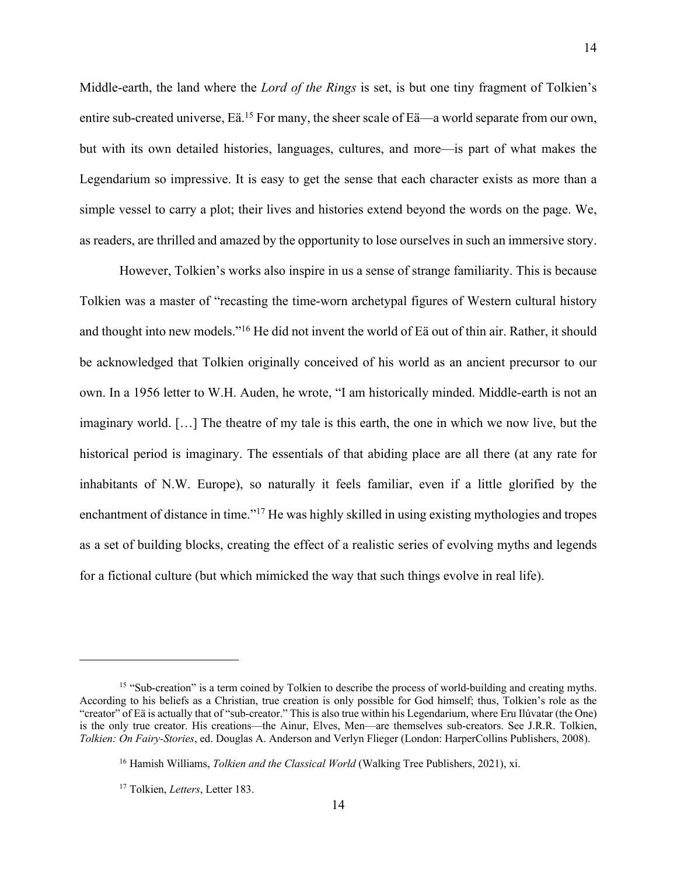Middle-earth, the land where the *Lord of the Rings* is set, is but one tiny fragment of Tolkien's entire sub-created universe, Eä.<sup>15</sup> For many, the sheer scale of Eä—a world separate from our own, but with its own detailed histories, languages, cultures, and more—is part of what makes the Legendarium so impressive. It is easy to get the sense that each character exists as more than a simple vessel to carry a plot; their lives and histories extend beyond the words on the page. We, as readers, are thrilled and amazed by the opportunity to lose ourselves in such an immersive story.

However, Tolkien's works also inspire in us a sense of strange familiarity. This is because Tolkien was a master of "recasting the time-worn archetypal figures of Western cultural history and thought into new models."16 He did not invent the world of Eä out of thin air. Rather, it should be acknowledged that Tolkien originally conceived of his world as an ancient precursor to our own. In a 1956 letter to W.H. Auden, he wrote, "I am historically minded. Middle-earth is not an imaginary world. […] The theatre of my tale is this earth, the one in which we now live, but the historical period is imaginary. The essentials of that abiding place are all there (at any rate for inhabitants of N.W. Europe), so naturally it feels familiar, even if a little glorified by the enchantment of distance in time."<sup>17</sup> He was highly skilled in using existing mythologies and tropes as a set of building blocks, creating the effect of a realistic series of evolving myths and legends for a fictional culture (but which mimicked the way that such things evolve in real life).

14

<sup>&</sup>lt;sup>15</sup> "Sub-creation" is a term coined by Tolkien to describe the process of world-building and creating myths. According to his beliefs as a Christian, true creation is only possible for God himself; thus, Tolkien's role as the "creator" of Eä is actually that of "sub-creator." This is also true within his Legendarium, where Eru Ilúvatar (the One) is the only true creator. His creations—the Ainur, Elves, Men—are themselves sub-creators. See J.R.R. Tolkien, *Tolkien: On Fairy-Stories*, ed. Douglas A. Anderson and Verlyn Flieger (London: HarperCollins Publishers, 2008).

<sup>16</sup> Hamish Williams, *Tolkien and the Classical World* (Walking Tree Publishers, 2021), xi.

<sup>17</sup> Tolkien, *Letters*, Letter 183.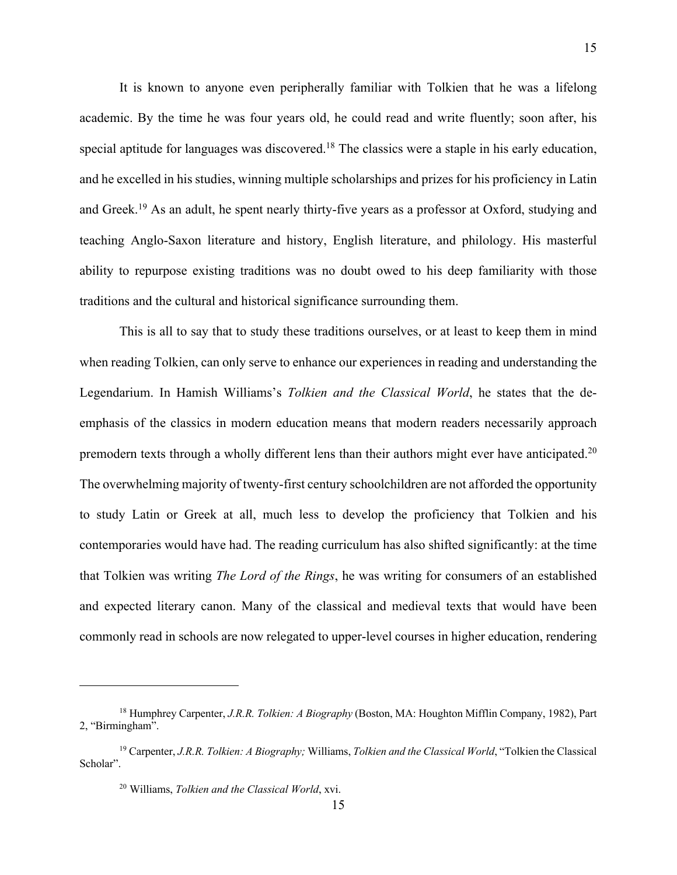It is known to anyone even peripherally familiar with Tolkien that he was a lifelong academic. By the time he was four years old, he could read and write fluently; soon after, his special aptitude for languages was discovered.18 The classics were a staple in his early education, and he excelled in his studies, winning multiple scholarships and prizes for his proficiency in Latin and Greek.19 As an adult, he spent nearly thirty-five years as a professor at Oxford, studying and teaching Anglo-Saxon literature and history, English literature, and philology. His masterful ability to repurpose existing traditions was no doubt owed to his deep familiarity with those traditions and the cultural and historical significance surrounding them.

This is all to say that to study these traditions ourselves, or at least to keep them in mind when reading Tolkien, can only serve to enhance our experiences in reading and understanding the Legendarium. In Hamish Williams's *Tolkien and the Classical World*, he states that the deemphasis of the classics in modern education means that modern readers necessarily approach premodern texts through a wholly different lens than their authors might ever have anticipated.<sup>20</sup> The overwhelming majority of twenty-first century schoolchildren are not afforded the opportunity to study Latin or Greek at all, much less to develop the proficiency that Tolkien and his contemporaries would have had. The reading curriculum has also shifted significantly: at the time that Tolkien was writing *The Lord of the Rings*, he was writing for consumers of an established and expected literary canon. Many of the classical and medieval texts that would have been commonly read in schools are now relegated to upper-level courses in higher education, rendering

<sup>18</sup> Humphrey Carpenter, *J.R.R. Tolkien: A Biography* (Boston, MA: Houghton Mifflin Company, 1982), Part 2, "Birmingham".

<sup>19</sup> Carpenter, *J.R.R. Tolkien: A Biography;* Williams, *Tolkien and the Classical World*, "Tolkien the Classical Scholar".

<sup>20</sup> Williams, *Tolkien and the Classical World*, xvi.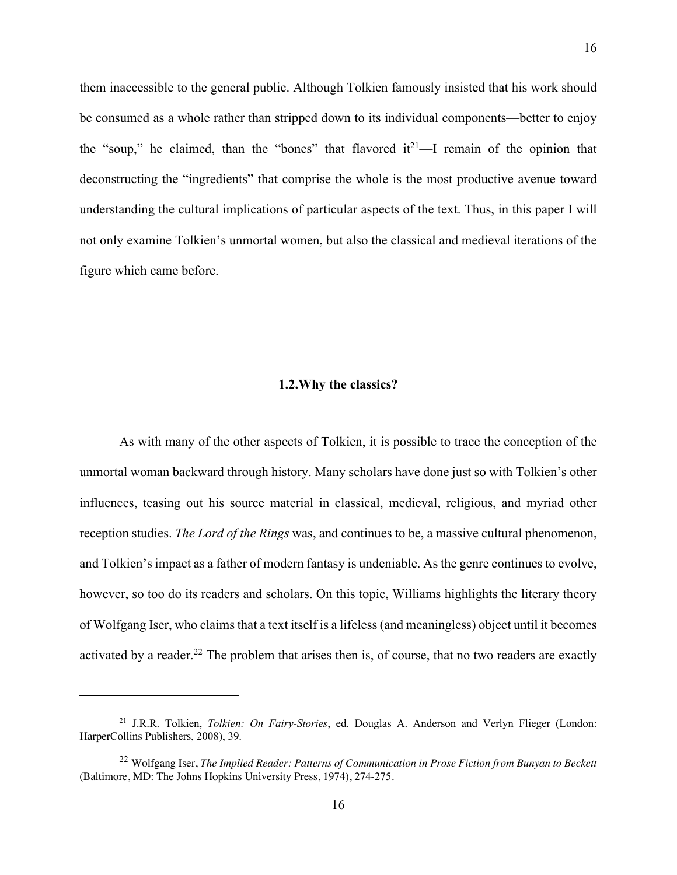<span id="page-15-0"></span>them inaccessible to the general public. Although Tolkien famously insisted that his work should be consumed as a whole rather than stripped down to its individual components—better to enjoy the "soup," he claimed, than the "bones" that flavored  $it^{21}$ —I remain of the opinion that deconstructing the "ingredients" that comprise the whole is the most productive avenue toward understanding the cultural implications of particular aspects of the text. Thus, in this paper I will not only examine Tolkien's unmortal women, but also the classical and medieval iterations of the figure which came before.

#### **1.2.Why the classics?**

As with many of the other aspects of Tolkien, it is possible to trace the conception of the unmortal woman backward through history. Many scholars have done just so with Tolkien's other influences, teasing out his source material in classical, medieval, religious, and myriad other reception studies. *The Lord of the Rings* was, and continues to be, a massive cultural phenomenon, and Tolkien's impact as a father of modern fantasy is undeniable. As the genre continues to evolve, however, so too do its readers and scholars. On this topic, Williams highlights the literary theory of Wolfgang Iser, who claims that a text itself is a lifeless (and meaningless) object until it becomes activated by a reader.<sup>22</sup> The problem that arises then is, of course, that no two readers are exactly

<sup>21</sup> J.R.R. Tolkien, *Tolkien: On Fairy-Stories*, ed. Douglas A. Anderson and Verlyn Flieger (London: HarperCollins Publishers, 2008), 39.

<sup>22</sup> Wolfgang Iser, *The Implied Reader: Patterns of Communication in Prose Fiction from Bunyan to Beckett* (Baltimore, MD: The Johns Hopkins University Press, 1974), 274-275.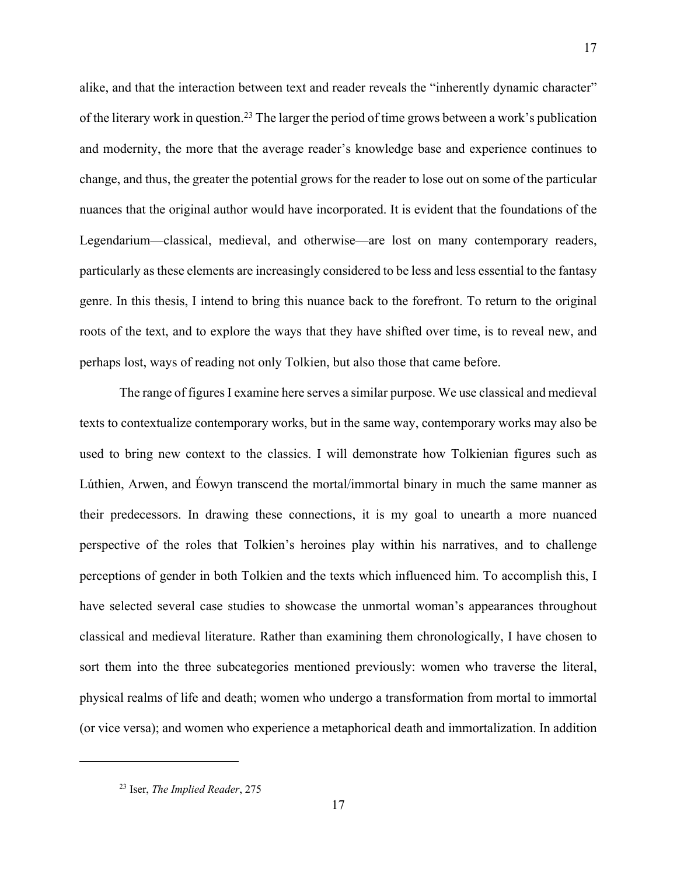alike, and that the interaction between text and reader reveals the "inherently dynamic character" of the literary work in question.23 The larger the period of time grows between a work's publication and modernity, the more that the average reader's knowledge base and experience continues to change, and thus, the greater the potential grows for the reader to lose out on some of the particular nuances that the original author would have incorporated. It is evident that the foundations of the Legendarium—classical, medieval, and otherwise—are lost on many contemporary readers, particularly as these elements are increasingly considered to be less and less essential to the fantasy genre. In this thesis, I intend to bring this nuance back to the forefront. To return to the original roots of the text, and to explore the ways that they have shifted over time, is to reveal new, and perhaps lost, ways of reading not only Tolkien, but also those that came before.

17

The range of figures I examine here serves a similar purpose. We use classical and medieval texts to contextualize contemporary works, but in the same way, contemporary works may also be used to bring new context to the classics. I will demonstrate how Tolkienian figures such as Lúthien, Arwen, and Éowyn transcend the mortal/immortal binary in much the same manner as their predecessors. In drawing these connections, it is my goal to unearth a more nuanced perspective of the roles that Tolkien's heroines play within his narratives, and to challenge perceptions of gender in both Tolkien and the texts which influenced him. To accomplish this, I have selected several case studies to showcase the unmortal woman's appearances throughout classical and medieval literature. Rather than examining them chronologically, I have chosen to sort them into the three subcategories mentioned previously: women who traverse the literal, physical realms of life and death; women who undergo a transformation from mortal to immortal (or vice versa); and women who experience a metaphorical death and immortalization. In addition

<sup>23</sup> Iser, *The Implied Reader*, 275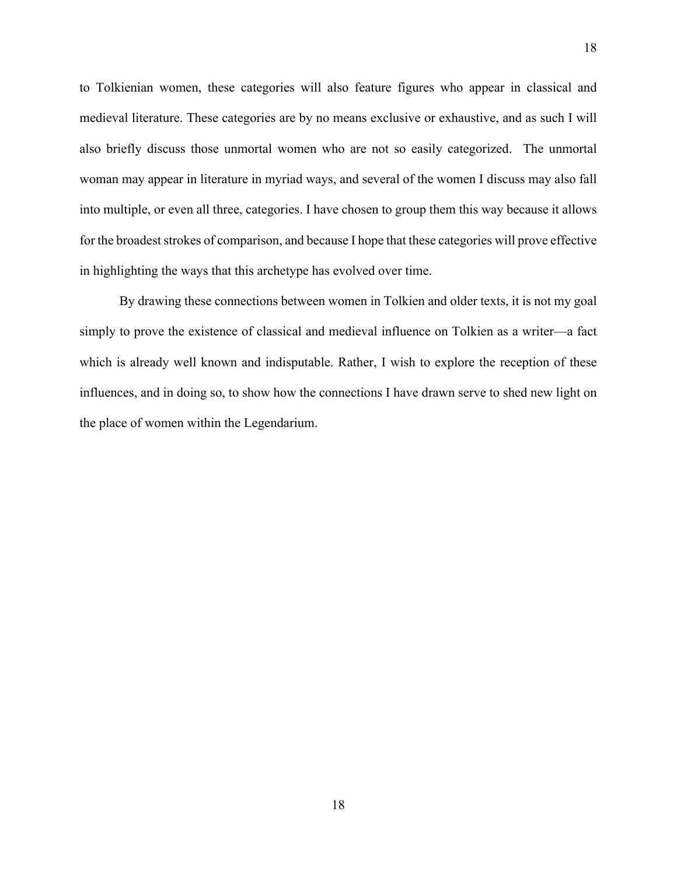to Tolkienian women, these categories will also feature figures who appear in classical and medieval literature. These categories are by no means exclusive or exhaustive, and as such I will also briefly discuss those unmortal women who are not so easily categorized. The unmortal woman may appear in literature in myriad ways, and several of the women I discuss may also fall into multiple, or even all three, categories. I have chosen to group them this way because it allows for the broadest strokes of comparison, and because I hope that these categories will prove effective in highlighting the ways that this archetype has evolved over time.

By drawing these connections between women in Tolkien and older texts, it is not my goal simply to prove the existence of classical and medieval influence on Tolkien as a writer—a fact which is already well known and indisputable. Rather, I wish to explore the reception of these influences, and in doing so, to show how the connections I have drawn serve to shed new light on the place of women within the Legendarium.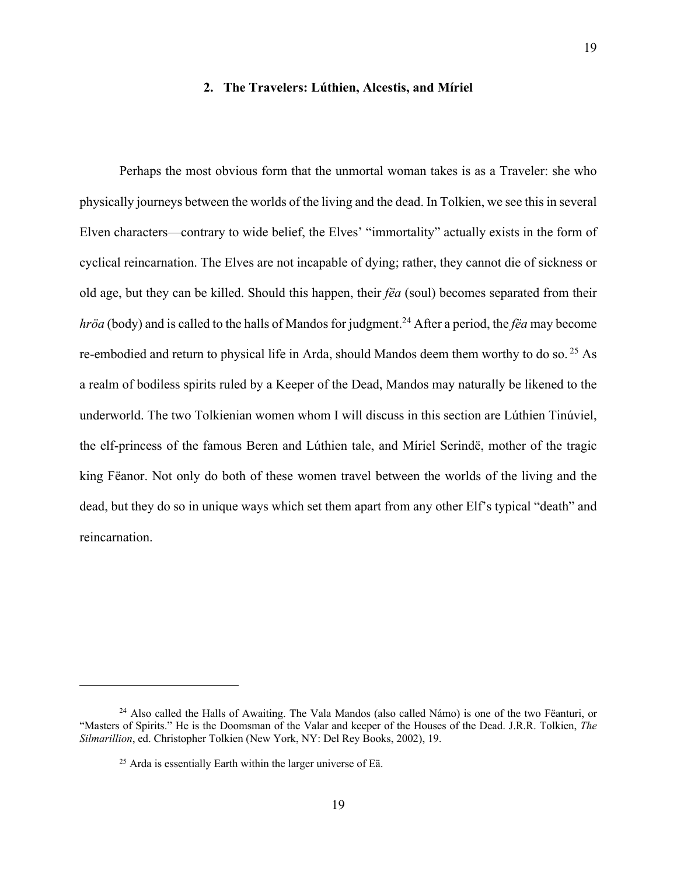#### **2. The Travelers: Lúthien, Alcestis, and Míriel**

19

<span id="page-18-0"></span>Perhaps the most obvious form that the unmortal woman takes is as a Traveler: she who physically journeys between the worlds of the living and the dead. In Tolkien, we see this in several Elven characters—contrary to wide belief, the Elves' "immortality" actually exists in the form of cyclical reincarnation. The Elves are not incapable of dying; rather, they cannot die of sickness or old age, but they can be killed. Should this happen, their *fëa* (soul) becomes separated from their *hröa* (body) and is called to the halls of Mandos for judgment.<sup>24</sup> After a period, the *fëa* may become re-embodied and return to physical life in Arda, should Mandos deem them worthy to do so. <sup>25</sup> As a realm of bodiless spirits ruled by a Keeper of the Dead, Mandos may naturally be likened to the underworld. The two Tolkienian women whom I will discuss in this section are Lúthien Tinúviel, the elf-princess of the famous Beren and Lúthien tale, and Míriel Serindë, mother of the tragic king Fëanor. Not only do both of these women travel between the worlds of the living and the dead, but they do so in unique ways which set them apart from any other Elf's typical "death" and reincarnation.

<sup>&</sup>lt;sup>24</sup> Also called the Halls of Awaiting. The Vala Mandos (also called Námo) is one of the two Fëanturi, or "Masters of Spirits." He is the Doomsman of the Valar and keeper of the Houses of the Dead. J.R.R. Tolkien, *The Silmarillion*, ed. Christopher Tolkien (New York, NY: Del Rey Books, 2002), 19.

 $25$  Arda is essentially Earth within the larger universe of Eä.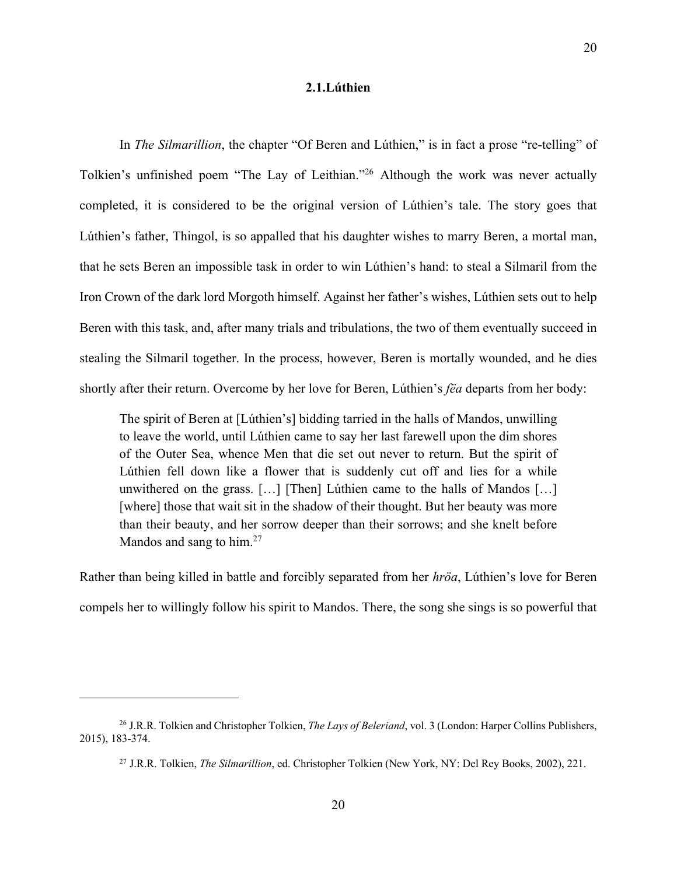#### **2.1.Lúthien**

<span id="page-19-0"></span>In *The Silmarillion*, the chapter "Of Beren and Lúthien," is in fact a prose "re-telling" of Tolkien's unfinished poem "The Lay of Leithian."26 Although the work was never actually completed, it is considered to be the original version of Lúthien's tale. The story goes that Lúthien's father, Thingol, is so appalled that his daughter wishes to marry Beren, a mortal man, that he sets Beren an impossible task in order to win Lúthien's hand: to steal a Silmaril from the Iron Crown of the dark lord Morgoth himself. Against her father's wishes, Lúthien sets out to help Beren with this task, and, after many trials and tribulations, the two of them eventually succeed in stealing the Silmaril together. In the process, however, Beren is mortally wounded, and he dies shortly after their return. Overcome by her love for Beren, Lúthien's *fëa* departs from her body:

The spirit of Beren at [Lúthien's] bidding tarried in the halls of Mandos, unwilling to leave the world, until Lúthien came to say her last farewell upon the dim shores of the Outer Sea, whence Men that die set out never to return. But the spirit of Lúthien fell down like a flower that is suddenly cut off and lies for a while unwithered on the grass. […] [Then] Lúthien came to the halls of Mandos […] [where] those that wait sit in the shadow of their thought. But her beauty was more than their beauty, and her sorrow deeper than their sorrows; and she knelt before Mandos and sang to him.<sup>27</sup>

Rather than being killed in battle and forcibly separated from her *hröa*, Lúthien's love for Beren compels her to willingly follow his spirit to Mandos. There, the song she sings is so powerful that

<sup>26</sup> J.R.R. Tolkien and Christopher Tolkien, *The Lays of Beleriand*, vol. 3 (London: Harper Collins Publishers, 2015), 183-374.

<sup>27</sup> J.R.R. Tolkien, *The Silmarillion*, ed. Christopher Tolkien (New York, NY: Del Rey Books, 2002), 221.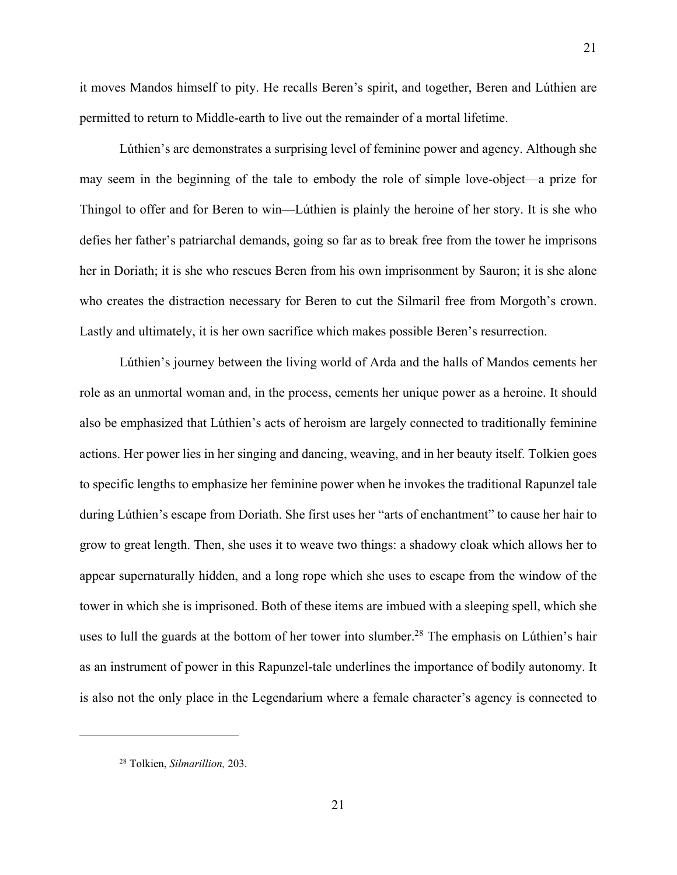it moves Mandos himself to pity. He recalls Beren's spirit, and together, Beren and Lúthien are permitted to return to Middle-earth to live out the remainder of a mortal lifetime.

Lúthien's arc demonstrates a surprising level of feminine power and agency. Although she may seem in the beginning of the tale to embody the role of simple love-object—a prize for Thingol to offer and for Beren to win—Lúthien is plainly the heroine of her story. It is she who defies her father's patriarchal demands, going so far as to break free from the tower he imprisons her in Doriath; it is she who rescues Beren from his own imprisonment by Sauron; it is she alone who creates the distraction necessary for Beren to cut the Silmaril free from Morgoth's crown. Lastly and ultimately, it is her own sacrifice which makes possible Beren's resurrection.

Lúthien's journey between the living world of Arda and the halls of Mandos cements her role as an unmortal woman and, in the process, cements her unique power as a heroine. It should also be emphasized that Lúthien's acts of heroism are largely connected to traditionally feminine actions. Her power lies in her singing and dancing, weaving, and in her beauty itself. Tolkien goes to specific lengths to emphasize her feminine power when he invokes the traditional Rapunzel tale during Lúthien's escape from Doriath. She first uses her "arts of enchantment" to cause her hair to grow to great length. Then, she uses it to weave two things: a shadowy cloak which allows her to appear supernaturally hidden, and a long rope which she uses to escape from the window of the tower in which she is imprisoned. Both of these items are imbued with a sleeping spell, which she uses to lull the guards at the bottom of her tower into slumber.<sup>28</sup> The emphasis on Lúthien's hair as an instrument of power in this Rapunzel-tale underlines the importance of bodily autonomy. It is also not the only place in the Legendarium where a female character's agency is connected to

<sup>28</sup> Tolkien, *Silmarillion,* 203.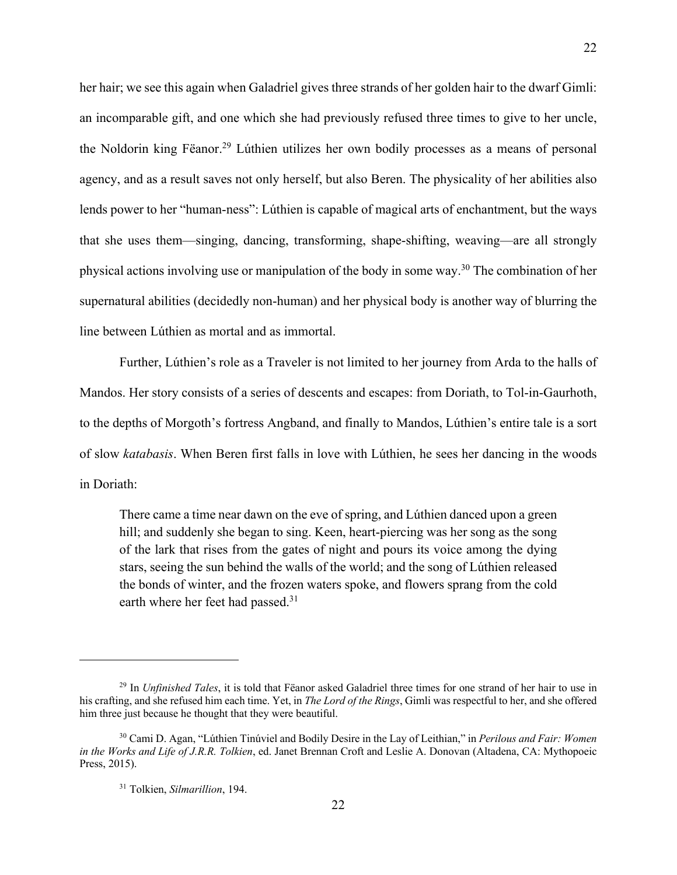her hair; we see this again when Galadriel gives three strands of her golden hair to the dwarf Gimli: an incomparable gift, and one which she had previously refused three times to give to her uncle, the Noldorin king Fëanor.29 Lúthien utilizes her own bodily processes as a means of personal agency, and as a result saves not only herself, but also Beren. The physicality of her abilities also lends power to her "human-ness": Lúthien is capable of magical arts of enchantment, but the ways that she uses them—singing, dancing, transforming, shape-shifting, weaving—are all strongly physical actions involving use or manipulation of the body in some way.30 The combination of her supernatural abilities (decidedly non-human) and her physical body is another way of blurring the line between Lúthien as mortal and as immortal.

Further, Lúthien's role as a Traveler is not limited to her journey from Arda to the halls of Mandos. Her story consists of a series of descents and escapes: from Doriath, to Tol-in-Gaurhoth, to the depths of Morgoth's fortress Angband, and finally to Mandos, Lúthien's entire tale is a sort of slow *katabasis*. When Beren first falls in love with Lúthien, he sees her dancing in the woods in Doriath:

There came a time near dawn on the eve of spring, and Lúthien danced upon a green hill; and suddenly she began to sing. Keen, heart-piercing was her song as the song of the lark that rises from the gates of night and pours its voice among the dying stars, seeing the sun behind the walls of the world; and the song of Lúthien released the bonds of winter, and the frozen waters spoke, and flowers sprang from the cold earth where her feet had passed.<sup>31</sup>

<sup>29</sup> In *Unfinished Tales*, it is told that Fëanor asked Galadriel three times for one strand of her hair to use in his crafting, and she refused him each time. Yet, in *The Lord of the Rings*, Gimli was respectful to her, and she offered him three just because he thought that they were beautiful.

<sup>30</sup> Cami D. Agan, "Lúthien Tinúviel and Bodily Desire in the Lay of Leithian," in *Perilous and Fair: Women in the Works and Life of J.R.R. Tolkien*, ed. Janet Brennan Croft and Leslie A. Donovan (Altadena, CA: Mythopoeic Press, 2015).

<sup>31</sup> Tolkien, *Silmarillion*, 194.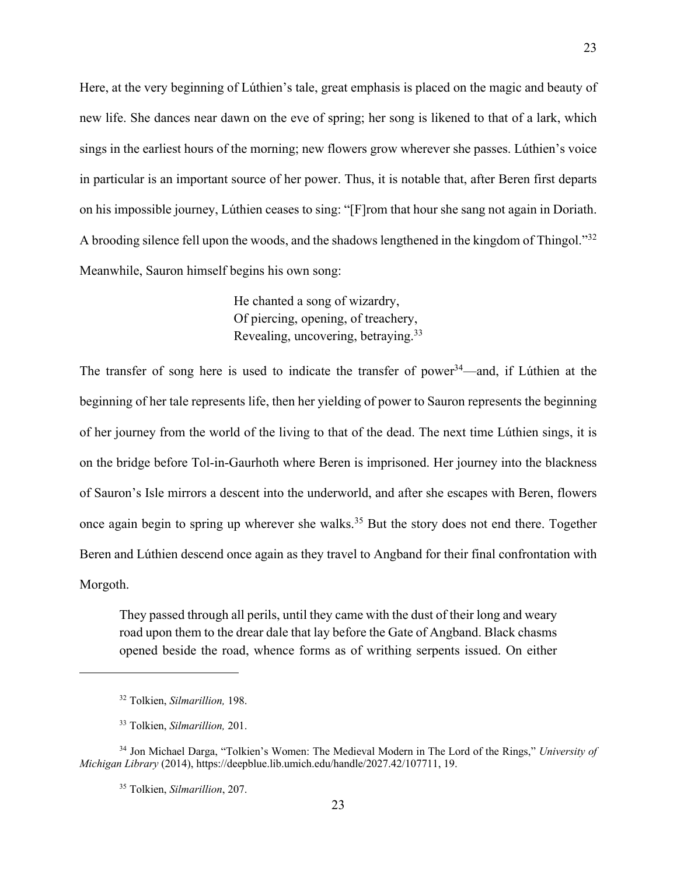Here, at the very beginning of Lúthien's tale, great emphasis is placed on the magic and beauty of new life. She dances near dawn on the eve of spring; her song is likened to that of a lark, which sings in the earliest hours of the morning; new flowers grow wherever she passes. Lúthien's voice in particular is an important source of her power. Thus, it is notable that, after Beren first departs on his impossible journey, Lúthien ceases to sing: "[F]rom that hour she sang not again in Doriath. A brooding silence fell upon the woods, and the shadows lengthened in the kingdom of Thingol."<sup>32</sup> Meanwhile, Sauron himself begins his own song:

> He chanted a song of wizardry, Of piercing, opening, of treachery, Revealing, uncovering, betraying.33

The transfer of song here is used to indicate the transfer of power<sup>34</sup>—and, if Lúthien at the beginning of her tale represents life, then her yielding of power to Sauron represents the beginning of her journey from the world of the living to that of the dead. The next time Lúthien sings, it is on the bridge before Tol-in-Gaurhoth where Beren is imprisoned. Her journey into the blackness of Sauron's Isle mirrors a descent into the underworld, and after she escapes with Beren, flowers once again begin to spring up wherever she walks.35 But the story does not end there. Together Beren and Lúthien descend once again as they travel to Angband for their final confrontation with Morgoth.

They passed through all perils, until they came with the dust of their long and weary road upon them to the drear dale that lay before the Gate of Angband. Black chasms opened beside the road, whence forms as of writhing serpents issued. On either

<sup>32</sup> Tolkien, *Silmarillion,* 198.

<sup>33</sup> Tolkien, *Silmarillion,* 201.

<sup>34</sup> Jon Michael Darga, "Tolkien's Women: The Medieval Modern in The Lord of the Rings," *University of Michigan Library* (2014), https://deepblue.lib.umich.edu/handle/2027.42/107711, 19.

<sup>35</sup> Tolkien, *Silmarillion*, 207.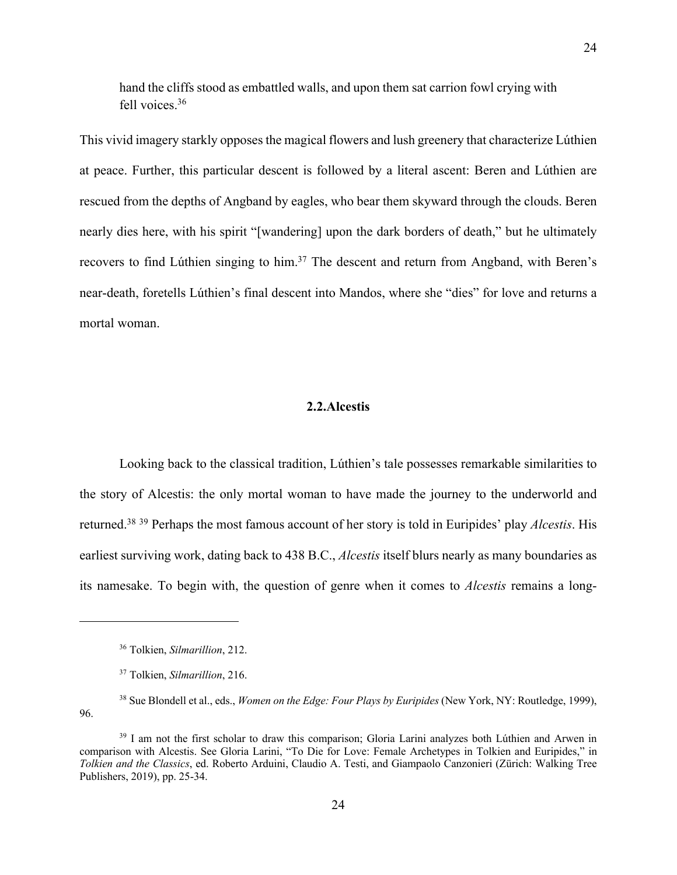<span id="page-23-0"></span>hand the cliffs stood as embattled walls, and upon them sat carrion fowl crying with fell voices.36

This vivid imagery starkly opposes the magical flowers and lush greenery that characterize Lúthien at peace. Further, this particular descent is followed by a literal ascent: Beren and Lúthien are rescued from the depths of Angband by eagles, who bear them skyward through the clouds. Beren nearly dies here, with his spirit "[wandering] upon the dark borders of death," but he ultimately recovers to find Lúthien singing to him.<sup>37</sup> The descent and return from Angband, with Beren's near-death, foretells Lúthien's final descent into Mandos, where she "dies" for love and returns a mortal woman.

### **2.2.Alcestis**

Looking back to the classical tradition, Lúthien's tale possesses remarkable similarities to the story of Alcestis: the only mortal woman to have made the journey to the underworld and returned.38 <sup>39</sup> Perhaps the most famous account of her story is told in Euripides' play *Alcestis*. His earliest surviving work, dating back to 438 B.C., *Alcestis* itself blurs nearly as many boundaries as its namesake. To begin with, the question of genre when it comes to *Alcestis* remains a long-

<sup>36</sup> Tolkien, *Silmarillion*, 212.

<sup>37</sup> Tolkien, *Silmarillion*, 216.

<sup>38</sup> Sue Blondell et al., eds., *Women on the Edge: Four Plays by Euripides* (New York, NY: Routledge, 1999), 96.

<sup>&</sup>lt;sup>39</sup> I am not the first scholar to draw this comparison; Gloria Larini analyzes both Lúthien and Arwen in comparison with Alcestis. See Gloria Larini, "To Die for Love: Female Archetypes in Tolkien and Euripides," in *Tolkien and the Classics*, ed. Roberto Arduini, Claudio A. Testi, and Giampaolo Canzonieri (Zürich: Walking Tree Publishers, 2019), pp. 25-34.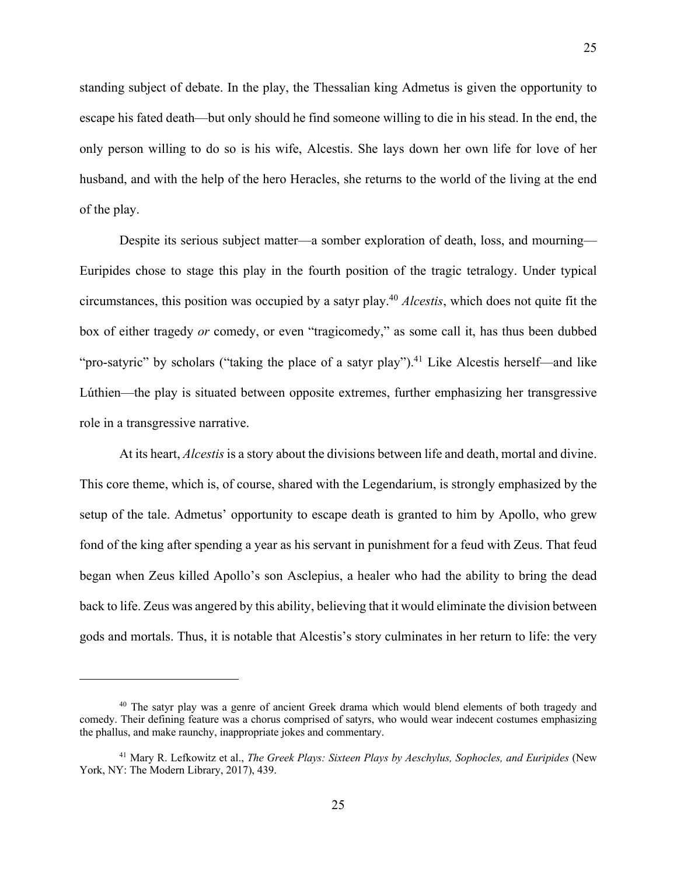standing subject of debate. In the play, the Thessalian king Admetus is given the opportunity to escape his fated death—but only should he find someone willing to die in his stead. In the end, the only person willing to do so is his wife, Alcestis. She lays down her own life for love of her husband, and with the help of the hero Heracles, she returns to the world of the living at the end of the play.

25

Despite its serious subject matter—a somber exploration of death, loss, and mourning— Euripides chose to stage this play in the fourth position of the tragic tetralogy. Under typical circumstances, this position was occupied by a satyr play.40 *Alcestis*, which does not quite fit the box of either tragedy *or* comedy, or even "tragicomedy," as some call it, has thus been dubbed "pro-satyric" by scholars ("taking the place of a satyr play").<sup>41</sup> Like Alcestis herself—and like Lúthien—the play is situated between opposite extremes, further emphasizing her transgressive role in a transgressive narrative.

At its heart, *Alcestis* is a story about the divisions between life and death, mortal and divine. This core theme, which is, of course, shared with the Legendarium, is strongly emphasized by the setup of the tale. Admetus' opportunity to escape death is granted to him by Apollo, who grew fond of the king after spending a year as his servant in punishment for a feud with Zeus. That feud began when Zeus killed Apollo's son Asclepius, a healer who had the ability to bring the dead back to life. Zeus was angered by this ability, believing that it would eliminate the division between gods and mortals. Thus, it is notable that Alcestis's story culminates in her return to life: the very

<sup>&</sup>lt;sup>40</sup> The satyr play was a genre of ancient Greek drama which would blend elements of both tragedy and comedy. Their defining feature was a chorus comprised of satyrs, who would wear indecent costumes emphasizing the phallus, and make raunchy, inappropriate jokes and commentary.

<sup>41</sup> Mary R. Lefkowitz et al., *The Greek Plays: Sixteen Plays by Aeschylus, Sophocles, and Euripides* (New York, NY: The Modern Library, 2017), 439.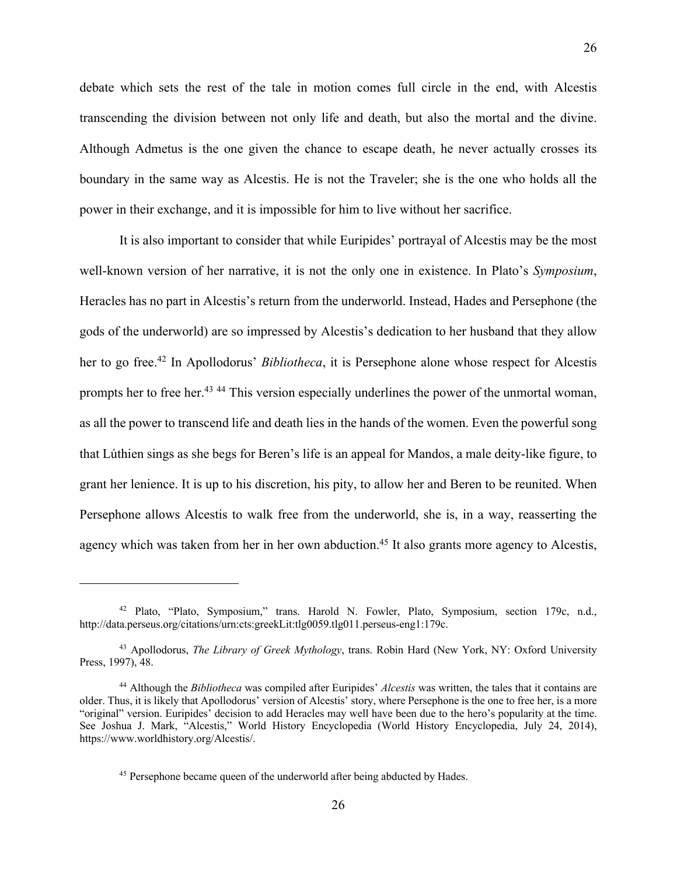debate which sets the rest of the tale in motion comes full circle in the end, with Alcestis transcending the division between not only life and death, but also the mortal and the divine. Although Admetus is the one given the chance to escape death, he never actually crosses its boundary in the same way as Alcestis. He is not the Traveler; she is the one who holds all the power in their exchange, and it is impossible for him to live without her sacrifice.

It is also important to consider that while Euripides' portrayal of Alcestis may be the most well-known version of her narrative, it is not the only one in existence. In Plato's *Symposium*, Heracles has no part in Alcestis's return from the underworld. Instead, Hades and Persephone (the gods of the underworld) are so impressed by Alcestis's dedication to her husband that they allow her to go free.42 In Apollodorus' *Bibliotheca*, it is Persephone alone whose respect for Alcestis prompts her to free her.43 <sup>44</sup> This version especially underlines the power of the unmortal woman, as all the power to transcend life and death lies in the hands of the women. Even the powerful song that Lúthien sings as she begs for Beren's life is an appeal for Mandos, a male deity-like figure, to grant her lenience. It is up to his discretion, his pity, to allow her and Beren to be reunited. When Persephone allows Alcestis to walk free from the underworld, she is, in a way, reasserting the agency which was taken from her in her own abduction.<sup>45</sup> It also grants more agency to Alcestis,

26

<sup>42</sup> Plato, "Plato, Symposium," trans. Harold N. Fowler, Plato, Symposium, section 179c, n.d., http://data.perseus.org/citations/urn:cts:greekLit:tlg0059.tlg011.perseus-eng1:179c.

<sup>43</sup> Apollodorus, *The Library of Greek Mythology*, trans. Robin Hard (New York, NY: Oxford University Press, 1997), 48.

<sup>44</sup> Although the *Bibliotheca* was compiled after Euripides' *Alcestis* was written, the tales that it contains are older. Thus, it is likely that Apollodorus' version of Alcestis' story, where Persephone is the one to free her, is a more "original" version. Euripides' decision to add Heracles may well have been due to the hero's popularity at the time. See Joshua J. Mark, "Alcestis," World History Encyclopedia (World History Encyclopedia, July 24, 2014), https://www.worldhistory.org/Alcestis/.

<sup>&</sup>lt;sup>45</sup> Persephone became queen of the underworld after being abducted by Hades.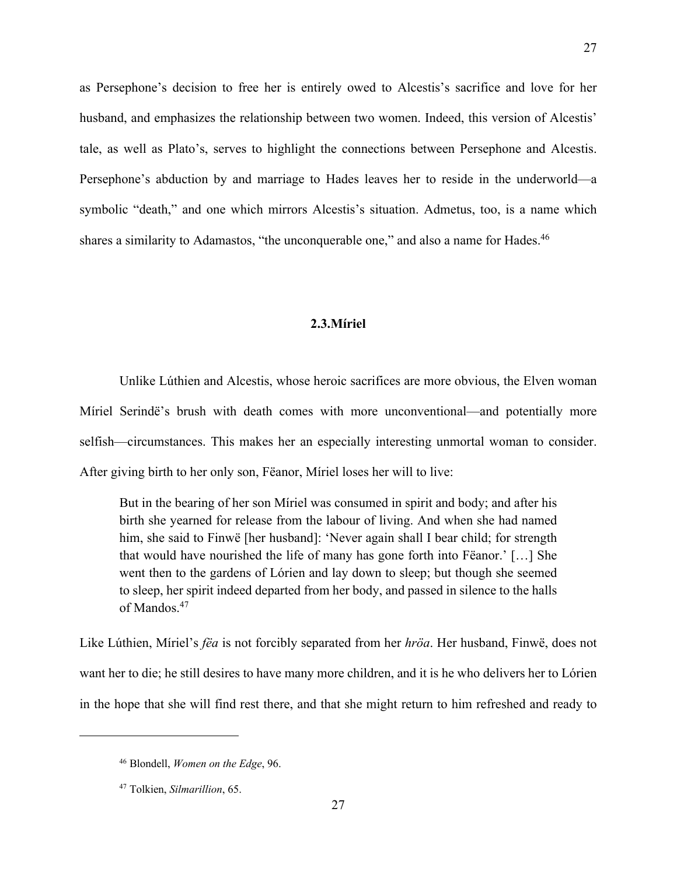<span id="page-26-0"></span>as Persephone's decision to free her is entirely owed to Alcestis's sacrifice and love for her husband, and emphasizes the relationship between two women. Indeed, this version of Alcestis' tale, as well as Plato's, serves to highlight the connections between Persephone and Alcestis. Persephone's abduction by and marriage to Hades leaves her to reside in the underworld—a symbolic "death," and one which mirrors Alcestis's situation. Admetus, too, is a name which shares a similarity to Adamastos, "the unconquerable one," and also a name for Hades.<sup>46</sup>

#### **2.3.Míriel**

Unlike Lúthien and Alcestis, whose heroic sacrifices are more obvious, the Elven woman Míriel Serindë's brush with death comes with more unconventional—and potentially more selfish—circumstances. This makes her an especially interesting unmortal woman to consider. After giving birth to her only son, Fëanor, Míriel loses her will to live:

But in the bearing of her son Míriel was consumed in spirit and body; and after his birth she yearned for release from the labour of living. And when she had named him, she said to Finwë [her husband]: 'Never again shall I bear child; for strength that would have nourished the life of many has gone forth into Fëanor.' […] She went then to the gardens of Lórien and lay down to sleep; but though she seemed to sleep, her spirit indeed departed from her body, and passed in silence to the halls of Mandos.47

Like Lúthien, Míriel's *fëa* is not forcibly separated from her *hröa*. Her husband, Finwë, does not want her to die; he still desires to have many more children, and it is he who delivers her to Lórien in the hope that she will find rest there, and that she might return to him refreshed and ready to

27

<sup>46</sup> Blondell, *Women on the Edge*, 96.

<sup>47</sup> Tolkien, *Silmarillion*, 65.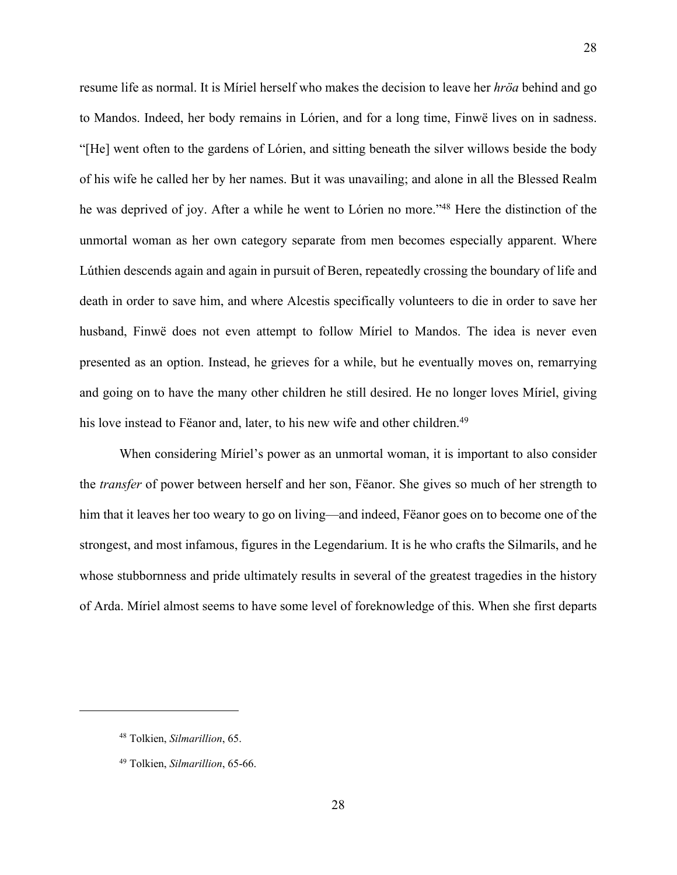resume life as normal. It is Míriel herself who makes the decision to leave her *hröa* behind and go to Mandos. Indeed, her body remains in Lórien, and for a long time, Finwë lives on in sadness. "[He] went often to the gardens of Lórien, and sitting beneath the silver willows beside the body of his wife he called her by her names. But it was unavailing; and alone in all the Blessed Realm he was deprived of joy. After a while he went to Lórien no more."48 Here the distinction of the unmortal woman as her own category separate from men becomes especially apparent. Where Lúthien descends again and again in pursuit of Beren, repeatedly crossing the boundary of life and death in order to save him, and where Alcestis specifically volunteers to die in order to save her husband, Finwë does not even attempt to follow Míriel to Mandos. The idea is never even presented as an option. Instead, he grieves for a while, but he eventually moves on, remarrying and going on to have the many other children he still desired. He no longer loves Míriel, giving his love instead to Fëanor and, later, to his new wife and other children.<sup>49</sup>

When considering Míriel's power as an unmortal woman, it is important to also consider the *transfer* of power between herself and her son, Fëanor. She gives so much of her strength to him that it leaves her too weary to go on living—and indeed, Fëanor goes on to become one of the strongest, and most infamous, figures in the Legendarium. It is he who crafts the Silmarils, and he whose stubbornness and pride ultimately results in several of the greatest tragedies in the history of Arda. Míriel almost seems to have some level of foreknowledge of this. When she first departs

<sup>48</sup> Tolkien, *Silmarillion*, 65.

<sup>49</sup> Tolkien, *Silmarillion*, 65-66.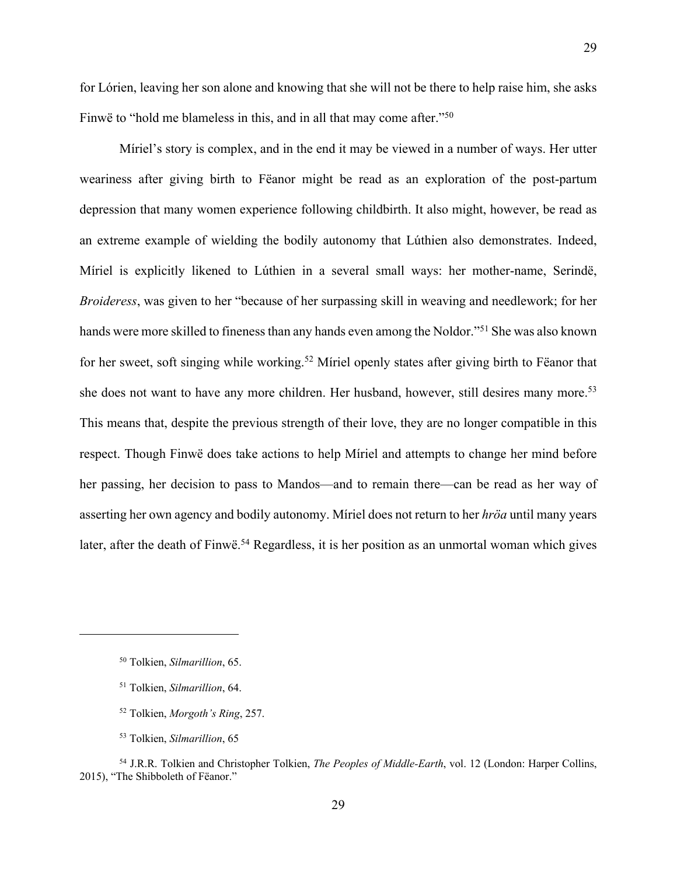for Lórien, leaving her son alone and knowing that she will not be there to help raise him, she asks Finwë to "hold me blameless in this, and in all that may come after."50

Míriel's story is complex, and in the end it may be viewed in a number of ways. Her utter weariness after giving birth to Fëanor might be read as an exploration of the post-partum depression that many women experience following childbirth. It also might, however, be read as an extreme example of wielding the bodily autonomy that Lúthien also demonstrates. Indeed, Míriel is explicitly likened to Lúthien in a several small ways: her mother-name, Serindë, *Broideress*, was given to her "because of her surpassing skill in weaving and needlework; for her hands were more skilled to fineness than any hands even among the Noldor."51 She was also known for her sweet, soft singing while working.52 Míriel openly states after giving birth to Fëanor that she does not want to have any more children. Her husband, however, still desires many more.<sup>53</sup> This means that, despite the previous strength of their love, they are no longer compatible in this respect. Though Finwë does take actions to help Míriel and attempts to change her mind before her passing, her decision to pass to Mandos—and to remain there—can be read as her way of asserting her own agency and bodily autonomy. Míriel does not return to her *hröa* until many years later, after the death of Finwë.<sup>54</sup> Regardless, it is her position as an unmortal woman which gives

<sup>50</sup> Tolkien, *Silmarillion*, 65.

<sup>51</sup> Tolkien, *Silmarillion*, 64.

<sup>52</sup> Tolkien, *Morgoth's Ring*, 257.

<sup>53</sup> Tolkien, *Silmarillion*, 65

<sup>54</sup> J.R.R. Tolkien and Christopher Tolkien, *The Peoples of Middle-Earth*, vol. 12 (London: Harper Collins, 2015), "The Shibboleth of Fëanor."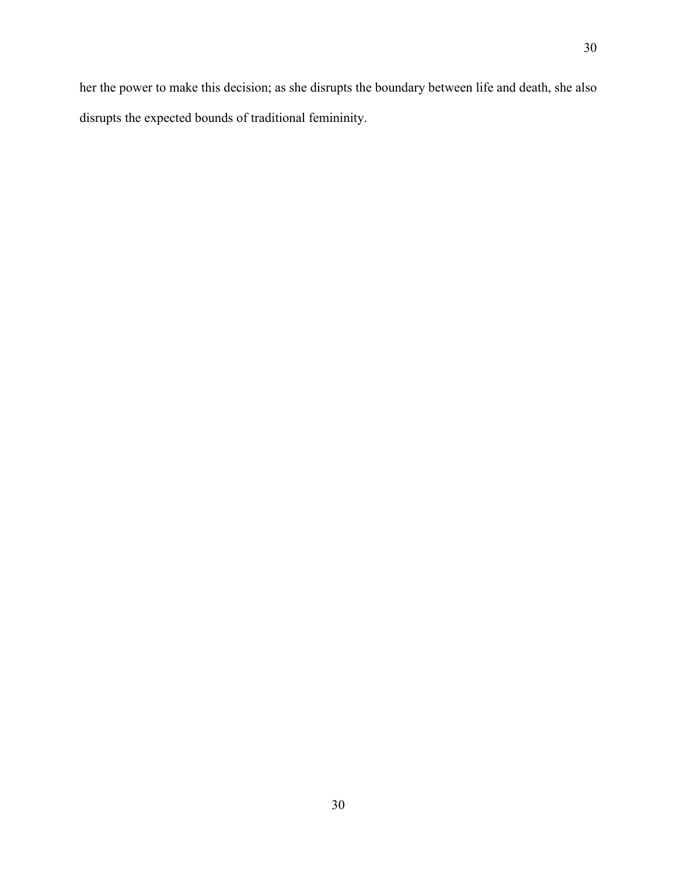her the power to make this decision; as she disrupts the boundary between life and death, she also disrupts the expected bounds of traditional femininity.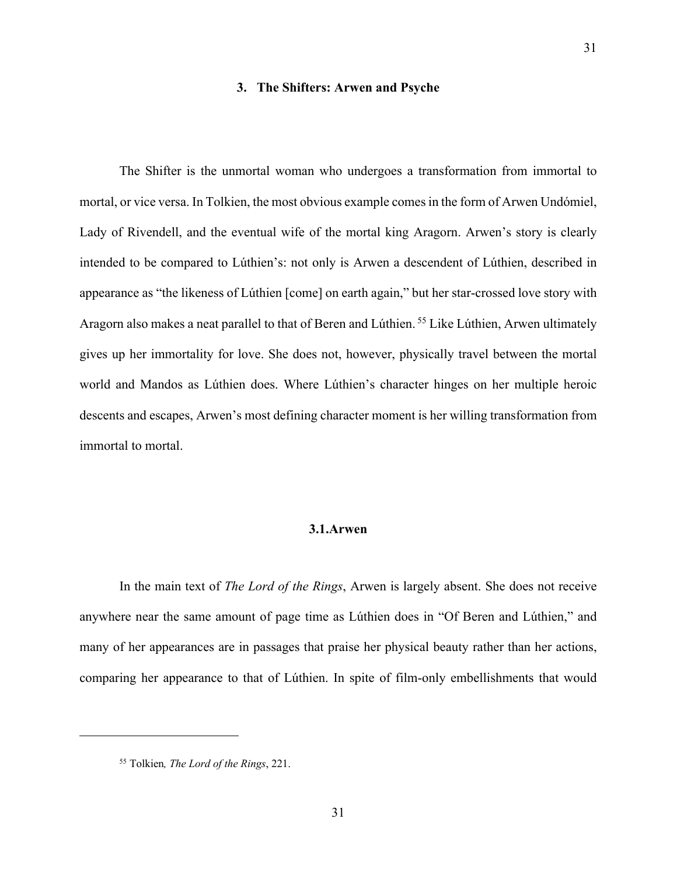#### **3. The Shifters: Arwen and Psyche**

31

<span id="page-30-0"></span>The Shifter is the unmortal woman who undergoes a transformation from immortal to mortal, or vice versa. In Tolkien, the most obvious example comes in the form of Arwen Undómiel, Lady of Rivendell, and the eventual wife of the mortal king Aragorn. Arwen's story is clearly intended to be compared to Lúthien's: not only is Arwen a descendent of Lúthien, described in appearance as "the likeness of Lúthien [come] on earth again," but her star-crossed love story with Aragorn also makes a neat parallel to that of Beren and Lúthien. <sup>55</sup> Like Lúthien, Arwen ultimately gives up her immortality for love. She does not, however, physically travel between the mortal world and Mandos as Lúthien does. Where Lúthien's character hinges on her multiple heroic descents and escapes, Arwen's most defining character moment is her willing transformation from immortal to mortal.

#### **3.1.Arwen**

In the main text of *The Lord of the Rings*, Arwen is largely absent. She does not receive anywhere near the same amount of page time as Lúthien does in "Of Beren and Lúthien," and many of her appearances are in passages that praise her physical beauty rather than her actions, comparing her appearance to that of Lúthien. In spite of film-only embellishments that would

<sup>55</sup> Tolkien*, The Lord of the Rings*, 221.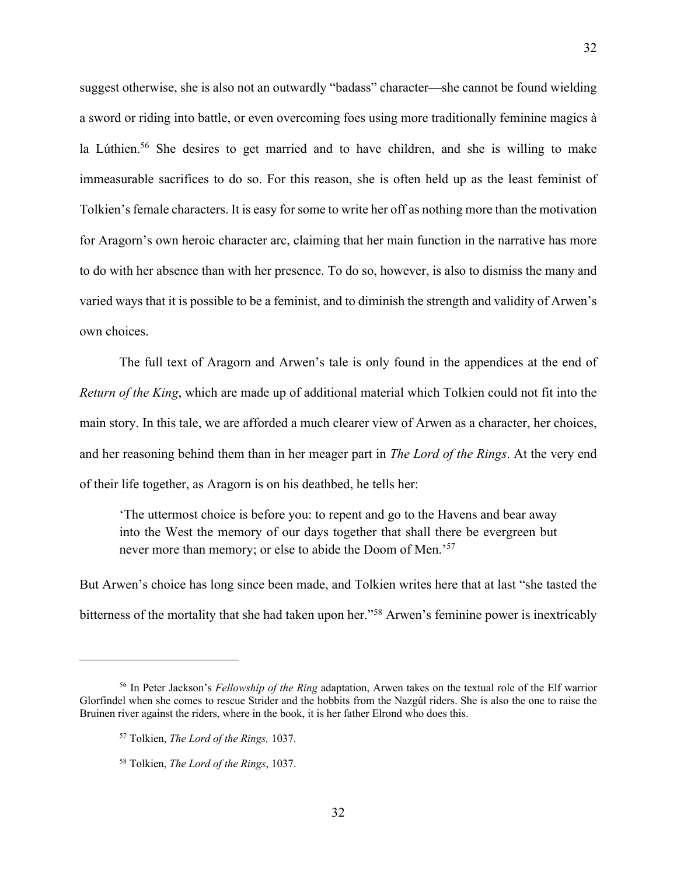suggest otherwise, she is also not an outwardly "badass" character—she cannot be found wielding a sword or riding into battle, or even overcoming foes using more traditionally feminine magics à la Lúthien.<sup>56</sup> She desires to get married and to have children, and she is willing to make immeasurable sacrifices to do so. For this reason, she is often held up as the least feminist of Tolkien's female characters. It is easy for some to write her off as nothing more than the motivation for Aragorn's own heroic character arc, claiming that her main function in the narrative has more to do with her absence than with her presence. To do so, however, is also to dismiss the many and varied ways that it is possible to be a feminist, and to diminish the strength and validity of Arwen's own choices.

The full text of Aragorn and Arwen's tale is only found in the appendices at the end of *Return of the King*, which are made up of additional material which Tolkien could not fit into the main story. In this tale, we are afforded a much clearer view of Arwen as a character, her choices, and her reasoning behind them than in her meager part in *The Lord of the Rings*. At the very end of their life together, as Aragorn is on his deathbed, he tells her:

'The uttermost choice is before you: to repent and go to the Havens and bear away into the West the memory of our days together that shall there be evergreen but never more than memory; or else to abide the Doom of Men.<sup>57</sup>

But Arwen's choice has long since been made, and Tolkien writes here that at last "she tasted the bitterness of the mortality that she had taken upon her."58 Arwen's feminine power is inextricably

<sup>56</sup> In Peter Jackson's *Fellowship of the Ring* adaptation, Arwen takes on the textual role of the Elf warrior Glorfindel when she comes to rescue Strider and the hobbits from the Nazgûl riders. She is also the one to raise the Bruinen river against the riders, where in the book, it is her father Elrond who does this.

<sup>57</sup> Tolkien, *The Lord of the Rings,* 1037.

<sup>58</sup> Tolkien, *The Lord of the Rings*, 1037.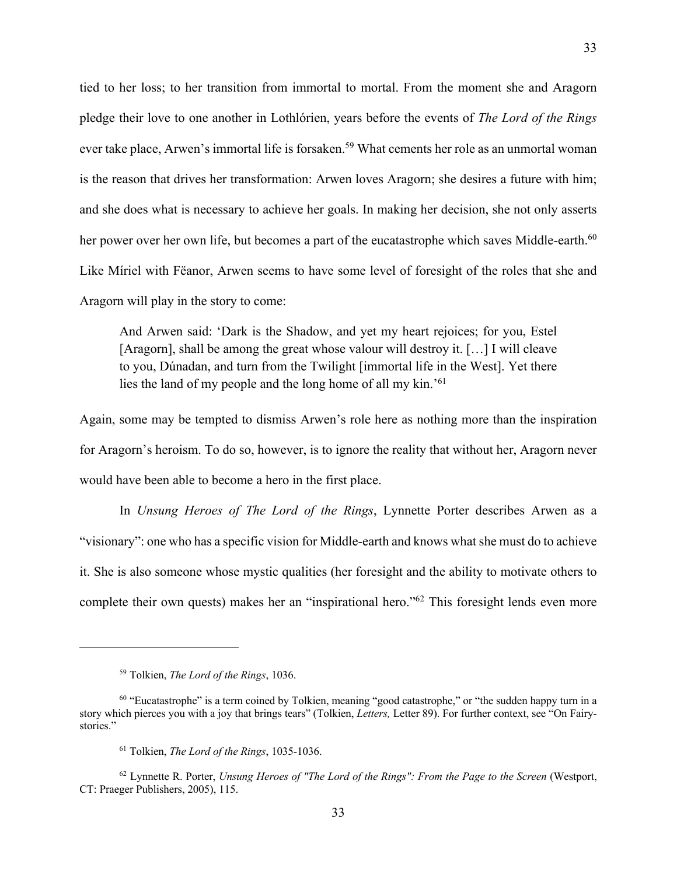tied to her loss; to her transition from immortal to mortal. From the moment she and Aragorn pledge their love to one another in Lothlórien, years before the events of *The Lord of the Rings* ever take place, Arwen's immortal life is forsaken.<sup>59</sup> What cements her role as an unmortal woman is the reason that drives her transformation: Arwen loves Aragorn; she desires a future with him; and she does what is necessary to achieve her goals. In making her decision, she not only asserts her power over her own life, but becomes a part of the eucatastrophe which saves Middle-earth.<sup>60</sup> Like Míriel with Fëanor, Arwen seems to have some level of foresight of the roles that she and Aragorn will play in the story to come:

And Arwen said: 'Dark is the Shadow, and yet my heart rejoices; for you, Estel [Aragorn], shall be among the great whose valour will destroy it. […] I will cleave to you, Dúnadan, and turn from the Twilight [immortal life in the West]. Yet there lies the land of my people and the long home of all my kin.'61

Again, some may be tempted to dismiss Arwen's role here as nothing more than the inspiration for Aragorn's heroism. To do so, however, is to ignore the reality that without her, Aragorn never would have been able to become a hero in the first place.

In *Unsung Heroes of The Lord of the Rings*, Lynnette Porter describes Arwen as a "visionary": one who has a specific vision for Middle-earth and knows what she must do to achieve it. She is also someone whose mystic qualities (her foresight and the ability to motivate others to complete their own quests) makes her an "inspirational hero."62 This foresight lends even more

<sup>59</sup> Tolkien, *The Lord of the Rings*, 1036.

<sup>&</sup>lt;sup>60</sup> "Eucatastrophe" is a term coined by Tolkien, meaning "good catastrophe," or "the sudden happy turn in a story which pierces you with a joy that brings tears" (Tolkien, *Letters,* Letter 89). For further context, see "On Fairystories."

<sup>61</sup> Tolkien, *The Lord of the Rings*, 1035-1036.

<sup>62</sup> Lynnette R. Porter, *Unsung Heroes of "The Lord of the Rings": From the Page to the Screen* (Westport, CT: Praeger Publishers, 2005), 115.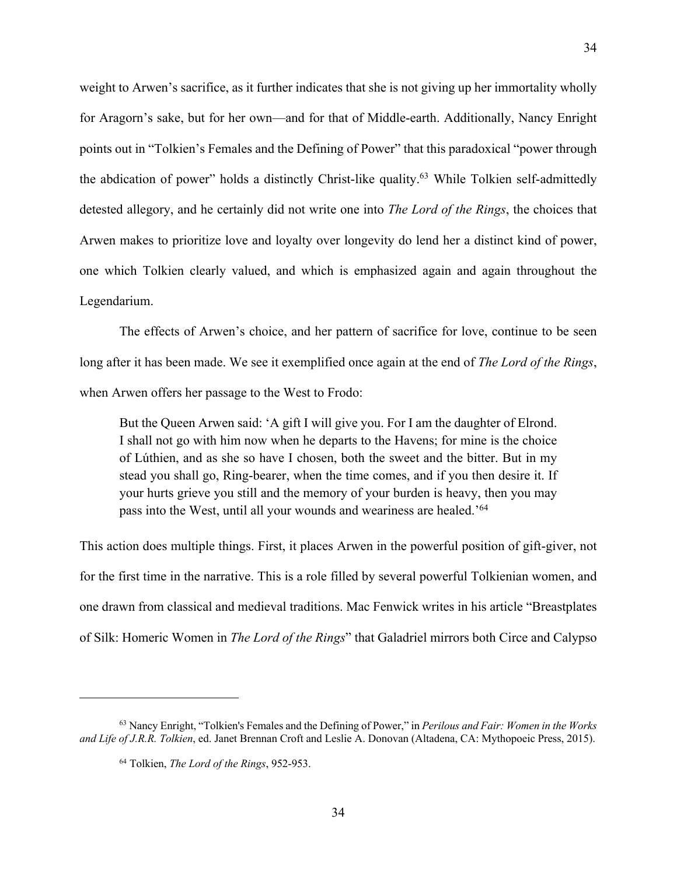weight to Arwen's sacrifice, as it further indicates that she is not giving up her immortality wholly for Aragorn's sake, but for her own—and for that of Middle-earth. Additionally, Nancy Enright points out in "Tolkien's Females and the Defining of Power" that this paradoxical "power through the abdication of power" holds a distinctly Christ-like quality.63 While Tolkien self-admittedly detested allegory, and he certainly did not write one into *The Lord of the Rings*, the choices that Arwen makes to prioritize love and loyalty over longevity do lend her a distinct kind of power, one which Tolkien clearly valued, and which is emphasized again and again throughout the Legendarium.

The effects of Arwen's choice, and her pattern of sacrifice for love, continue to be seen long after it has been made. We see it exemplified once again at the end of *The Lord of the Rings*, when Arwen offers her passage to the West to Frodo:

But the Queen Arwen said: 'A gift I will give you. For I am the daughter of Elrond. I shall not go with him now when he departs to the Havens; for mine is the choice of Lúthien, and as she so have I chosen, both the sweet and the bitter. But in my stead you shall go, Ring-bearer, when the time comes, and if you then desire it. If your hurts grieve you still and the memory of your burden is heavy, then you may pass into the West, until all your wounds and weariness are healed.'64

This action does multiple things. First, it places Arwen in the powerful position of gift-giver, not for the first time in the narrative. This is a role filled by several powerful Tolkienian women, and one drawn from classical and medieval traditions. Mac Fenwick writes in his article "Breastplates of Silk: Homeric Women in *The Lord of the Rings*" that Galadriel mirrors both Circe and Calypso

<sup>63</sup> Nancy Enright, "Tolkien's Females and the Defining of Power," in *Perilous and Fair: Women in the Works and Life of J.R.R. Tolkien*, ed. Janet Brennan Croft and Leslie A. Donovan (Altadena, CA: Mythopoeic Press, 2015).

<sup>64</sup> Tolkien, *The Lord of the Rings*, 952-953.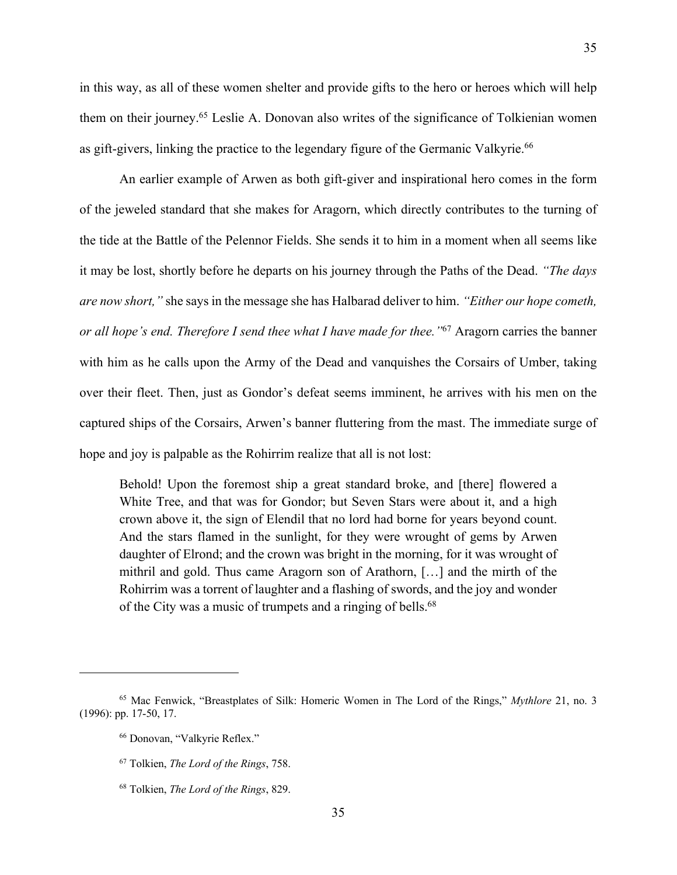in this way, as all of these women shelter and provide gifts to the hero or heroes which will help them on their journey.65 Leslie A. Donovan also writes of the significance of Tolkienian women as gift-givers, linking the practice to the legendary figure of the Germanic Valkyrie.<sup>66</sup>

An earlier example of Arwen as both gift-giver and inspirational hero comes in the form of the jeweled standard that she makes for Aragorn, which directly contributes to the turning of the tide at the Battle of the Pelennor Fields. She sends it to him in a moment when all seems like it may be lost, shortly before he departs on his journey through the Paths of the Dead. *"The days are now short,"* she says in the message she has Halbarad deliver to him. *"Either our hope cometh, or all hope's end. Therefore I send thee what I have made for thee."*<sup>67</sup> Aragorn carries the banner with him as he calls upon the Army of the Dead and vanquishes the Corsairs of Umber, taking over their fleet. Then, just as Gondor's defeat seems imminent, he arrives with his men on the captured ships of the Corsairs, Arwen's banner fluttering from the mast. The immediate surge of hope and joy is palpable as the Rohirrim realize that all is not lost:

Behold! Upon the foremost ship a great standard broke, and [there] flowered a White Tree, and that was for Gondor; but Seven Stars were about it, and a high crown above it, the sign of Elendil that no lord had borne for years beyond count. And the stars flamed in the sunlight, for they were wrought of gems by Arwen daughter of Elrond; and the crown was bright in the morning, for it was wrought of mithril and gold. Thus came Aragorn son of Arathorn, […] and the mirth of the Rohirrim was a torrent of laughter and a flashing of swords, and the joy and wonder of the City was a music of trumpets and a ringing of bells.<sup>68</sup>

<sup>65</sup> Mac Fenwick, "Breastplates of Silk: Homeric Women in The Lord of the Rings," *Mythlore* 21, no. 3 (1996): pp. 17-50, 17.

<sup>66</sup> Donovan, "Valkyrie Reflex."

<sup>67</sup> Tolkien, *The Lord of the Rings*, 758.

<sup>68</sup> Tolkien, *The Lord of the Rings*, 829.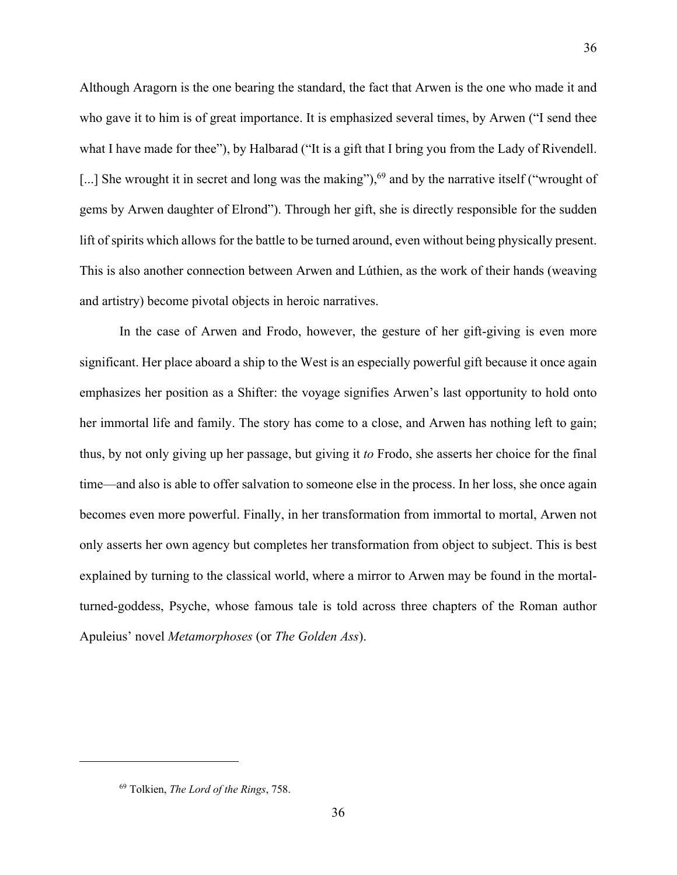Although Aragorn is the one bearing the standard, the fact that Arwen is the one who made it and who gave it to him is of great importance. It is emphasized several times, by Arwen ("I send thee what I have made for thee"), by Halbarad ("It is a gift that I bring you from the Lady of Rivendell. [...] She wrought it in secret and long was the making"),<sup>69</sup> and by the narrative itself ("wrought of gems by Arwen daughter of Elrond"). Through her gift, she is directly responsible for the sudden lift of spirits which allows for the battle to be turned around, even without being physically present. This is also another connection between Arwen and Lúthien, as the work of their hands (weaving and artistry) become pivotal objects in heroic narratives.

36

In the case of Arwen and Frodo, however, the gesture of her gift-giving is even more significant. Her place aboard a ship to the West is an especially powerful gift because it once again emphasizes her position as a Shifter: the voyage signifies Arwen's last opportunity to hold onto her immortal life and family. The story has come to a close, and Arwen has nothing left to gain; thus, by not only giving up her passage, but giving it *to* Frodo, she asserts her choice for the final time—and also is able to offer salvation to someone else in the process. In her loss, she once again becomes even more powerful. Finally, in her transformation from immortal to mortal, Arwen not only asserts her own agency but completes her transformation from object to subject. This is best explained by turning to the classical world, where a mirror to Arwen may be found in the mortalturned-goddess, Psyche, whose famous tale is told across three chapters of the Roman author Apuleius' novel *Metamorphoses* (or *The Golden Ass*).

<sup>69</sup> Tolkien, *The Lord of the Rings*, 758.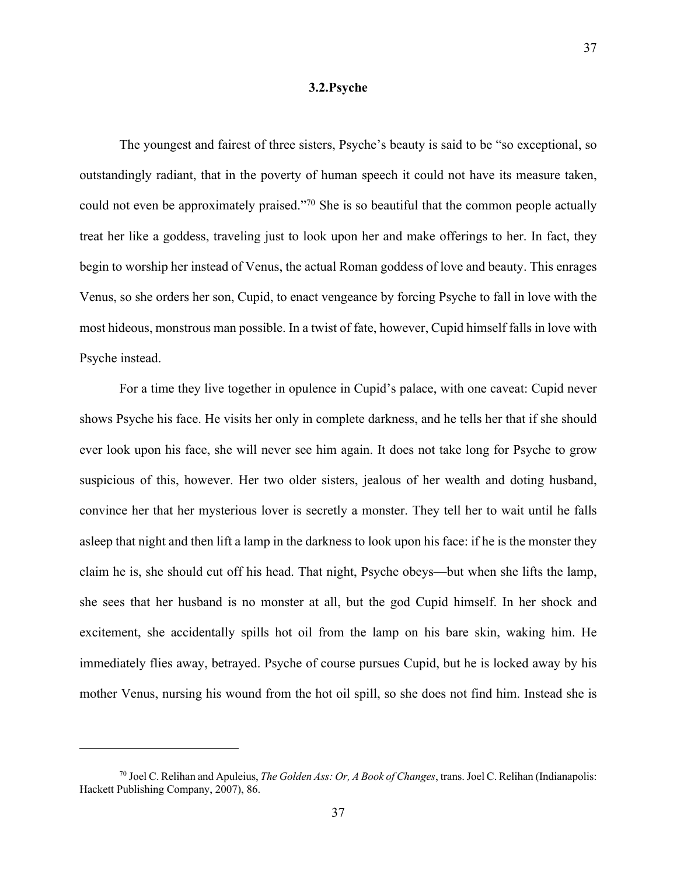#### **3.2.Psyche**

The youngest and fairest of three sisters, Psyche's beauty is said to be "so exceptional, so outstandingly radiant, that in the poverty of human speech it could not have its measure taken, could not even be approximately praised."70 She is so beautiful that the common people actually treat her like a goddess, traveling just to look upon her and make offerings to her. In fact, they begin to worship her instead of Venus, the actual Roman goddess of love and beauty. This enrages Venus, so she orders her son, Cupid, to enact vengeance by forcing Psyche to fall in love with the most hideous, monstrous man possible. In a twist of fate, however, Cupid himself falls in love with Psyche instead.

For a time they live together in opulence in Cupid's palace, with one caveat: Cupid never shows Psyche his face. He visits her only in complete darkness, and he tells her that if she should ever look upon his face, she will never see him again. It does not take long for Psyche to grow suspicious of this, however. Her two older sisters, jealous of her wealth and doting husband, convince her that her mysterious lover is secretly a monster. They tell her to wait until he falls asleep that night and then lift a lamp in the darkness to look upon his face: if he is the monster they claim he is, she should cut off his head. That night, Psyche obeys—but when she lifts the lamp, she sees that her husband is no monster at all, but the god Cupid himself. In her shock and excitement, she accidentally spills hot oil from the lamp on his bare skin, waking him. He immediately flies away, betrayed. Psyche of course pursues Cupid, but he is locked away by his mother Venus, nursing his wound from the hot oil spill, so she does not find him. Instead she is

<sup>70</sup> Joel C. Relihan and Apuleius, *The Golden Ass: Or, A Book of Changes*, trans. Joel C. Relihan (Indianapolis: Hackett Publishing Company, 2007), 86.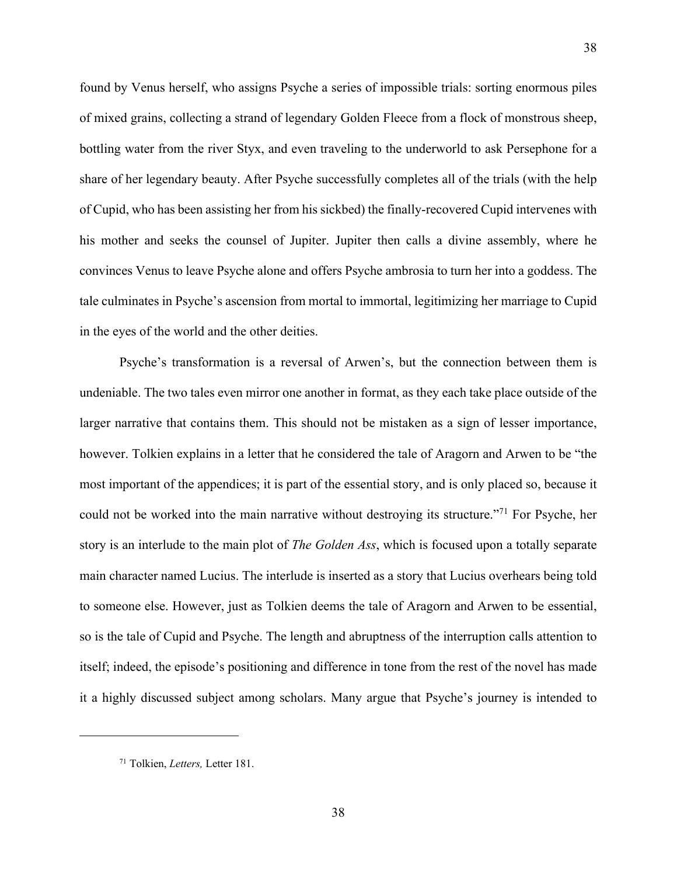found by Venus herself, who assigns Psyche a series of impossible trials: sorting enormous piles of mixed grains, collecting a strand of legendary Golden Fleece from a flock of monstrous sheep, bottling water from the river Styx, and even traveling to the underworld to ask Persephone for a share of her legendary beauty. After Psyche successfully completes all of the trials (with the help of Cupid, who has been assisting her from his sickbed) the finally-recovered Cupid intervenes with his mother and seeks the counsel of Jupiter. Jupiter then calls a divine assembly, where he convinces Venus to leave Psyche alone and offers Psyche ambrosia to turn her into a goddess. The tale culminates in Psyche's ascension from mortal to immortal, legitimizing her marriage to Cupid in the eyes of the world and the other deities.

38

Psyche's transformation is a reversal of Arwen's, but the connection between them is undeniable. The two tales even mirror one another in format, as they each take place outside of the larger narrative that contains them. This should not be mistaken as a sign of lesser importance, however. Tolkien explains in a letter that he considered the tale of Aragorn and Arwen to be "the most important of the appendices; it is part of the essential story, and is only placed so, because it could not be worked into the main narrative without destroying its structure."71 For Psyche, her story is an interlude to the main plot of *The Golden Ass*, which is focused upon a totally separate main character named Lucius. The interlude is inserted as a story that Lucius overhears being told to someone else. However, just as Tolkien deems the tale of Aragorn and Arwen to be essential, so is the tale of Cupid and Psyche. The length and abruptness of the interruption calls attention to itself; indeed, the episode's positioning and difference in tone from the rest of the novel has made it a highly discussed subject among scholars. Many argue that Psyche's journey is intended to

<sup>71</sup> Tolkien, *Letters,* Letter 181.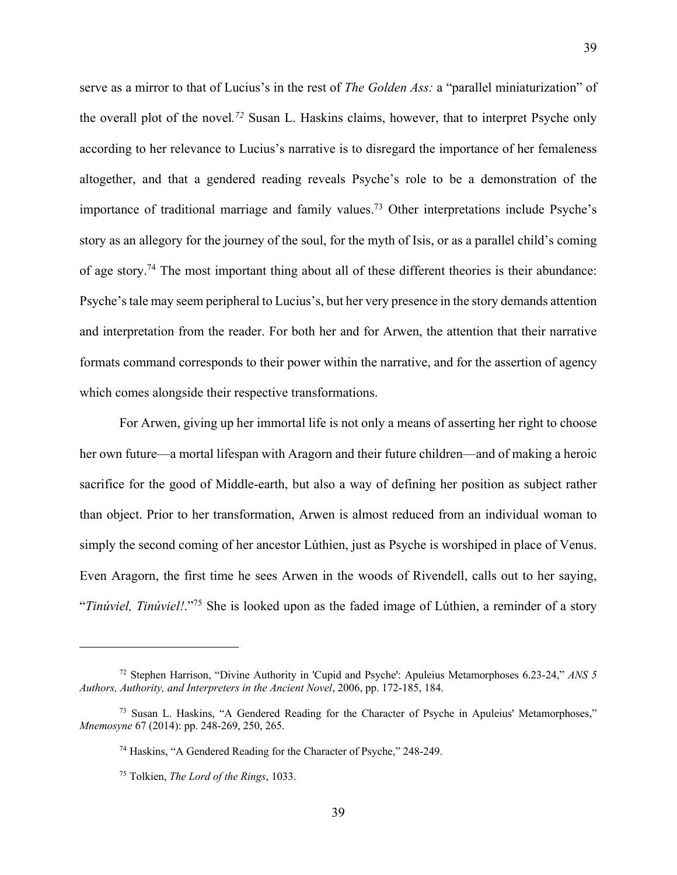serve as a mirror to that of Lucius's in the rest of *The Golden Ass:* a "parallel miniaturization" of the overall plot of the novel*. <sup>72</sup>* Susan L. Haskins claims, however, that to interpret Psyche only according to her relevance to Lucius's narrative is to disregard the importance of her femaleness altogether, and that a gendered reading reveals Psyche's role to be a demonstration of the importance of traditional marriage and family values.73 Other interpretations include Psyche's story as an allegory for the journey of the soul, for the myth of Isis, or as a parallel child's coming of age story.74 The most important thing about all of these different theories is their abundance: Psyche's tale may seem peripheral to Lucius's, but her very presence in the story demands attention and interpretation from the reader. For both her and for Arwen, the attention that their narrative formats command corresponds to their power within the narrative, and for the assertion of agency which comes alongside their respective transformations.

For Arwen, giving up her immortal life is not only a means of asserting her right to choose her own future—a mortal lifespan with Aragorn and their future children—and of making a heroic sacrifice for the good of Middle-earth, but also a way of defining her position as subject rather than object. Prior to her transformation, Arwen is almost reduced from an individual woman to simply the second coming of her ancestor Lúthien, just as Psyche is worshiped in place of Venus. Even Aragorn, the first time he sees Arwen in the woods of Rivendell, calls out to her saying, "*Tinúviel, Tinúviel!*."75 She is looked upon as the faded image of Lúthien, a reminder of a story

<sup>72</sup> Stephen Harrison, "Divine Authority in 'Cupid and Psyche': Apuleius Metamorphoses 6.23-24," *ANS 5 Authors, Authority, and Interpreters in the Ancient Novel*, 2006, pp. 172-185, 184.

 $73$  Susan L. Haskins, "A Gendered Reading for the Character of Psyche in Apuleius' Metamorphoses," *Mnemosyne* 67 (2014): pp. 248-269, 250, 265.

<sup>74</sup> Haskins, "A Gendered Reading for the Character of Psyche," 248-249.

<sup>75</sup> Tolkien, *The Lord of the Rings*, 1033.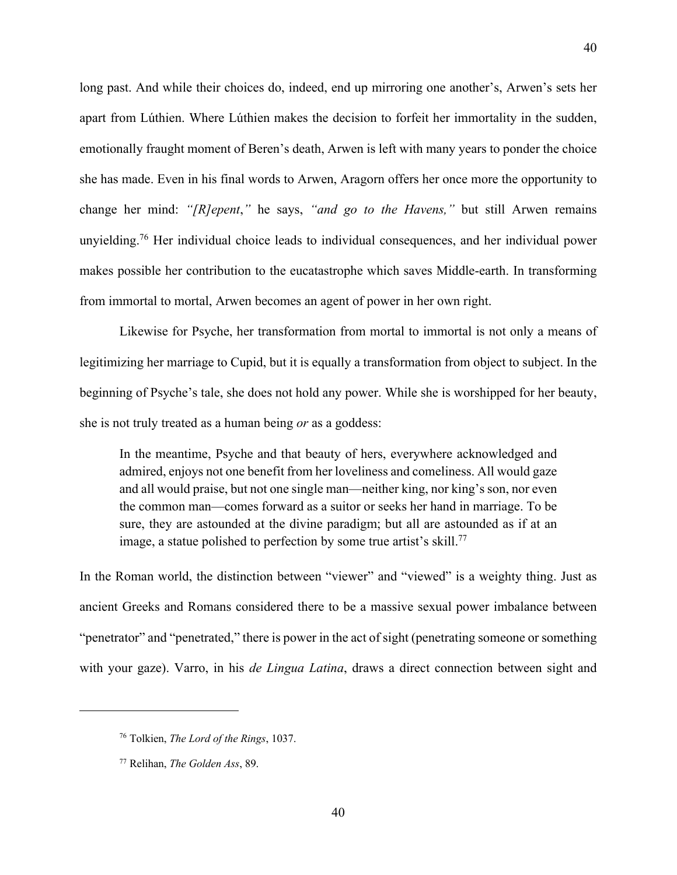long past. And while their choices do, indeed, end up mirroring one another's, Arwen's sets her apart from Lúthien. Where Lúthien makes the decision to forfeit her immortality in the sudden, emotionally fraught moment of Beren's death, Arwen is left with many years to ponder the choice she has made. Even in his final words to Arwen, Aragorn offers her once more the opportunity to change her mind: *"[R]epent*,*"* he says, *"and go to the Havens,"* but still Arwen remains unyielding.<sup>76</sup> Her individual choice leads to individual consequences, and her individual power makes possible her contribution to the eucatastrophe which saves Middle-earth. In transforming from immortal to mortal, Arwen becomes an agent of power in her own right.

Likewise for Psyche, her transformation from mortal to immortal is not only a means of legitimizing her marriage to Cupid, but it is equally a transformation from object to subject. In the beginning of Psyche's tale, she does not hold any power. While she is worshipped for her beauty, she is not truly treated as a human being *or* as a goddess:

In the meantime, Psyche and that beauty of hers, everywhere acknowledged and admired, enjoys not one benefit from her loveliness and comeliness. All would gaze and all would praise, but not one single man—neither king, nor king's son, nor even the common man—comes forward as a suitor or seeks her hand in marriage. To be sure, they are astounded at the divine paradigm; but all are astounded as if at an image, a statue polished to perfection by some true artist's skill.<sup>77</sup>

In the Roman world, the distinction between "viewer" and "viewed" is a weighty thing. Just as ancient Greeks and Romans considered there to be a massive sexual power imbalance between "penetrator" and "penetrated," there is power in the act of sight (penetrating someone or something with your gaze). Varro, in his *de Lingua Latina*, draws a direct connection between sight and

<sup>76</sup> Tolkien, *The Lord of the Rings*, 1037.

<sup>77</sup> Relihan, *The Golden Ass*, 89.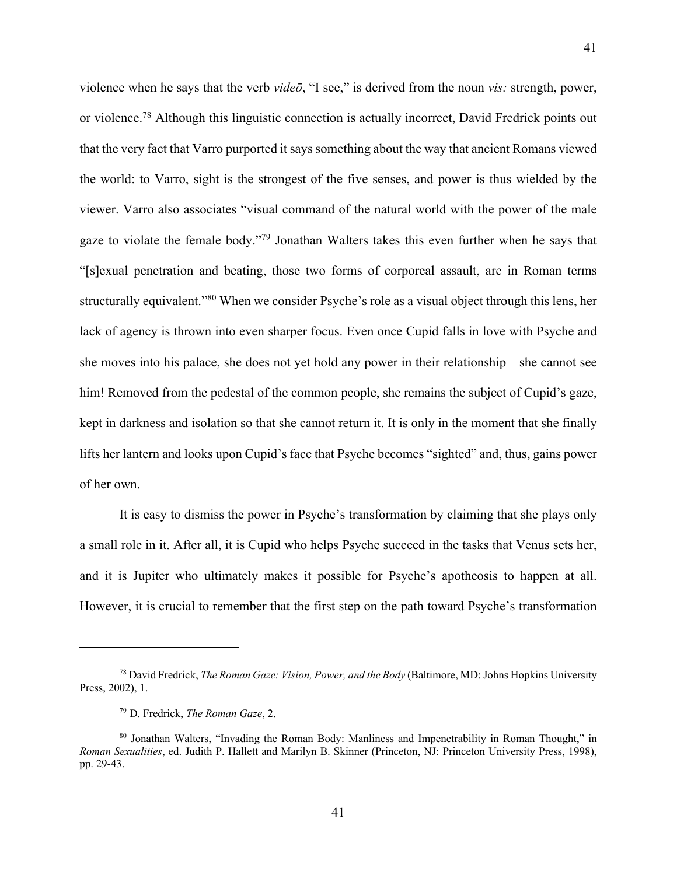violence when he says that the verb *videō*, "I see," is derived from the noun *vis:* strength, power, or violence.78 Although this linguistic connection is actually incorrect, David Fredrick points out that the very fact that Varro purported it says something about the way that ancient Romans viewed the world: to Varro, sight is the strongest of the five senses, and power is thus wielded by the viewer. Varro also associates "visual command of the natural world with the power of the male gaze to violate the female body."79 Jonathan Walters takes this even further when he says that "[s]exual penetration and beating, those two forms of corporeal assault, are in Roman terms structurally equivalent."80 When we consider Psyche's role as a visual object through this lens, her lack of agency is thrown into even sharper focus. Even once Cupid falls in love with Psyche and she moves into his palace, she does not yet hold any power in their relationship—she cannot see him! Removed from the pedestal of the common people, she remains the subject of Cupid's gaze, kept in darkness and isolation so that she cannot return it. It is only in the moment that she finally lifts her lantern and looks upon Cupid's face that Psyche becomes "sighted" and, thus, gains power of her own.

It is easy to dismiss the power in Psyche's transformation by claiming that she plays only a small role in it. After all, it is Cupid who helps Psyche succeed in the tasks that Venus sets her, and it is Jupiter who ultimately makes it possible for Psyche's apotheosis to happen at all. However, it is crucial to remember that the first step on the path toward Psyche's transformation

<sup>78</sup> David Fredrick, *The Roman Gaze: Vision, Power, and the Body* (Baltimore, MD: Johns Hopkins University Press, 2002), 1.

<sup>79</sup> D. Fredrick, *The Roman Gaze*, 2.

<sup>80</sup> Jonathan Walters, "Invading the Roman Body: Manliness and Impenetrability in Roman Thought," in *Roman Sexualities*, ed. Judith P. Hallett and Marilyn B. Skinner (Princeton, NJ: Princeton University Press, 1998), pp. 29-43.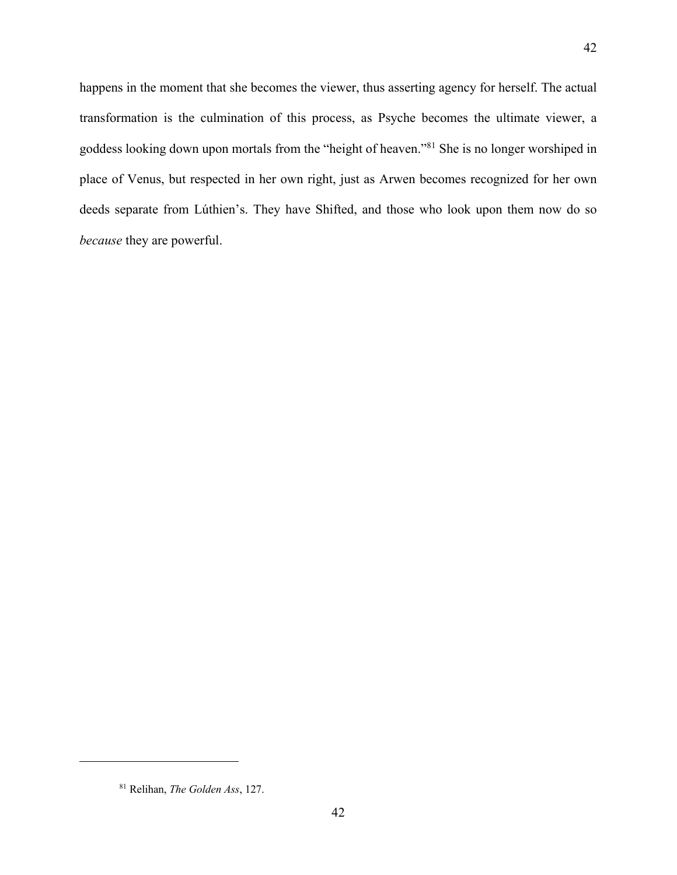happens in the moment that she becomes the viewer, thus asserting agency for herself. The actual transformation is the culmination of this process, as Psyche becomes the ultimate viewer, a goddess looking down upon mortals from the "height of heaven."81 She is no longer worshiped in place of Venus, but respected in her own right, just as Arwen becomes recognized for her own deeds separate from Lúthien's. They have Shifted, and those who look upon them now do so *because* they are powerful.

<sup>81</sup> Relihan, *The Golden Ass*, 127.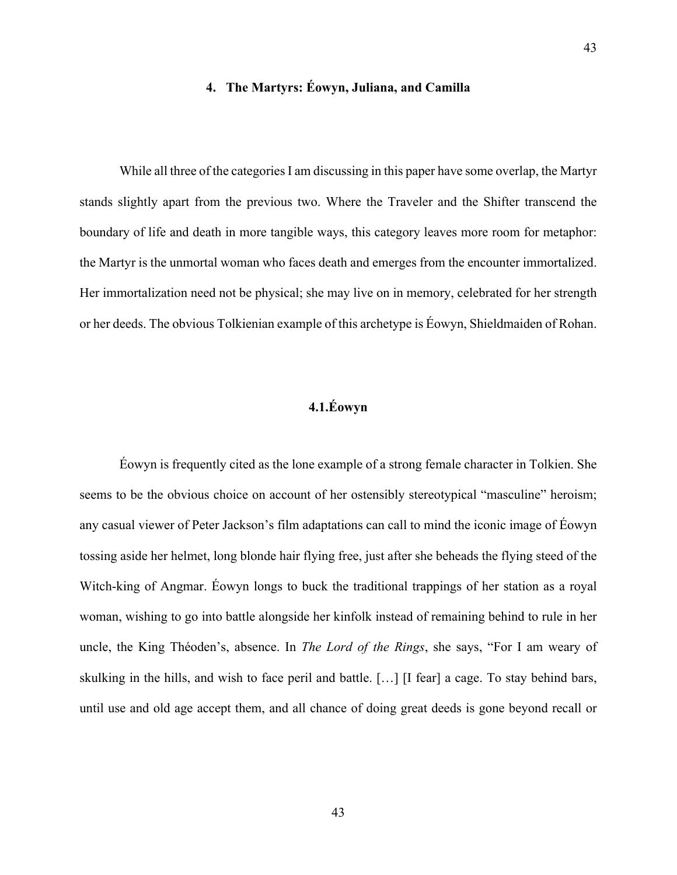# **4. The Martyrs: Éowyn, Juliana, and Camilla**

43

While all three of the categories I am discussing in this paper have some overlap, the Martyr stands slightly apart from the previous two. Where the Traveler and the Shifter transcend the boundary of life and death in more tangible ways, this category leaves more room for metaphor: the Martyr is the unmortal woman who faces death and emerges from the encounter immortalized. Her immortalization need not be physical; she may live on in memory, celebrated for her strength or her deeds. The obvious Tolkienian example of this archetype is Éowyn, Shieldmaiden of Rohan.

# **4.1.Éowyn**

Éowyn is frequently cited as the lone example of a strong female character in Tolkien. She seems to be the obvious choice on account of her ostensibly stereotypical "masculine" heroism; any casual viewer of Peter Jackson's film adaptations can call to mind the iconic image of Éowyn tossing aside her helmet, long blonde hair flying free, just after she beheads the flying steed of the Witch-king of Angmar. Éowyn longs to buck the traditional trappings of her station as a royal woman, wishing to go into battle alongside her kinfolk instead of remaining behind to rule in her uncle, the King Théoden's, absence. In *The Lord of the Rings*, she says, "For I am weary of skulking in the hills, and wish to face peril and battle. […] [I fear] a cage. To stay behind bars, until use and old age accept them, and all chance of doing great deeds is gone beyond recall or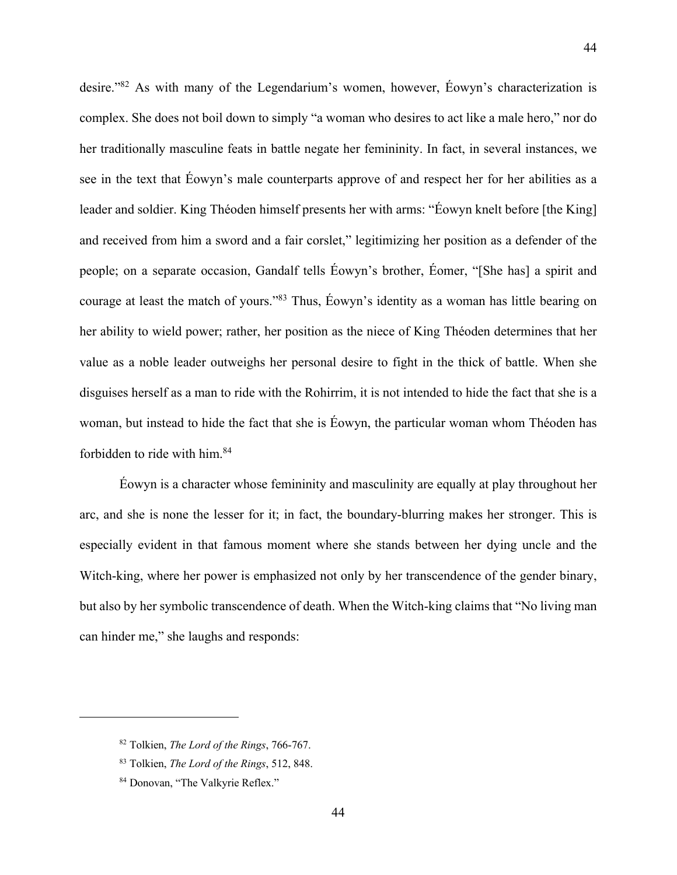desire."82 As with many of the Legendarium's women, however, Éowyn's characterization is complex. She does not boil down to simply "a woman who desires to act like a male hero," nor do her traditionally masculine feats in battle negate her femininity. In fact, in several instances, we see in the text that Éowyn's male counterparts approve of and respect her for her abilities as a leader and soldier. King Théoden himself presents her with arms: "Éowyn knelt before [the King] and received from him a sword and a fair corslet," legitimizing her position as a defender of the people; on a separate occasion, Gandalf tells Éowyn's brother, Éomer, "[She has] a spirit and courage at least the match of yours."83 Thus, Éowyn's identity as a woman has little bearing on her ability to wield power; rather, her position as the niece of King Théoden determines that her value as a noble leader outweighs her personal desire to fight in the thick of battle. When she disguises herself as a man to ride with the Rohirrim, it is not intended to hide the fact that she is a woman, but instead to hide the fact that she is Éowyn, the particular woman whom Théoden has forbidden to ride with him.84

Éowyn is a character whose femininity and masculinity are equally at play throughout her arc, and she is none the lesser for it; in fact, the boundary-blurring makes her stronger. This is especially evident in that famous moment where she stands between her dying uncle and the Witch-king, where her power is emphasized not only by her transcendence of the gender binary, but also by her symbolic transcendence of death. When the Witch-king claims that "No living man can hinder me," she laughs and responds:

<sup>82</sup> Tolkien, *The Lord of the Rings*, 766-767.

<sup>83</sup> Tolkien, *The Lord of the Rings*, 512, 848.

<sup>84</sup> Donovan, "The Valkyrie Reflex."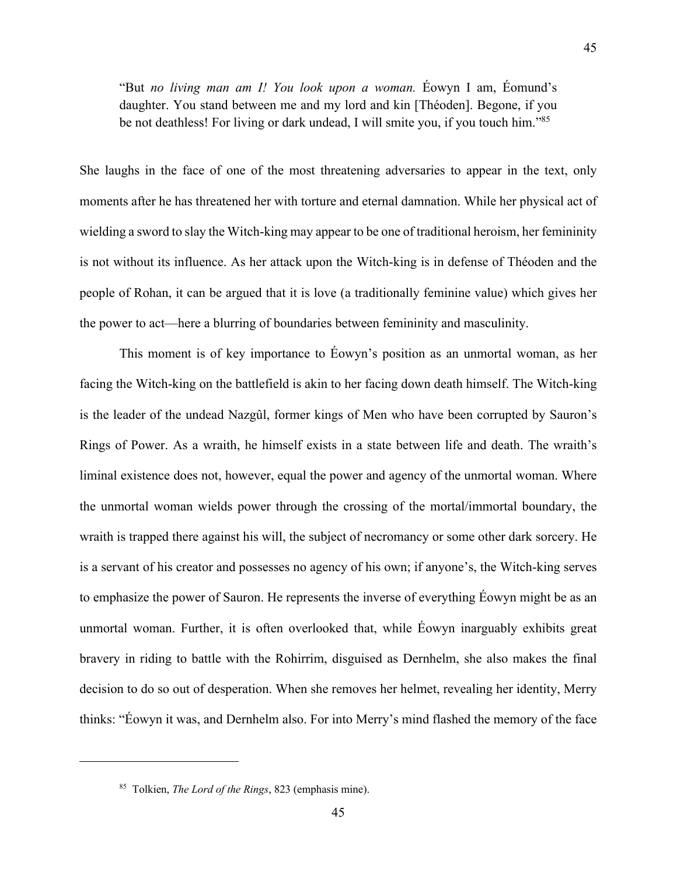"But *no living man am I! You look upon a woman.* Éowyn I am, Éomund's daughter. You stand between me and my lord and kin [Théoden]. Begone, if you be not deathless! For living or dark undead, I will smite you, if you touch him."85

She laughs in the face of one of the most threatening adversaries to appear in the text, only moments after he has threatened her with torture and eternal damnation. While her physical act of wielding a sword to slay the Witch-king may appear to be one of traditional heroism, her femininity is not without its influence. As her attack upon the Witch-king is in defense of Théoden and the people of Rohan, it can be argued that it is love (a traditionally feminine value) which gives her the power to act—here a blurring of boundaries between femininity and masculinity.

This moment is of key importance to Éowyn's position as an unmortal woman, as her facing the Witch-king on the battlefield is akin to her facing down death himself. The Witch-king is the leader of the undead Nazgûl, former kings of Men who have been corrupted by Sauron's Rings of Power. As a wraith, he himself exists in a state between life and death. The wraith's liminal existence does not, however, equal the power and agency of the unmortal woman. Where the unmortal woman wields power through the crossing of the mortal/immortal boundary, the wraith is trapped there against his will, the subject of necromancy or some other dark sorcery. He is a servant of his creator and possesses no agency of his own; if anyone's, the Witch-king serves to emphasize the power of Sauron. He represents the inverse of everything Éowyn might be as an unmortal woman. Further, it is often overlooked that, while Éowyn inarguably exhibits great bravery in riding to battle with the Rohirrim, disguised as Dernhelm, she also makes the final decision to do so out of desperation. When she removes her helmet, revealing her identity, Merry thinks: "Éowyn it was, and Dernhelm also. For into Merry's mind flashed the memory of the face

<sup>85</sup> Tolkien, *The Lord of the Rings*, 823 (emphasis mine).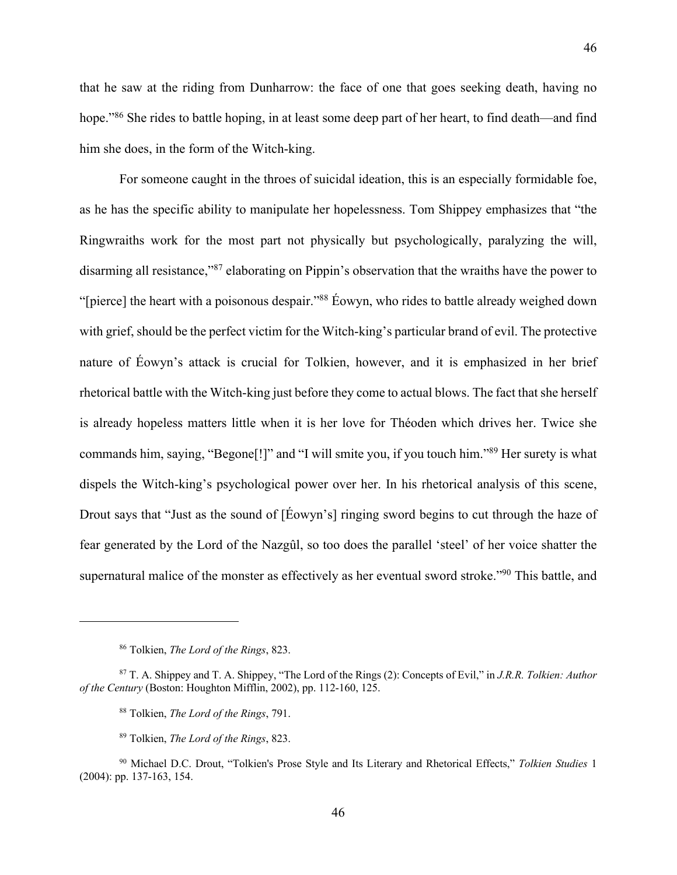that he saw at the riding from Dunharrow: the face of one that goes seeking death, having no hope."<sup>86</sup> She rides to battle hoping, in at least some deep part of her heart, to find death—and find him she does, in the form of the Witch-king.

For someone caught in the throes of suicidal ideation, this is an especially formidable foe, as he has the specific ability to manipulate her hopelessness. Tom Shippey emphasizes that "the Ringwraiths work for the most part not physically but psychologically, paralyzing the will, disarming all resistance,"<sup>87</sup> elaborating on Pippin's observation that the wraiths have the power to "[pierce] the heart with a poisonous despair."88 Éowyn, who rides to battle already weighed down with grief, should be the perfect victim for the Witch-king's particular brand of evil. The protective nature of Éowyn's attack is crucial for Tolkien, however, and it is emphasized in her brief rhetorical battle with the Witch-king just before they come to actual blows. The fact that she herself is already hopeless matters little when it is her love for Théoden which drives her. Twice she commands him, saying, "Begone[!]" and "I will smite you, if you touch him."89 Her surety is what dispels the Witch-king's psychological power over her. In his rhetorical analysis of this scene, Drout says that "Just as the sound of [Éowyn's] ringing sword begins to cut through the haze of fear generated by the Lord of the Nazgûl, so too does the parallel 'steel' of her voice shatter the supernatural malice of the monster as effectively as her eventual sword stroke."90 This battle, and

<sup>86</sup> Tolkien, *The Lord of the Rings*, 823.

<sup>87</sup> T. A. Shippey and T. A. Shippey, "The Lord of the Rings (2): Concepts of Evil," in *J.R.R. Tolkien: Author of the Century* (Boston: Houghton Mifflin, 2002), pp. 112-160, 125.

<sup>88</sup> Tolkien, *The Lord of the Rings*, 791.

<sup>89</sup> Tolkien, *The Lord of the Rings*, 823.

<sup>90</sup> Michael D.C. Drout, "Tolkien's Prose Style and Its Literary and Rhetorical Effects," *Tolkien Studies* 1 (2004): pp. 137-163, 154.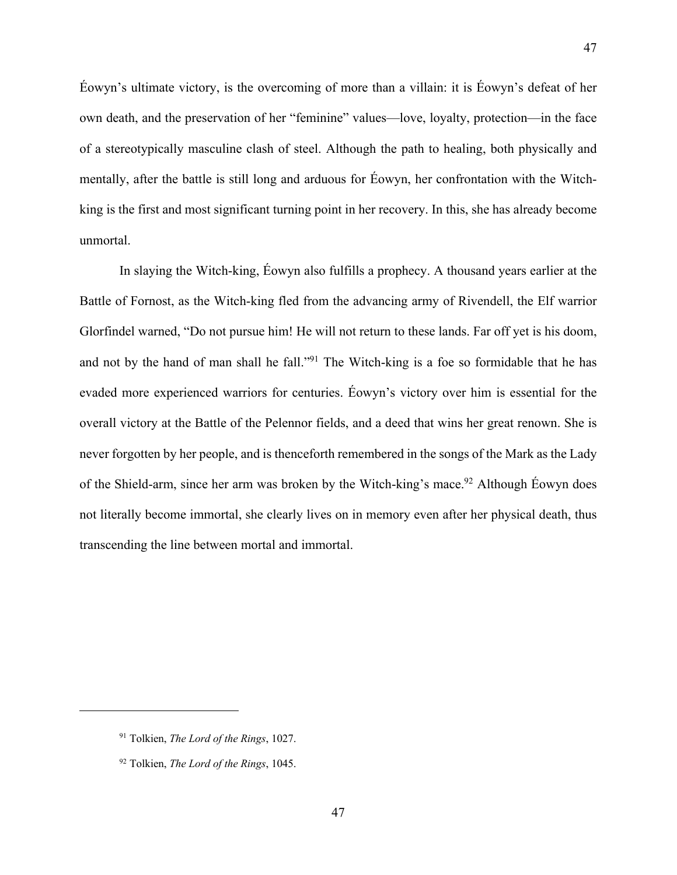Éowyn's ultimate victory, is the overcoming of more than a villain: it is Éowyn's defeat of her own death, and the preservation of her "feminine" values—love, loyalty, protection—in the face of a stereotypically masculine clash of steel. Although the path to healing, both physically and mentally, after the battle is still long and arduous for Éowyn, her confrontation with the Witchking is the first and most significant turning point in her recovery. In this, she has already become unmortal.

In slaying the Witch-king, Éowyn also fulfills a prophecy. A thousand years earlier at the Battle of Fornost, as the Witch-king fled from the advancing army of Rivendell, the Elf warrior Glorfindel warned, "Do not pursue him! He will not return to these lands. Far off yet is his doom, and not by the hand of man shall he fall."91 The Witch-king is a foe so formidable that he has evaded more experienced warriors for centuries. Éowyn's victory over him is essential for the overall victory at the Battle of the Pelennor fields, and a deed that wins her great renown. She is never forgotten by her people, and is thenceforth remembered in the songs of the Mark as the Lady of the Shield-arm, since her arm was broken by the Witch-king's mace.92 Although Éowyn does not literally become immortal, she clearly lives on in memory even after her physical death, thus transcending the line between mortal and immortal.

<sup>91</sup> Tolkien, *The Lord of the Rings*, 1027.

<sup>92</sup> Tolkien, *The Lord of the Rings*, 1045.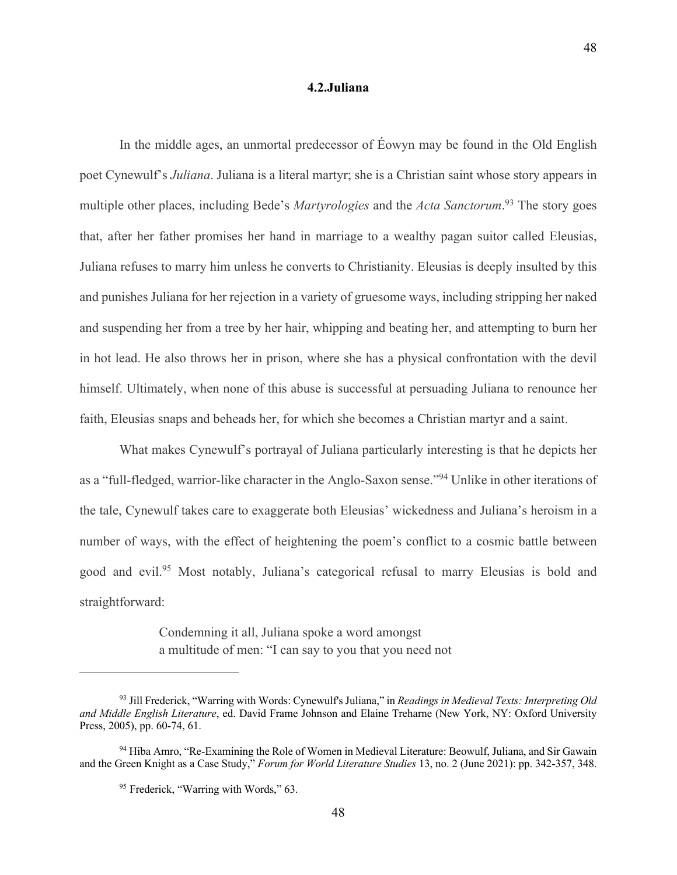#### **4.2.Juliana**

In the middle ages, an unmortal predecessor of Éowyn may be found in the Old English poet Cynewulf's *Juliana*. Juliana is a literal martyr; she is a Christian saint whose story appears in multiple other places, including Bede's *Martyrologies* and the *Acta Sanctorum*. <sup>93</sup> The story goes that, after her father promises her hand in marriage to a wealthy pagan suitor called Eleusias, Juliana refuses to marry him unless he converts to Christianity. Eleusias is deeply insulted by this and punishes Juliana for her rejection in a variety of gruesome ways, including stripping her naked and suspending her from a tree by her hair, whipping and beating her, and attempting to burn her in hot lead. He also throws her in prison, where she has a physical confrontation with the devil himself. Ultimately, when none of this abuse is successful at persuading Juliana to renounce her faith, Eleusias snaps and beheads her, for which she becomes a Christian martyr and a saint.

What makes Cynewulf's portrayal of Juliana particularly interesting is that he depicts her as a "full-fledged, warrior-like character in the Anglo-Saxon sense."94 Unlike in other iterations of the tale, Cynewulf takes care to exaggerate both Eleusias' wickedness and Juliana's heroism in a number of ways, with the effect of heightening the poem's conflict to a cosmic battle between good and evil.<sup>95</sup> Most notably, Juliana's categorical refusal to marry Eleusias is bold and straightforward:

> Condemning it all, Juliana spoke a word amongst a multitude of men: "I can say to you that you need not

<sup>93</sup> Jill Frederick, "Warring with Words: Cynewulf's Juliana," in *Readings in Medieval Texts: Interpreting Old and Middle English Literature*, ed. David Frame Johnson and Elaine Treharne (New York, NY: Oxford University Press, 2005), pp. 60-74, 61.

<sup>94</sup> Hiba Amro, "Re-Examining the Role of Women in Medieval Literature: Beowulf, Juliana, and Sir Gawain and the Green Knight as a Case Study," *Forum for World Literature Studies* 13, no. 2 (June 2021): pp. 342-357, 348.

<sup>95</sup> Frederick, "Warring with Words," 63.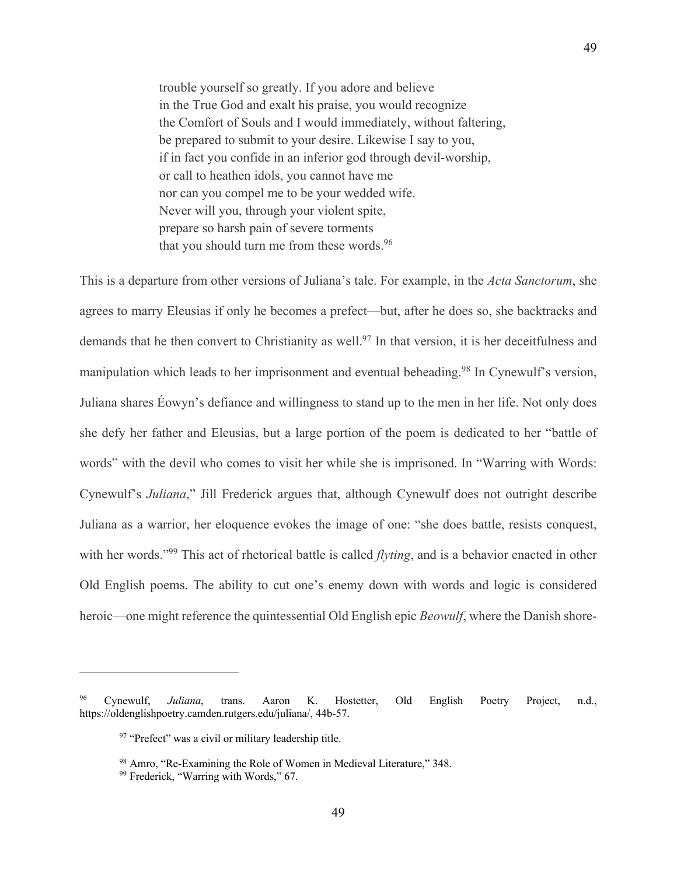trouble yourself so greatly. If you adore and believe in the True God and exalt his praise, you would recognize the Comfort of Souls and I would immediately, without faltering, be prepared to submit to your desire. Likewise I say to you, if in fact you confide in an inferior god through devil-worship, or call to heathen idols, you cannot have me nor can you compel me to be your wedded wife. Never will you, through your violent spite, prepare so harsh pain of severe torments that you should turn me from these words.<sup>96</sup>

This is a departure from other versions of Juliana's tale. For example, in the *Acta Sanctorum*, she agrees to marry Eleusias if only he becomes a prefect—but, after he does so, she backtracks and demands that he then convert to Christianity as well.<sup>97</sup> In that version, it is her deceitfulness and manipulation which leads to her imprisonment and eventual beheading.<sup>98</sup> In Cynewulf's version, Juliana shares Éowyn's defiance and willingness to stand up to the men in her life. Not only does she defy her father and Eleusias, but a large portion of the poem is dedicated to her "battle of words" with the devil who comes to visit her while she is imprisoned. In "Warring with Words: Cynewulf's *Juliana*," Jill Frederick argues that, although Cynewulf does not outright describe Juliana as a warrior, her eloquence evokes the image of one: "she does battle, resists conquest, with her words."99 This act of rhetorical battle is called *flyting*, and is a behavior enacted in other Old English poems. The ability to cut one's enemy down with words and logic is considered heroic—one might reference the quintessential Old English epic *Beowulf*, where the Danish shore-

<sup>96</sup> Cynewulf, *Juliana*, trans. Aaron K. Hostetter, Old English Poetry Project, n.d., https://oldenglishpoetry.camden.rutgers.edu/juliana/, 44b-57.

<sup>&</sup>lt;sup>97</sup> "Prefect" was a civil or military leadership title.

<sup>98</sup> Amro, "Re-Examining the Role of Women in Medieval Literature," 348.

<sup>99</sup> Frederick, "Warring with Words," 67.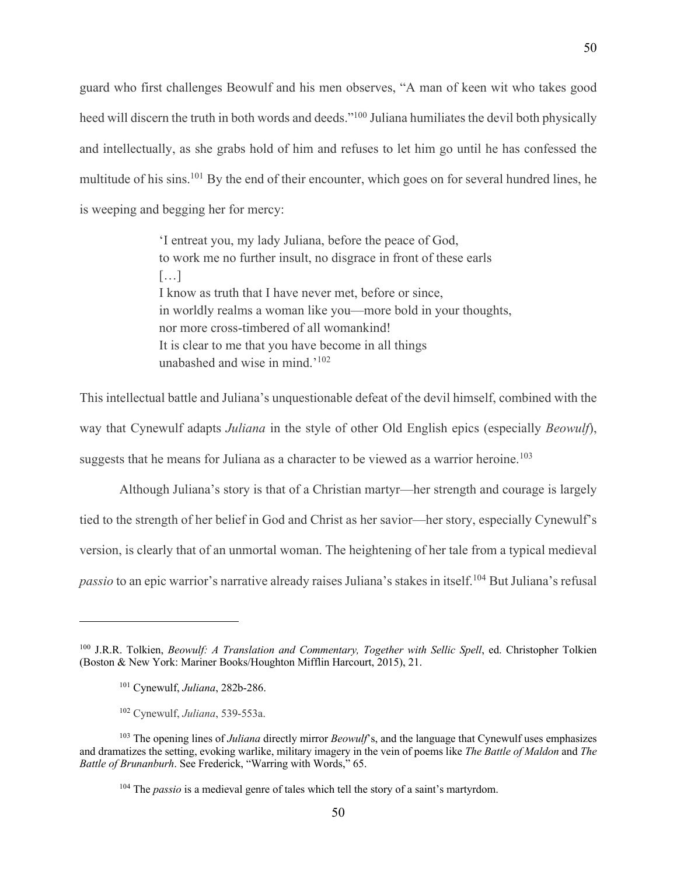guard who first challenges Beowulf and his men observes, "A man of keen wit who takes good heed will discern the truth in both words and deeds."<sup>100</sup> Juliana humiliates the devil both physically and intellectually, as she grabs hold of him and refuses to let him go until he has confessed the multitude of his sins.<sup>101</sup> By the end of their encounter, which goes on for several hundred lines, he is weeping and begging her for mercy:

> 'I entreat you, my lady Juliana, before the peace of God, to work me no further insult, no disgrace in front of these earls […] I know as truth that I have never met, before or since, in worldly realms a woman like you—more bold in your thoughts, nor more cross-timbered of all womankind! It is clear to me that you have become in all things unabashed and wise in mind.'102

This intellectual battle and Juliana's unquestionable defeat of the devil himself, combined with the way that Cynewulf adapts *Juliana* in the style of other Old English epics (especially *Beowulf*), suggests that he means for Juliana as a character to be viewed as a warrior heroine.<sup>103</sup>

Although Juliana's story is that of a Christian martyr—her strength and courage is largely tied to the strength of her belief in God and Christ as her savior—her story, especially Cynewulf's version, is clearly that of an unmortal woman. The heightening of her tale from a typical medieval *passio* to an epic warrior's narrative already raises Juliana's stakes in itself.104 But Juliana's refusal

<sup>&</sup>lt;sup>100</sup> J.R.R. Tolkien, *Beowulf: A Translation and Commentary, Together with Sellic Spell*, ed. Christopher Tolkien (Boston & New York: Mariner Books/Houghton Mifflin Harcourt, 2015), 21.

<sup>101</sup> Cynewulf, *Juliana*, 282b-286.

<sup>102</sup> Cynewulf, *Juliana*, 539-553a.

<sup>103</sup> The opening lines of *Juliana* directly mirror *Beowulf*'s, and the language that Cynewulf uses emphasizes and dramatizes the setting, evoking warlike, military imagery in the vein of poems like *The Battle of Maldon* and *The Battle of Brunanburh*. See Frederick, "Warring with Words," 65.

<sup>104</sup> The *passio* is a medieval genre of tales which tell the story of a saint's martyrdom.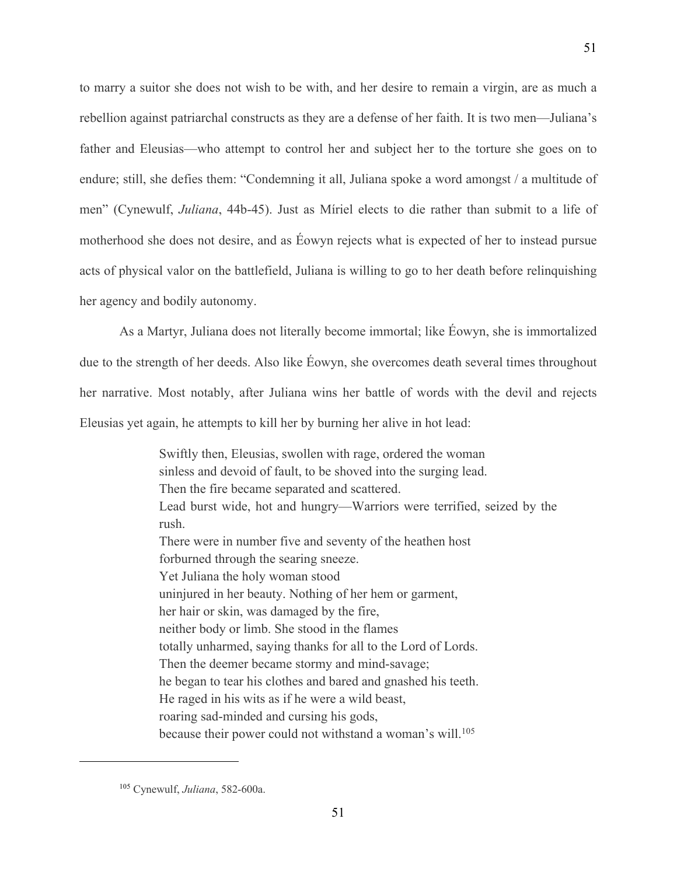to marry a suitor she does not wish to be with, and her desire to remain a virgin, are as much a rebellion against patriarchal constructs as they are a defense of her faith. It is two men—Juliana's father and Eleusias—who attempt to control her and subject her to the torture she goes on to endure; still, she defies them: "Condemning it all, Juliana spoke a word amongst / a multitude of men" (Cynewulf, *Juliana*, 44b-45). Just as Míriel elects to die rather than submit to a life of motherhood she does not desire, and as Éowyn rejects what is expected of her to instead pursue acts of physical valor on the battlefield, Juliana is willing to go to her death before relinquishing her agency and bodily autonomy.

As a Martyr, Juliana does not literally become immortal; like Éowyn, she is immortalized due to the strength of her deeds. Also like Éowyn, she overcomes death several times throughout her narrative. Most notably, after Juliana wins her battle of words with the devil and rejects Eleusias yet again, he attempts to kill her by burning her alive in hot lead:

> Swiftly then, Eleusias, swollen with rage, ordered the woman sinless and devoid of fault, to be shoved into the surging lead. Then the fire became separated and scattered. Lead burst wide, hot and hungry—Warriors were terrified, seized by the rush. There were in number five and seventy of the heathen host forburned through the searing sneeze. Yet Juliana the holy woman stood uninjured in her beauty. Nothing of her hem or garment, her hair or skin, was damaged by the fire, neither body or limb. She stood in the flames totally unharmed, saying thanks for all to the Lord of Lords. Then the deemer became stormy and mind-savage; he began to tear his clothes and bared and gnashed his teeth. He raged in his wits as if he were a wild beast, roaring sad-minded and cursing his gods, because their power could not withstand a woman's will.<sup>105</sup>

<sup>105</sup> Cynewulf, *Juliana*, 582-600a.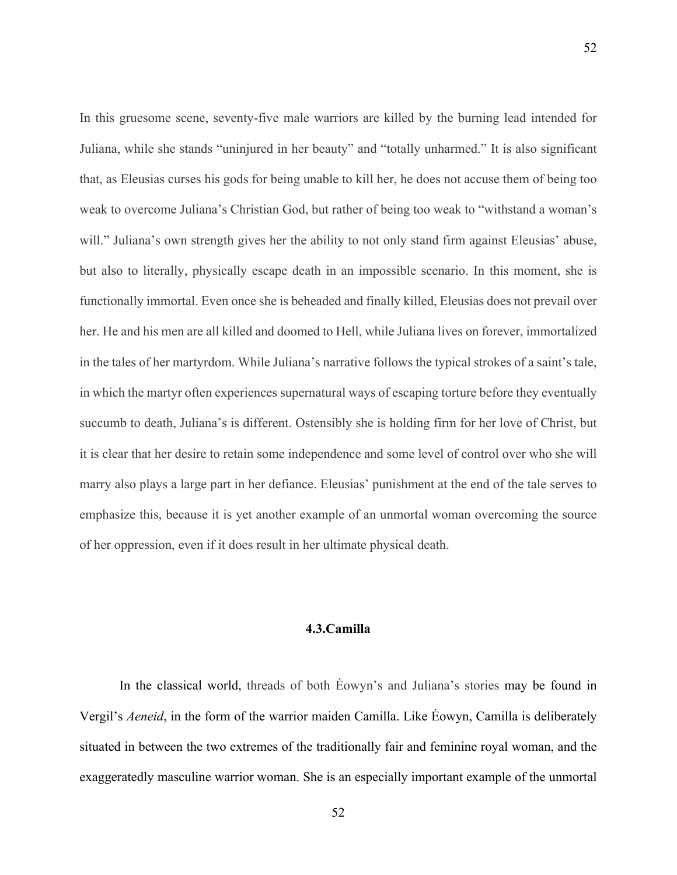In this gruesome scene, seventy-five male warriors are killed by the burning lead intended for Juliana, while she stands "uninjured in her beauty" and "totally unharmed." It is also significant that, as Eleusias curses his gods for being unable to kill her, he does not accuse them of being too weak to overcome Juliana's Christian God, but rather of being too weak to "withstand a woman's will." Juliana's own strength gives her the ability to not only stand firm against Eleusias' abuse, but also to literally, physically escape death in an impossible scenario. In this moment, she is functionally immortal. Even once she is beheaded and finally killed, Eleusias does not prevail over her. He and his men are all killed and doomed to Hell, while Juliana lives on forever, immortalized in the tales of her martyrdom. While Juliana's narrative follows the typical strokes of a saint's tale, in which the martyr often experiences supernatural ways of escaping torture before they eventually succumb to death, Juliana's is different. Ostensibly she is holding firm for her love of Christ, but it is clear that her desire to retain some independence and some level of control over who she will marry also plays a large part in her defiance. Eleusias' punishment at the end of the tale serves to emphasize this, because it is yet another example of an unmortal woman overcoming the source of her oppression, even if it does result in her ultimate physical death.

52

# **4.3.Camilla**

In the classical world, threads of both Éowyn's and Juliana's stories may be found in Vergil's *Aeneid*, in the form of the warrior maiden Camilla. Like Éowyn, Camilla is deliberately situated in between the two extremes of the traditionally fair and feminine royal woman, and the exaggeratedly masculine warrior woman. She is an especially important example of the unmortal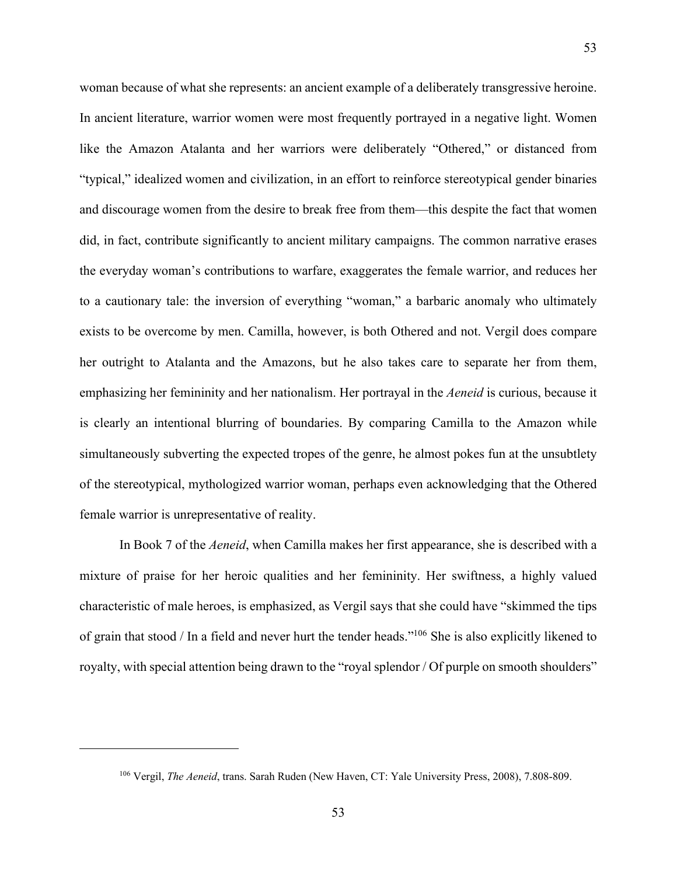woman because of what she represents: an ancient example of a deliberately transgressive heroine. In ancient literature, warrior women were most frequently portrayed in a negative light. Women like the Amazon Atalanta and her warriors were deliberately "Othered," or distanced from "typical," idealized women and civilization, in an effort to reinforce stereotypical gender binaries and discourage women from the desire to break free from them—this despite the fact that women did, in fact, contribute significantly to ancient military campaigns. The common narrative erases the everyday woman's contributions to warfare, exaggerates the female warrior, and reduces her to a cautionary tale: the inversion of everything "woman," a barbaric anomaly who ultimately exists to be overcome by men. Camilla, however, is both Othered and not. Vergil does compare her outright to Atalanta and the Amazons, but he also takes care to separate her from them, emphasizing her femininity and her nationalism. Her portrayal in the *Aeneid* is curious, because it is clearly an intentional blurring of boundaries. By comparing Camilla to the Amazon while simultaneously subverting the expected tropes of the genre, he almost pokes fun at the unsubtlety of the stereotypical, mythologized warrior woman, perhaps even acknowledging that the Othered female warrior is unrepresentative of reality.

In Book 7 of the *Aeneid*, when Camilla makes her first appearance, she is described with a mixture of praise for her heroic qualities and her femininity. Her swiftness, a highly valued characteristic of male heroes, is emphasized, as Vergil says that she could have "skimmed the tips of grain that stood / In a field and never hurt the tender heads."106 She is also explicitly likened to royalty, with special attention being drawn to the "royal splendor / Of purple on smooth shoulders"

<sup>106</sup> Vergil, *The Aeneid*, trans. Sarah Ruden (New Haven, CT: Yale University Press, 2008), 7.808-809.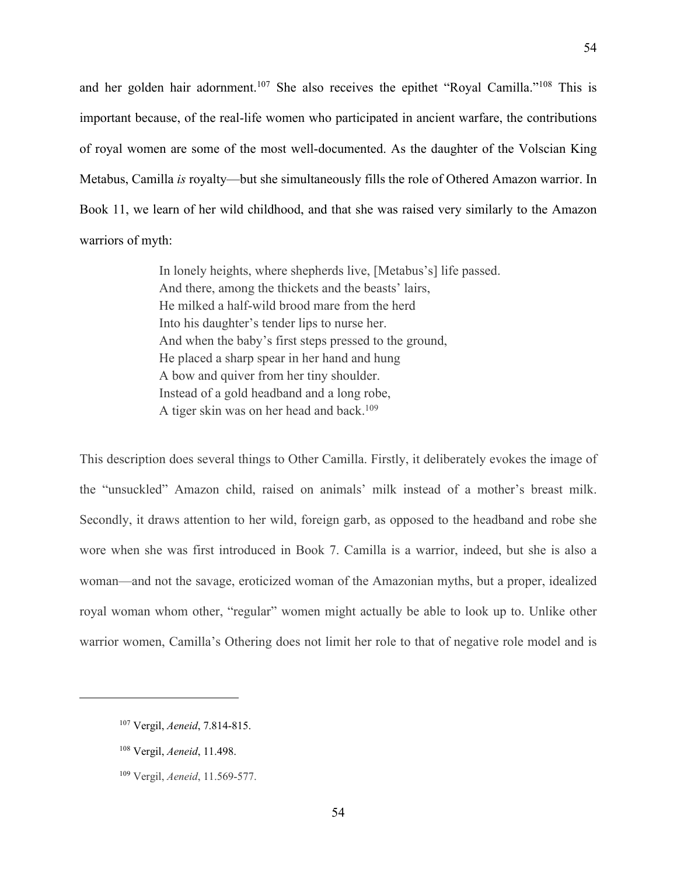and her golden hair adornment.107 She also receives the epithet "Royal Camilla."108 This is important because, of the real-life women who participated in ancient warfare, the contributions of royal women are some of the most well-documented. As the daughter of the Volscian King Metabus, Camilla *is* royalty—but she simultaneously fills the role of Othered Amazon warrior. In Book 11, we learn of her wild childhood, and that she was raised very similarly to the Amazon warriors of myth:

> In lonely heights, where shepherds live, [Metabus's] life passed. And there, among the thickets and the beasts' lairs, He milked a half-wild brood mare from the herd Into his daughter's tender lips to nurse her. And when the baby's first steps pressed to the ground, He placed a sharp spear in her hand and hung A bow and quiver from her tiny shoulder. Instead of a gold headband and a long robe, A tiger skin was on her head and back.<sup>109</sup>

This description does several things to Other Camilla. Firstly, it deliberately evokes the image of the "unsuckled" Amazon child, raised on animals' milk instead of a mother's breast milk. Secondly, it draws attention to her wild, foreign garb, as opposed to the headband and robe she wore when she was first introduced in Book 7. Camilla is a warrior, indeed, but she is also a woman—and not the savage, eroticized woman of the Amazonian myths, but a proper, idealized royal woman whom other, "regular" women might actually be able to look up to. Unlike other warrior women, Camilla's Othering does not limit her role to that of negative role model and is

<sup>107</sup> Vergil, *Aeneid*, 7.814-815.

<sup>108</sup> Vergil, *Aeneid*, 11.498.

<sup>109</sup> Vergil, *Aeneid*, 11.569-577.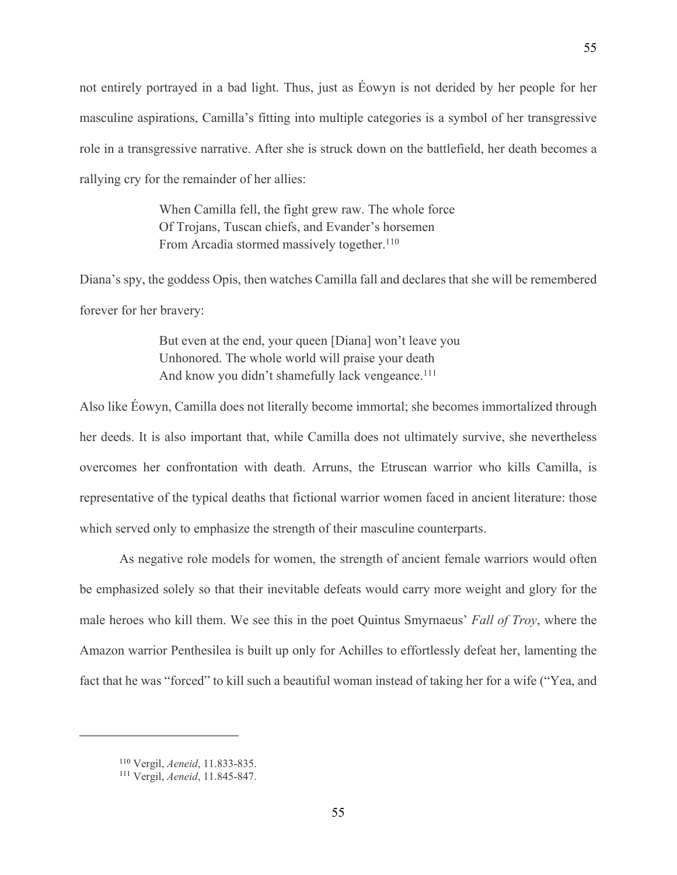not entirely portrayed in a bad light. Thus, just as Éowyn is not derided by her people for her masculine aspirations, Camilla's fitting into multiple categories is a symbol of her transgressive role in a transgressive narrative. After she is struck down on the battlefield, her death becomes a rallying cry for the remainder of her allies:

> When Camilla fell, the fight grew raw. The whole force Of Trojans, Tuscan chiefs, and Evander's horsemen From Arcadia stormed massively together.<sup>110</sup>

Diana's spy, the goddess Opis, then watches Camilla fall and declares that she will be remembered forever for her bravery:

> But even at the end, your queen [Diana] won't leave you Unhonored. The whole world will praise your death And know you didn't shamefully lack vengeance.<sup>111</sup>

Also like Éowyn, Camilla does not literally become immortal; she becomes immortalized through her deeds. It is also important that, while Camilla does not ultimately survive, she nevertheless overcomes her confrontation with death. Arruns, the Etruscan warrior who kills Camilla, is representative of the typical deaths that fictional warrior women faced in ancient literature: those which served only to emphasize the strength of their masculine counterparts.

As negative role models for women, the strength of ancient female warriors would often be emphasized solely so that their inevitable defeats would carry more weight and glory for the male heroes who kill them. We see this in the poet Quintus Smyrnaeus' *Fall of Troy*, where the Amazon warrior Penthesilea is built up only for Achilles to effortlessly defeat her, lamenting the fact that he was "forced" to kill such a beautiful woman instead of taking her for a wife ("Yea, and

<sup>110</sup> Vergil, *Aeneid*, 11.833-835.

<sup>111</sup> Vergil, *Aeneid*, 11.845-847.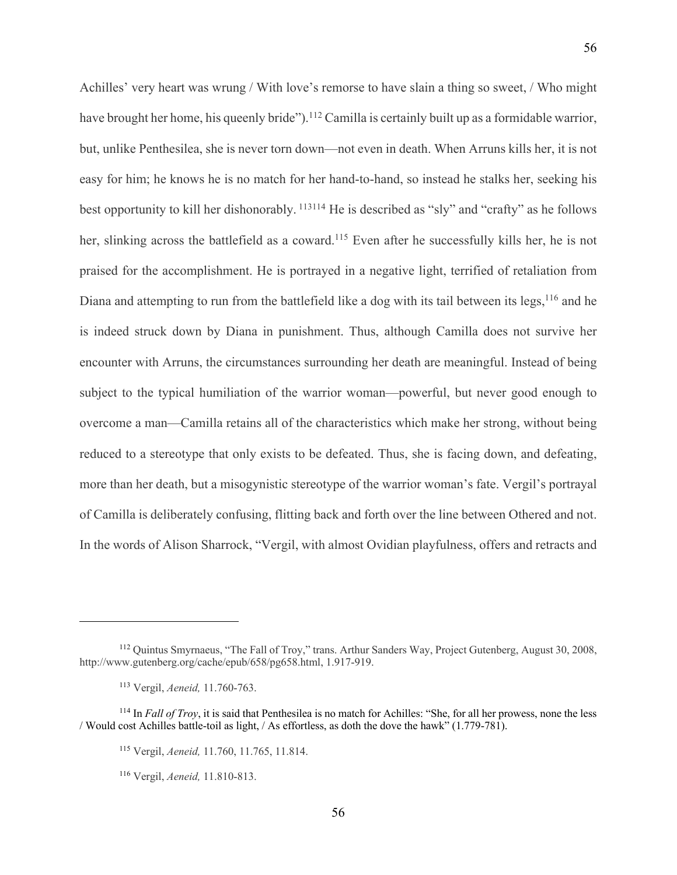Achilles' very heart was wrung / With love's remorse to have slain a thing so sweet, / Who might have brought her home, his queenly bride").<sup>112</sup> Camilla is certainly built up as a formidable warrior, but, unlike Penthesilea, she is never torn down—not even in death. When Arruns kills her, it is not easy for him; he knows he is no match for her hand-to-hand, so instead he stalks her, seeking his

best opportunity to kill her dishonorably. <sup>113114</sup> He is described as "sly" and "crafty" as he follows her, slinking across the battlefield as a coward.<sup>115</sup> Even after he successfully kills her, he is not praised for the accomplishment. He is portrayed in a negative light, terrified of retaliation from Diana and attempting to run from the battlefield like a dog with its tail between its legs,  $116$  and he is indeed struck down by Diana in punishment. Thus, although Camilla does not survive her encounter with Arruns, the circumstances surrounding her death are meaningful. Instead of being subject to the typical humiliation of the warrior woman—powerful, but never good enough to overcome a man—Camilla retains all of the characteristics which make her strong, without being reduced to a stereotype that only exists to be defeated. Thus, she is facing down, and defeating, more than her death, but a misogynistic stereotype of the warrior woman's fate. Vergil's portrayal of Camilla is deliberately confusing, flitting back and forth over the line between Othered and not. In the words of Alison Sharrock, "Vergil, with almost Ovidian playfulness, offers and retracts and

<sup>112</sup> Quintus Smyrnaeus, "The Fall of Troy," trans. Arthur Sanders Way, Project Gutenberg, August 30, 2008, http://www.gutenberg.org/cache/epub/658/pg658.html, 1.917-919.

<sup>113</sup> Vergil, *Aeneid,* 11.760-763.

<sup>114</sup> In *Fall of Troy*, it is said that Penthesilea is no match for Achilles: "She, for all her prowess, none the less / Would cost Achilles battle-toil as light, / As effortless, as doth the dove the hawk" (1.779-781).

<sup>115</sup> Vergil, *Aeneid,* 11.760, 11.765, 11.814.

<sup>116</sup> Vergil, *Aeneid,* 11.810-813.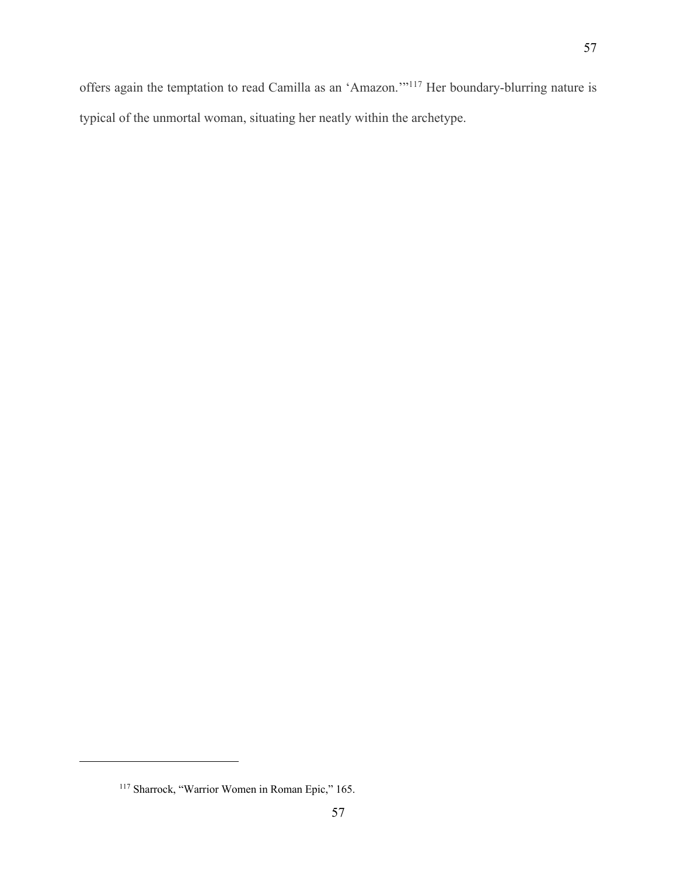offers again the temptation to read Camilla as an 'Amazon.'"117 Her boundary-blurring nature is typical of the unmortal woman, situating her neatly within the archetype.

<sup>&</sup>lt;sup>117</sup> Sharrock, "Warrior Women in Roman Epic," 165.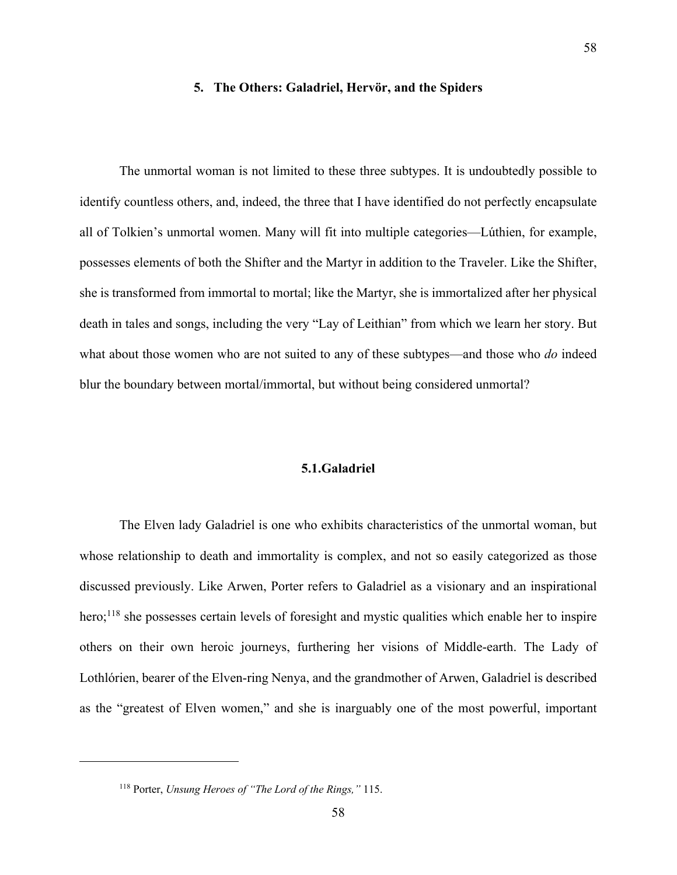# **5. The Others: Galadriel, Hervör, and the Spiders**

The unmortal woman is not limited to these three subtypes. It is undoubtedly possible to identify countless others, and, indeed, the three that I have identified do not perfectly encapsulate all of Tolkien's unmortal women. Many will fit into multiple categories—Lúthien, for example, possesses elements of both the Shifter and the Martyr in addition to the Traveler. Like the Shifter, she is transformed from immortal to mortal; like the Martyr, she is immortalized after her physical death in tales and songs, including the very "Lay of Leithian" from which we learn her story. But what about those women who are not suited to any of these subtypes—and those who *do* indeed blur the boundary between mortal/immortal, but without being considered unmortal?

# **5.1.Galadriel**

The Elven lady Galadriel is one who exhibits characteristics of the unmortal woman, but whose relationship to death and immortality is complex, and not so easily categorized as those discussed previously. Like Arwen, Porter refers to Galadriel as a visionary and an inspirational hero;<sup>118</sup> she possesses certain levels of foresight and mystic qualities which enable her to inspire others on their own heroic journeys, furthering her visions of Middle-earth. The Lady of Lothlórien, bearer of the Elven-ring Nenya, and the grandmother of Arwen, Galadriel is described as the "greatest of Elven women," and she is inarguably one of the most powerful, important

<sup>118</sup> Porter, *Unsung Heroes of "The Lord of the Rings,"* 115.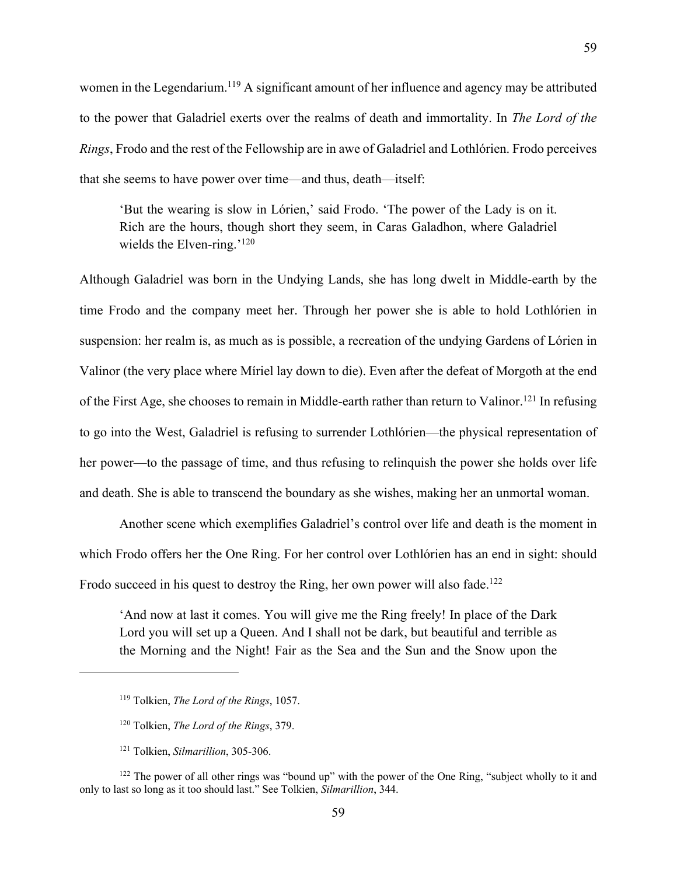women in the Legendarium.<sup>119</sup> A significant amount of her influence and agency may be attributed to the power that Galadriel exerts over the realms of death and immortality. In *The Lord of the Rings*, Frodo and the rest of the Fellowship are in awe of Galadriel and Lothlórien. Frodo perceives that she seems to have power over time—and thus, death—itself:

'But the wearing is slow in Lórien,' said Frodo. 'The power of the Lady is on it. Rich are the hours, though short they seem, in Caras Galadhon, where Galadriel wields the Elven-ring.<sup>'120</sup>

Although Galadriel was born in the Undying Lands, she has long dwelt in Middle-earth by the time Frodo and the company meet her. Through her power she is able to hold Lothlórien in suspension: her realm is, as much as is possible, a recreation of the undying Gardens of Lórien in Valinor (the very place where Míriel lay down to die). Even after the defeat of Morgoth at the end of the First Age, she chooses to remain in Middle-earth rather than return to Valinor.121 In refusing to go into the West, Galadriel is refusing to surrender Lothlórien—the physical representation of her power—to the passage of time, and thus refusing to relinquish the power she holds over life and death. She is able to transcend the boundary as she wishes, making her an unmortal woman.

Another scene which exemplifies Galadriel's control over life and death is the moment in which Frodo offers her the One Ring. For her control over Lothlórien has an end in sight: should Frodo succeed in his quest to destroy the Ring, her own power will also fade.<sup>122</sup>

'And now at last it comes. You will give me the Ring freely! In place of the Dark Lord you will set up a Queen. And I shall not be dark, but beautiful and terrible as the Morning and the Night! Fair as the Sea and the Sun and the Snow upon the

<sup>119</sup> Tolkien, *The Lord of the Rings*, 1057.

<sup>120</sup> Tolkien, *The Lord of the Rings*, 379.

<sup>121</sup> Tolkien, *Silmarillion*, 305-306.

<sup>&</sup>lt;sup>122</sup> The power of all other rings was "bound up" with the power of the One Ring, "subject wholly to it and only to last so long as it too should last." See Tolkien, *Silmarillion*, 344.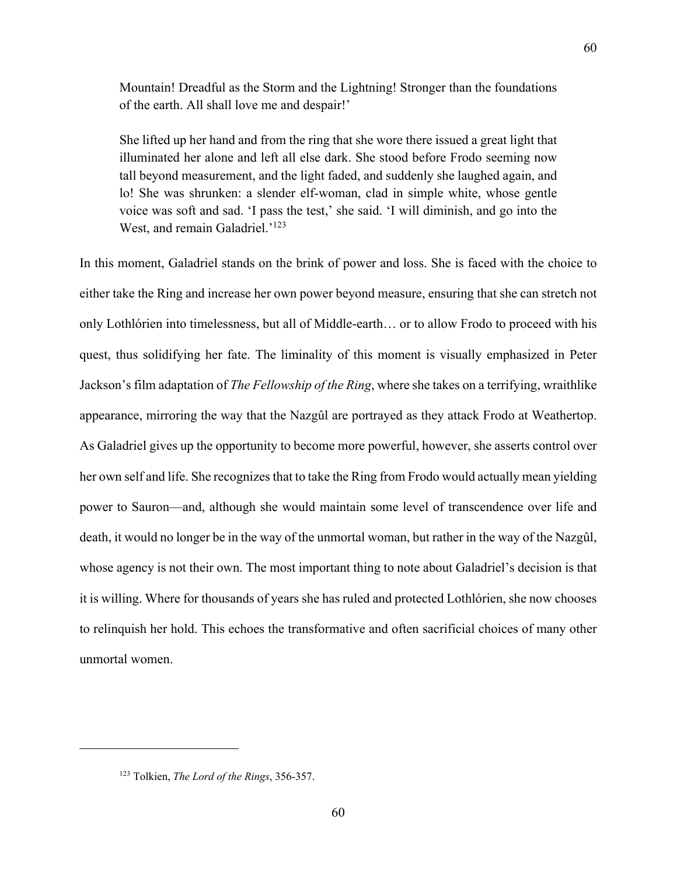Mountain! Dreadful as the Storm and the Lightning! Stronger than the foundations of the earth. All shall love me and despair!'

60

She lifted up her hand and from the ring that she wore there issued a great light that illuminated her alone and left all else dark. She stood before Frodo seeming now tall beyond measurement, and the light faded, and suddenly she laughed again, and lo! She was shrunken: a slender elf-woman, clad in simple white, whose gentle voice was soft and sad. 'I pass the test,' she said. 'I will diminish, and go into the West, and remain Galadriel.'<sup>123</sup>

In this moment, Galadriel stands on the brink of power and loss. She is faced with the choice to either take the Ring and increase her own power beyond measure, ensuring that she can stretch not only Lothlórien into timelessness, but all of Middle-earth… or to allow Frodo to proceed with his quest, thus solidifying her fate. The liminality of this moment is visually emphasized in Peter Jackson's film adaptation of *The Fellowship of the Ring*, where she takes on a terrifying, wraithlike appearance, mirroring the way that the Nazgûl are portrayed as they attack Frodo at Weathertop. As Galadriel gives up the opportunity to become more powerful, however, she asserts control over her own self and life. She recognizes that to take the Ring from Frodo would actually mean yielding power to Sauron—and, although she would maintain some level of transcendence over life and death, it would no longer be in the way of the unmortal woman, but rather in the way of the Nazgûl, whose agency is not their own. The most important thing to note about Galadriel's decision is that it is willing. Where for thousands of years she has ruled and protected Lothlórien, she now chooses to relinquish her hold. This echoes the transformative and often sacrificial choices of many other unmortal women.

<sup>123</sup> Tolkien, *The Lord of the Rings*, 356-357.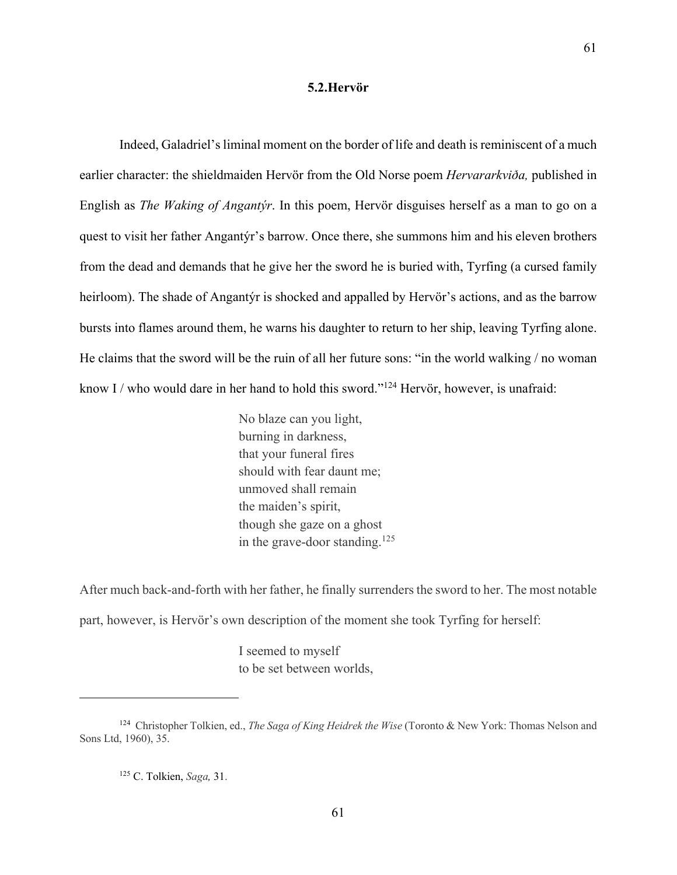#### **5.2.Hervör**

Indeed, Galadriel's liminal moment on the border of life and death is reminiscent of a much earlier character: the shieldmaiden Hervör from the Old Norse poem *Hervararkviða,* published in English as *The Waking of Angantýr*. In this poem, Hervör disguises herself as a man to go on a quest to visit her father Angantýr's barrow. Once there, she summons him and his eleven brothers from the dead and demands that he give her the sword he is buried with, Tyrfing (a cursed family heirloom). The shade of Angantýr is shocked and appalled by Hervör's actions, and as the barrow bursts into flames around them, he warns his daughter to return to her ship, leaving Tyrfing alone. He claims that the sword will be the ruin of all her future sons: "in the world walking / no woman know I / who would dare in her hand to hold this sword."<sup>124</sup> Hervör, however, is unafraid:

> No blaze can you light, burning in darkness, that your funeral fires should with fear daunt me; unmoved shall remain the maiden's spirit, though she gaze on a ghost in the grave-door standing. $125$

After much back-and-forth with her father, he finally surrenders the sword to her. The most notable part, however, is Hervör's own description of the moment she took Tyrfing for herself:

> I seemed to myself to be set between worlds,

<sup>125</sup> C. Tolkien, *Saga,* 31.

<sup>124</sup> Christopher Tolkien, ed., *The Saga of King Heidrek the Wise* (Toronto & New York: Thomas Nelson and Sons Ltd, 1960), 35.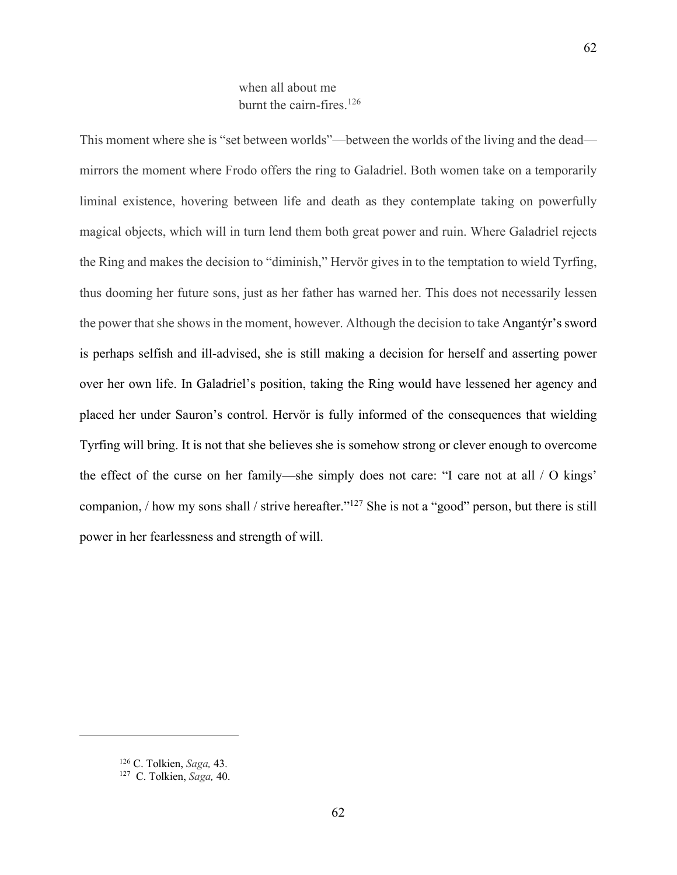# when all about me burnt the cairn-fires.126

This moment where she is "set between worlds"—between the worlds of the living and the dead mirrors the moment where Frodo offers the ring to Galadriel. Both women take on a temporarily liminal existence, hovering between life and death as they contemplate taking on powerfully magical objects, which will in turn lend them both great power and ruin. Where Galadriel rejects the Ring and makes the decision to "diminish," Hervör gives in to the temptation to wield Tyrfing, thus dooming her future sons, just as her father has warned her. This does not necessarily lessen the power that she shows in the moment, however. Although the decision to take Angantýr's sword is perhaps selfish and ill-advised, she is still making a decision for herself and asserting power over her own life. In Galadriel's position, taking the Ring would have lessened her agency and placed her under Sauron's control. Hervör is fully informed of the consequences that wielding Tyrfing will bring. It is not that she believes she is somehow strong or clever enough to overcome the effect of the curse on her family—she simply does not care: "I care not at all / O kings' companion, / how my sons shall / strive hereafter."127 She is not a "good" person, but there is still power in her fearlessness and strength of will.

<sup>126</sup> C. Tolkien, *Saga,* 43.

<sup>127</sup> C. Tolkien, *Saga,* 40.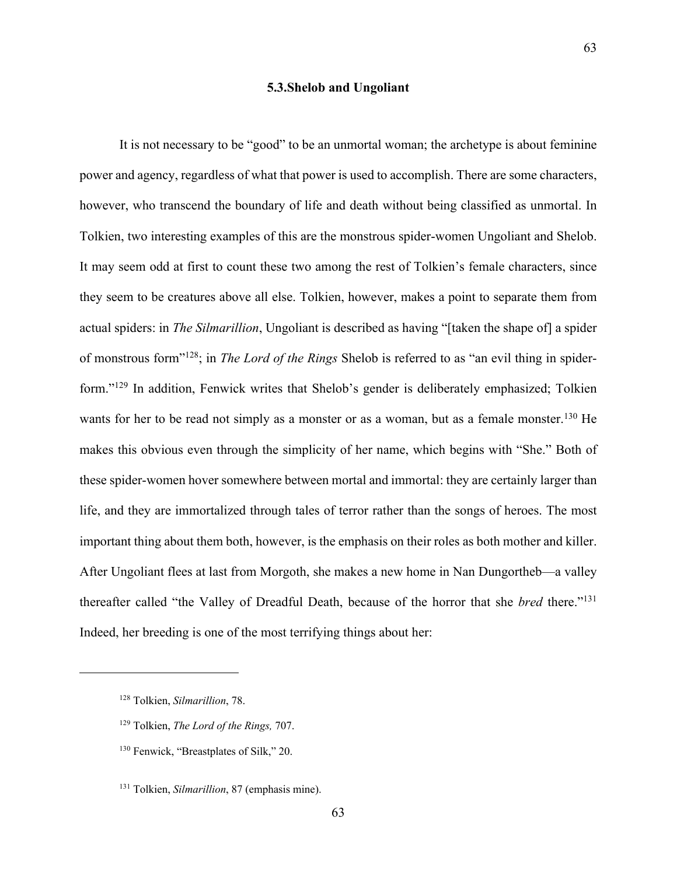### **5.3.Shelob and Ungoliant**

It is not necessary to be "good" to be an unmortal woman; the archetype is about feminine power and agency, regardless of what that power is used to accomplish. There are some characters, however, who transcend the boundary of life and death without being classified as unmortal. In Tolkien, two interesting examples of this are the monstrous spider-women Ungoliant and Shelob. It may seem odd at first to count these two among the rest of Tolkien's female characters, since they seem to be creatures above all else. Tolkien, however, makes a point to separate them from actual spiders: in *The Silmarillion*, Ungoliant is described as having "[taken the shape of] a spider of monstrous form"128; in *The Lord of the Rings* Shelob is referred to as "an evil thing in spiderform."129 In addition, Fenwick writes that Shelob's gender is deliberately emphasized; Tolkien wants for her to be read not simply as a monster or as a woman, but as a female monster.<sup>130</sup> He makes this obvious even through the simplicity of her name, which begins with "She." Both of these spider-women hover somewhere between mortal and immortal: they are certainly larger than life, and they are immortalized through tales of terror rather than the songs of heroes. The most important thing about them both, however, is the emphasis on their roles as both mother and killer. After Ungoliant flees at last from Morgoth, she makes a new home in Nan Dungortheb—a valley thereafter called "the Valley of Dreadful Death, because of the horror that she *bred* there."131 Indeed, her breeding is one of the most terrifying things about her:

<sup>130</sup> Fenwick, "Breastplates of Silk," 20.

<sup>128</sup> Tolkien, *Silmarillion*, 78.

<sup>129</sup> Tolkien, *The Lord of the Rings,* 707.

<sup>131</sup> Tolkien, *Silmarillion*, 87 (emphasis mine).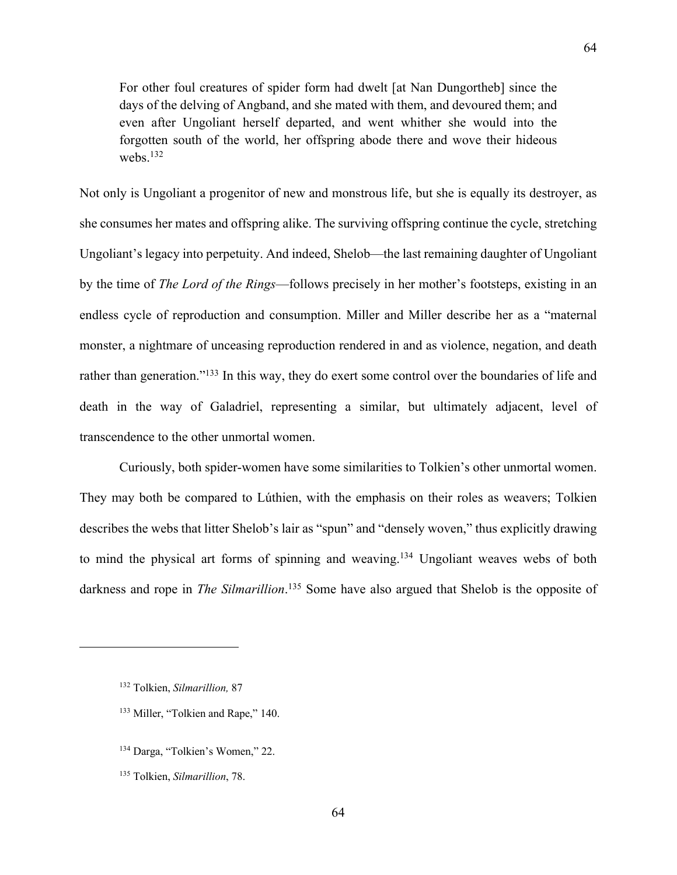For other foul creatures of spider form had dwelt [at Nan Dungortheb] since the days of the delving of Angband, and she mated with them, and devoured them; and even after Ungoliant herself departed, and went whither she would into the forgotten south of the world, her offspring abode there and wove their hideous webs.132

Not only is Ungoliant a progenitor of new and monstrous life, but she is equally its destroyer, as she consumes her mates and offspring alike. The surviving offspring continue the cycle, stretching Ungoliant's legacy into perpetuity. And indeed, Shelob—the last remaining daughter of Ungoliant by the time of *The Lord of the Rings*—follows precisely in her mother's footsteps, existing in an endless cycle of reproduction and consumption. Miller and Miller describe her as a "maternal monster, a nightmare of unceasing reproduction rendered in and as violence, negation, and death rather than generation."<sup>133</sup> In this way, they do exert some control over the boundaries of life and death in the way of Galadriel, representing a similar, but ultimately adjacent, level of transcendence to the other unmortal women.

Curiously, both spider-women have some similarities to Tolkien's other unmortal women. They may both be compared to Lúthien, with the emphasis on their roles as weavers; Tolkien describes the webs that litter Shelob's lair as "spun" and "densely woven," thus explicitly drawing to mind the physical art forms of spinning and weaving.<sup>134</sup> Ungoliant weaves webs of both darkness and rope in *The Silmarillion*. <sup>135</sup> Some have also argued that Shelob is the opposite of

<sup>132</sup> Tolkien, *Silmarillion,* 87

<sup>&</sup>lt;sup>133</sup> Miller, "Tolkien and Rape," 140.

<sup>134</sup> Darga, "Tolkien's Women," 22.

<sup>135</sup> Tolkien, *Silmarillion*, 78.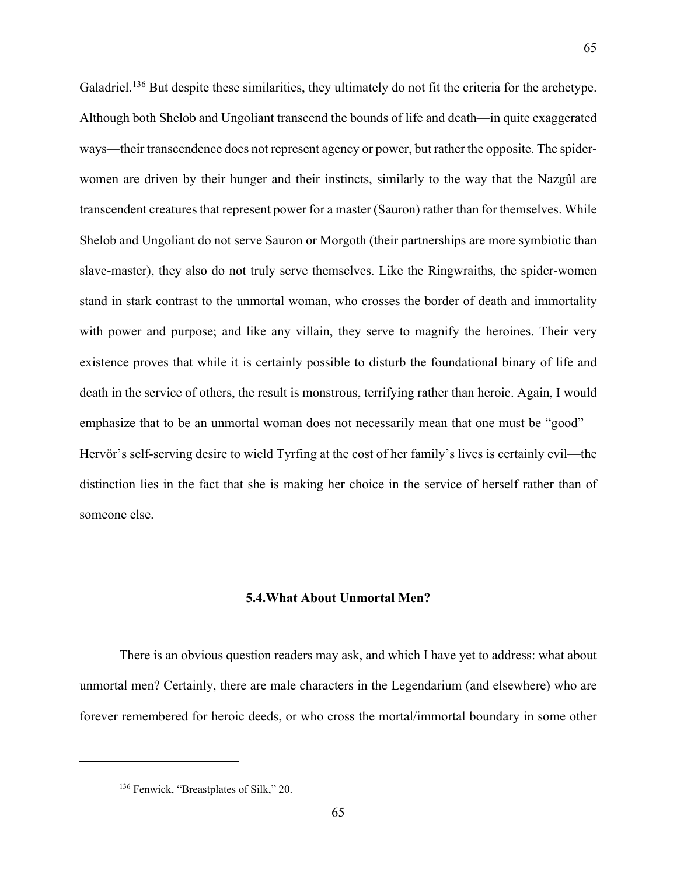Galadriel.<sup>136</sup> But despite these similarities, they ultimately do not fit the criteria for the archetype. Although both Shelob and Ungoliant transcend the bounds of life and death—in quite exaggerated ways—their transcendence does not represent agency or power, but rather the opposite. The spiderwomen are driven by their hunger and their instincts, similarly to the way that the Nazgûl are transcendent creatures that represent power for a master (Sauron) rather than for themselves. While Shelob and Ungoliant do not serve Sauron or Morgoth (their partnerships are more symbiotic than slave-master), they also do not truly serve themselves. Like the Ringwraiths, the spider-women stand in stark contrast to the unmortal woman, who crosses the border of death and immortality with power and purpose; and like any villain, they serve to magnify the heroines. Their very existence proves that while it is certainly possible to disturb the foundational binary of life and death in the service of others, the result is monstrous, terrifying rather than heroic. Again, I would emphasize that to be an unmortal woman does not necessarily mean that one must be "good"— Hervör's self-serving desire to wield Tyrfing at the cost of her family's lives is certainly evil—the distinction lies in the fact that she is making her choice in the service of herself rather than of someone else.

65

# **5.4.What About Unmortal Men?**

There is an obvious question readers may ask, and which I have yet to address: what about unmortal men? Certainly, there are male characters in the Legendarium (and elsewhere) who are forever remembered for heroic deeds, or who cross the mortal/immortal boundary in some other

<sup>136</sup> Fenwick, "Breastplates of Silk," 20.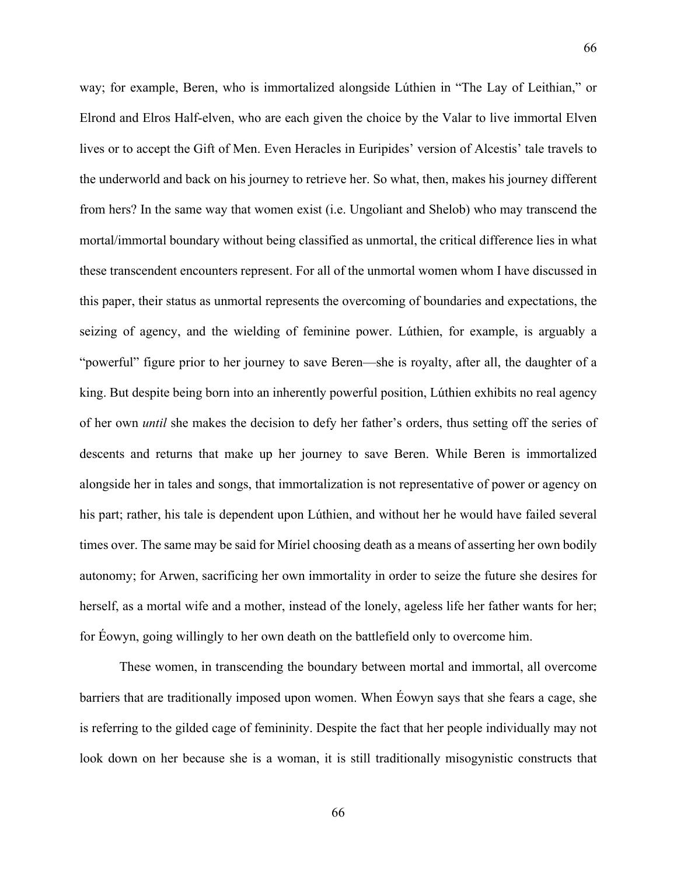way; for example, Beren, who is immortalized alongside Lúthien in "The Lay of Leithian," or Elrond and Elros Half-elven, who are each given the choice by the Valar to live immortal Elven lives or to accept the Gift of Men. Even Heracles in Euripides' version of Alcestis' tale travels to the underworld and back on his journey to retrieve her. So what, then, makes his journey different from hers? In the same way that women exist (i.e. Ungoliant and Shelob) who may transcend the mortal/immortal boundary without being classified as unmortal, the critical difference lies in what

66

these transcendent encounters represent. For all of the unmortal women whom I have discussed in this paper, their status as unmortal represents the overcoming of boundaries and expectations, the seizing of agency, and the wielding of feminine power. Lúthien, for example, is arguably a "powerful" figure prior to her journey to save Beren—she is royalty, after all, the daughter of a king. But despite being born into an inherently powerful position, Lúthien exhibits no real agency of her own *until* she makes the decision to defy her father's orders, thus setting off the series of descents and returns that make up her journey to save Beren. While Beren is immortalized alongside her in tales and songs, that immortalization is not representative of power or agency on his part; rather, his tale is dependent upon Lúthien, and without her he would have failed several times over. The same may be said for Míriel choosing death as a means of asserting her own bodily autonomy; for Arwen, sacrificing her own immortality in order to seize the future she desires for herself, as a mortal wife and a mother, instead of the lonely, ageless life her father wants for her; for Éowyn, going willingly to her own death on the battlefield only to overcome him.

These women, in transcending the boundary between mortal and immortal, all overcome barriers that are traditionally imposed upon women. When Éowyn says that she fears a cage, she is referring to the gilded cage of femininity. Despite the fact that her people individually may not look down on her because she is a woman, it is still traditionally misogynistic constructs that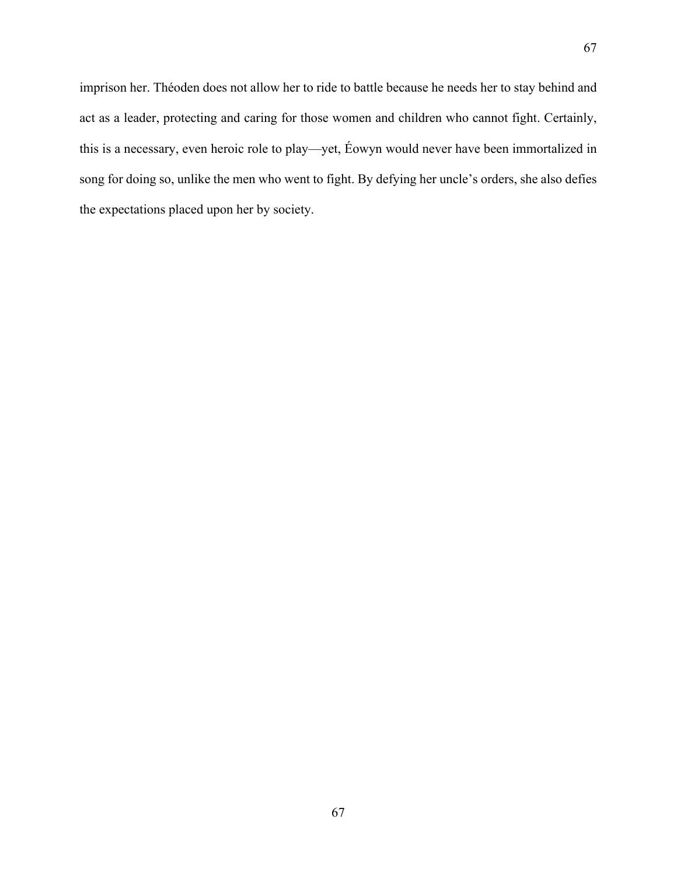imprison her. Théoden does not allow her to ride to battle because he needs her to stay behind and act as a leader, protecting and caring for those women and children who cannot fight. Certainly, this is a necessary, even heroic role to play—yet, Éowyn would never have been immortalized in song for doing so, unlike the men who went to fight. By defying her uncle's orders, she also defies the expectations placed upon her by society.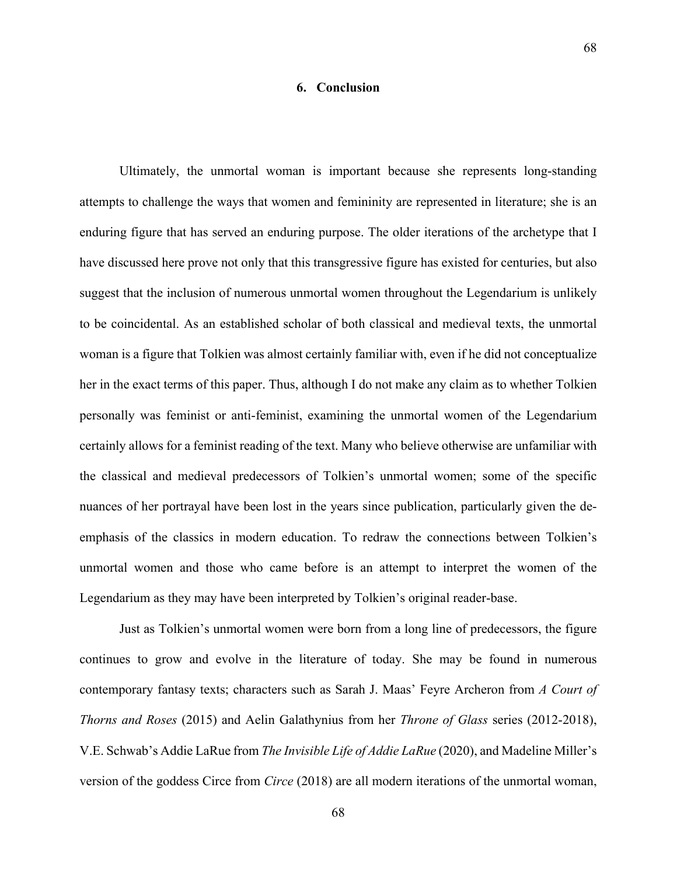# **6. Conclusion**

Ultimately, the unmortal woman is important because she represents long-standing attempts to challenge the ways that women and femininity are represented in literature; she is an enduring figure that has served an enduring purpose. The older iterations of the archetype that I have discussed here prove not only that this transgressive figure has existed for centuries, but also suggest that the inclusion of numerous unmortal women throughout the Legendarium is unlikely to be coincidental. As an established scholar of both classical and medieval texts, the unmortal woman is a figure that Tolkien was almost certainly familiar with, even if he did not conceptualize her in the exact terms of this paper. Thus, although I do not make any claim as to whether Tolkien personally was feminist or anti-feminist, examining the unmortal women of the Legendarium certainly allows for a feminist reading of the text. Many who believe otherwise are unfamiliar with the classical and medieval predecessors of Tolkien's unmortal women; some of the specific nuances of her portrayal have been lost in the years since publication, particularly given the deemphasis of the classics in modern education. To redraw the connections between Tolkien's unmortal women and those who came before is an attempt to interpret the women of the Legendarium as they may have been interpreted by Tolkien's original reader-base.

Just as Tolkien's unmortal women were born from a long line of predecessors, the figure continues to grow and evolve in the literature of today. She may be found in numerous contemporary fantasy texts; characters such as Sarah J. Maas' Feyre Archeron from *A Court of Thorns and Roses* (2015) and Aelin Galathynius from her *Throne of Glass* series (2012-2018), V.E. Schwab's Addie LaRue from *The Invisible Life of Addie LaRue* (2020), and Madeline Miller's version of the goddess Circe from *Circe* (2018) are all modern iterations of the unmortal woman,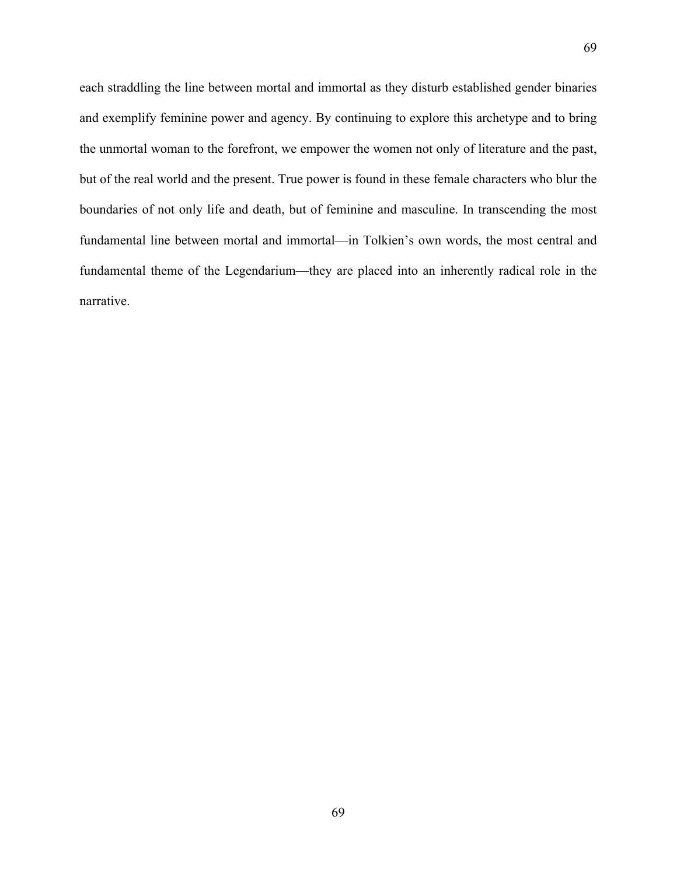each straddling the line between mortal and immortal as they disturb established gender binaries and exemplify feminine power and agency. By continuing to explore this archetype and to bring the unmortal woman to the forefront, we empower the women not only of literature and the past, but of the real world and the present. True power is found in these female characters who blur the boundaries of not only life and death, but of feminine and masculine. In transcending the most fundamental line between mortal and immortal—in Tolkien's own words, the most central and fundamental theme of the Legendarium—they are placed into an inherently radical role in the narrative.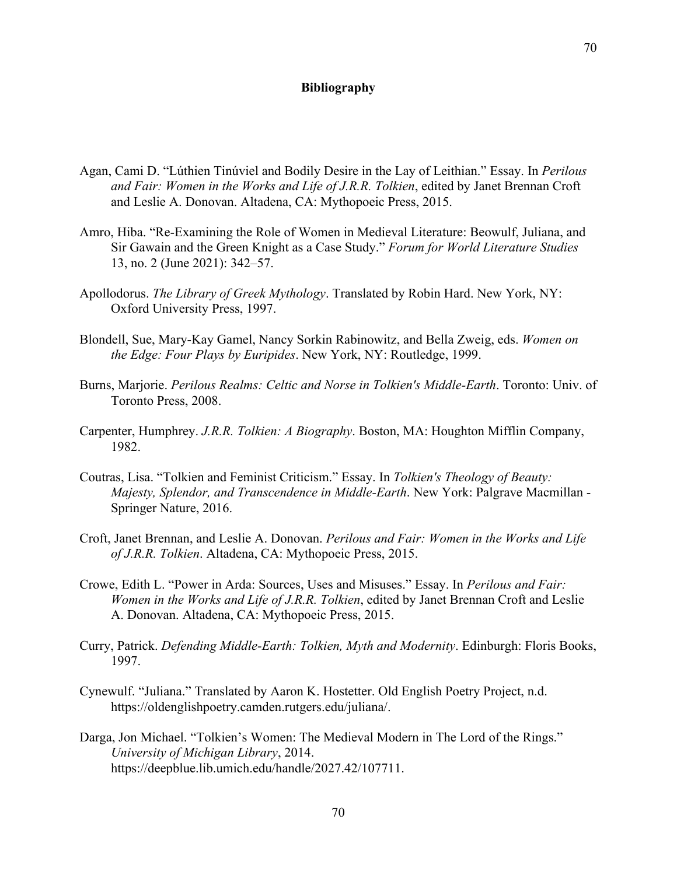#### **Bibliography**

- Agan, Cami D. "Lúthien Tinúviel and Bodily Desire in the Lay of Leithian." Essay. In *Perilous and Fair: Women in the Works and Life of J.R.R. Tolkien*, edited by Janet Brennan Croft and Leslie A. Donovan. Altadena, CA: Mythopoeic Press, 2015.
- Amro, Hiba. "Re-Examining the Role of Women in Medieval Literature: Beowulf, Juliana, and Sir Gawain and the Green Knight as a Case Study." *Forum for World Literature Studies* 13, no. 2 (June 2021): 342–57.
- Apollodorus. *The Library of Greek Mythology*. Translated by Robin Hard. New York, NY: Oxford University Press, 1997.
- Blondell, Sue, Mary-Kay Gamel, Nancy Sorkin Rabinowitz, and Bella Zweig, eds. *Women on the Edge: Four Plays by Euripides*. New York, NY: Routledge, 1999.
- Burns, Marjorie. *Perilous Realms: Celtic and Norse in Tolkien's Middle-Earth*. Toronto: Univ. of Toronto Press, 2008.
- Carpenter, Humphrey. *J.R.R. Tolkien: A Biography*. Boston, MA: Houghton Mifflin Company, 1982.
- Coutras, Lisa. "Tolkien and Feminist Criticism." Essay. In *Tolkien's Theology of Beauty: Majesty, Splendor, and Transcendence in Middle-Earth*. New York: Palgrave Macmillan - Springer Nature, 2016.
- Croft, Janet Brennan, and Leslie A. Donovan. *Perilous and Fair: Women in the Works and Life of J.R.R. Tolkien*. Altadena, CA: Mythopoeic Press, 2015.
- Crowe, Edith L. "Power in Arda: Sources, Uses and Misuses." Essay. In *Perilous and Fair: Women in the Works and Life of J.R.R. Tolkien*, edited by Janet Brennan Croft and Leslie A. Donovan. Altadena, CA: Mythopoeic Press, 2015.
- Curry, Patrick. *Defending Middle-Earth: Tolkien, Myth and Modernity*. Edinburgh: Floris Books, 1997.
- Cynewulf. "Juliana." Translated by Aaron K. Hostetter. Old English Poetry Project, n.d. https://oldenglishpoetry.camden.rutgers.edu/juliana/.
- Darga, Jon Michael. "Tolkien's Women: The Medieval Modern in The Lord of the Rings." *University of Michigan Library*, 2014. https://deepblue.lib.umich.edu/handle/2027.42/107711.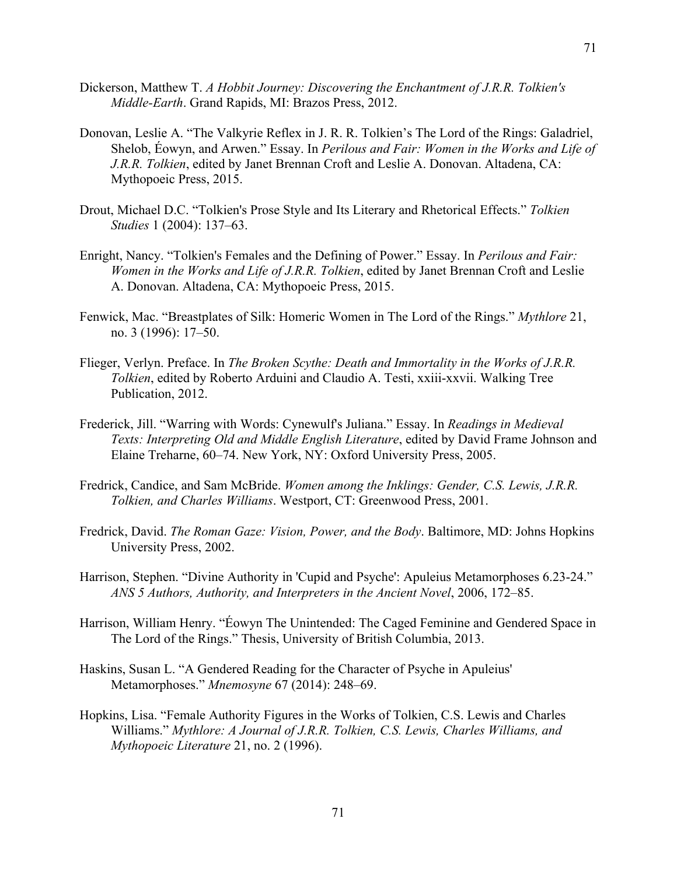- Dickerson, Matthew T. *A Hobbit Journey: Discovering the Enchantment of J.R.R. Tolkien's Middle-Earth*. Grand Rapids, MI: Brazos Press, 2012.
- Donovan, Leslie A. "The Valkyrie Reflex in J. R. R. Tolkien's The Lord of the Rings: Galadriel, Shelob, Éowyn, and Arwen." Essay. In *Perilous and Fair: Women in the Works and Life of J.R.R. Tolkien*, edited by Janet Brennan Croft and Leslie A. Donovan. Altadena, CA: Mythopoeic Press, 2015.
- Drout, Michael D.C. "Tolkien's Prose Style and Its Literary and Rhetorical Effects." *Tolkien Studies* 1 (2004): 137–63.
- Enright, Nancy. "Tolkien's Females and the Defining of Power." Essay. In *Perilous and Fair: Women in the Works and Life of J.R.R. Tolkien*, edited by Janet Brennan Croft and Leslie A. Donovan. Altadena, CA: Mythopoeic Press, 2015.
- Fenwick, Mac. "Breastplates of Silk: Homeric Women in The Lord of the Rings." *Mythlore* 21, no. 3 (1996): 17–50.
- Flieger, Verlyn. Preface. In *The Broken Scythe: Death and Immortality in the Works of J.R.R. Tolkien*, edited by Roberto Arduini and Claudio A. Testi, xxiii-xxvii. Walking Tree Publication, 2012.
- Frederick, Jill. "Warring with Words: Cynewulf's Juliana." Essay. In *Readings in Medieval Texts: Interpreting Old and Middle English Literature*, edited by David Frame Johnson and Elaine Treharne, 60–74. New York, NY: Oxford University Press, 2005.
- Fredrick, Candice, and Sam McBride. *Women among the Inklings: Gender, C.S. Lewis, J.R.R. Tolkien, and Charles Williams*. Westport, CT: Greenwood Press, 2001.
- Fredrick, David. *The Roman Gaze: Vision, Power, and the Body*. Baltimore, MD: Johns Hopkins University Press, 2002.
- Harrison, Stephen. "Divine Authority in 'Cupid and Psyche': Apuleius Metamorphoses 6.23-24." *ANS 5 Authors, Authority, and Interpreters in the Ancient Novel*, 2006, 172–85.
- Harrison, William Henry. "Éowyn The Unintended: The Caged Feminine and Gendered Space in The Lord of the Rings." Thesis, University of British Columbia, 2013.
- Haskins, Susan L. "A Gendered Reading for the Character of Psyche in Apuleius' Metamorphoses." *Mnemosyne* 67 (2014): 248–69.
- Hopkins, Lisa. "Female Authority Figures in the Works of Tolkien, C.S. Lewis and Charles Williams." *Mythlore: A Journal of J.R.R. Tolkien, C.S. Lewis, Charles Williams, and Mythopoeic Literature* 21, no. 2 (1996).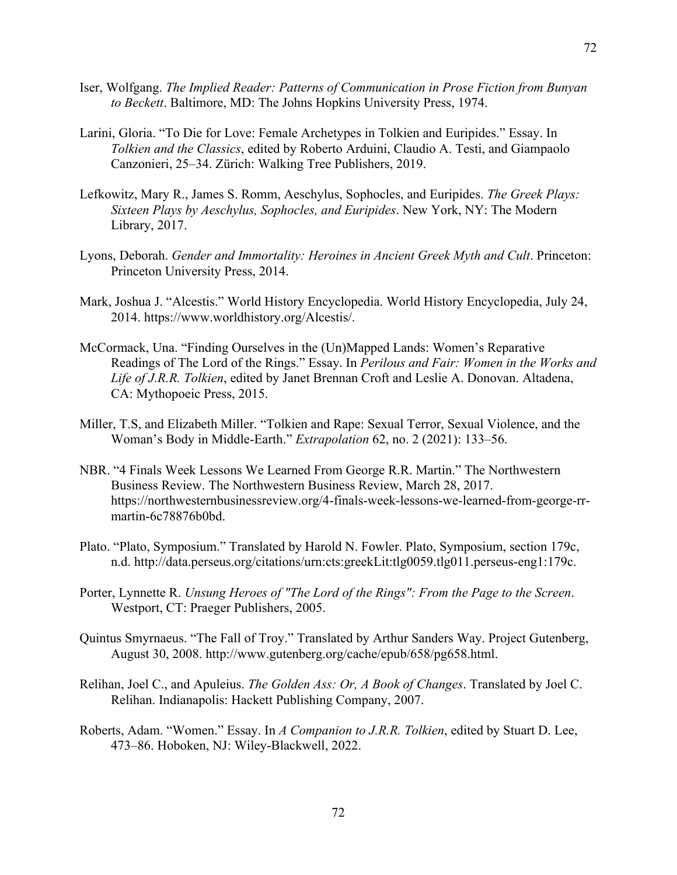- Iser, Wolfgang. *The Implied Reader: Patterns of Communication in Prose Fiction from Bunyan to Beckett*. Baltimore, MD: The Johns Hopkins University Press, 1974.
- Larini, Gloria. "To Die for Love: Female Archetypes in Tolkien and Euripides." Essay. In *Tolkien and the Classics*, edited by Roberto Arduini, Claudio A. Testi, and Giampaolo Canzonieri, 25–34. Zürich: Walking Tree Publishers, 2019.
- Lefkowitz, Mary R., James S. Romm, Aeschylus, Sophocles, and Euripides. *The Greek Plays: Sixteen Plays by Aeschylus, Sophocles, and Euripides*. New York, NY: The Modern Library, 2017.
- Lyons, Deborah. *Gender and Immortality: Heroines in Ancient Greek Myth and Cult*. Princeton: Princeton University Press, 2014.
- Mark, Joshua J. "Alcestis." World History Encyclopedia. World History Encyclopedia, July 24, 2014. https://www.worldhistory.org/Alcestis/.
- McCormack, Una. "Finding Ourselves in the (Un)Mapped Lands: Women's Reparative Readings of The Lord of the Rings." Essay. In *Perilous and Fair: Women in the Works and Life of J.R.R. Tolkien*, edited by Janet Brennan Croft and Leslie A. Donovan. Altadena, CA: Mythopoeic Press, 2015.
- Miller, T.S, and Elizabeth Miller. "Tolkien and Rape: Sexual Terror, Sexual Violence, and the Woman's Body in Middle-Earth." *Extrapolation* 62, no. 2 (2021): 133–56.
- NBR. "4 Finals Week Lessons We Learned From George R.R. Martin." The Northwestern Business Review. The Northwestern Business Review, March 28, 2017. https://northwesternbusinessreview.org/4-finals-week-lessons-we-learned-from-george-rrmartin-6c78876b0bd.
- Plato. "Plato, Symposium." Translated by Harold N. Fowler. Plato, Symposium, section 179c, n.d. http://data.perseus.org/citations/urn:cts:greekLit:tlg0059.tlg011.perseus-eng1:179c.
- Porter, Lynnette R. *Unsung Heroes of "The Lord of the Rings": From the Page to the Screen*. Westport, CT: Praeger Publishers, 2005.
- Quintus Smyrnaeus. "The Fall of Troy." Translated by Arthur Sanders Way. Project Gutenberg, August 30, 2008. http://www.gutenberg.org/cache/epub/658/pg658.html.
- Relihan, Joel C., and Apuleius. *The Golden Ass: Or, A Book of Changes*. Translated by Joel C. Relihan. Indianapolis: Hackett Publishing Company, 2007.
- Roberts, Adam. "Women." Essay. In *A Companion to J.R.R. Tolkien*, edited by Stuart D. Lee, 473–86. Hoboken, NJ: Wiley-Blackwell, 2022.